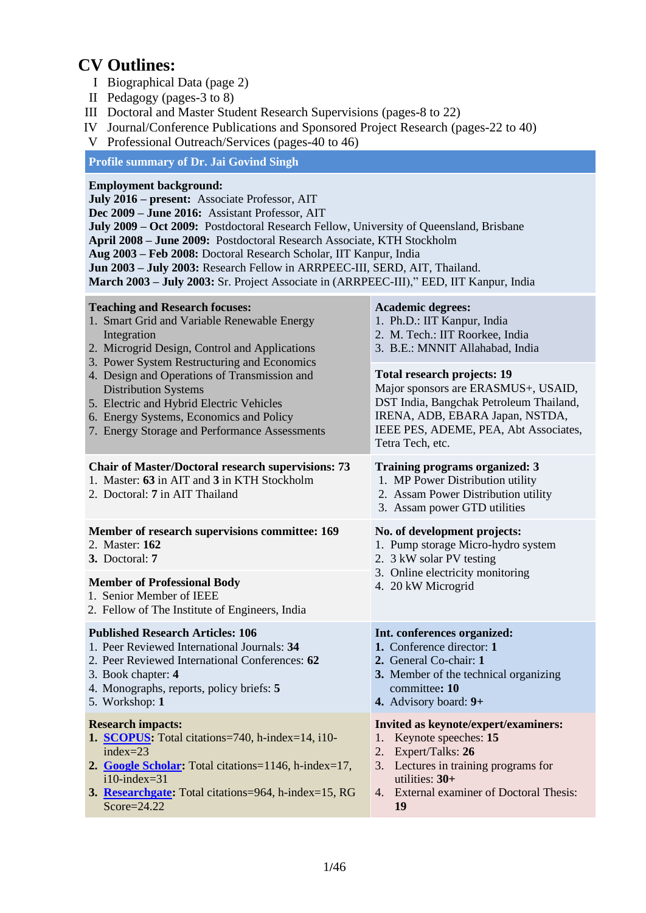## **CV Outlines:**

- I Biographical Data (page 2)
- II Pedagogy (pages-3 to 8)
- III Doctoral and Master Student Research Supervisions (pages-8 to 22)
- IV Journal/Conference Publications and Sponsored Project Research (pages-22 to 40)
- V Professional Outreach/Services (pages-40 to 46)

## **Profile summary of Dr. Jai Govind Singh**

#### **Employment background:**

**July 2016 – present:** Associate Professor, AIT

**Dec 2009 – June 2016:** Assistant Professor, AIT

**July 2009 – Oct 2009:** Postdoctoral Research Fellow, University of Queensland, Brisbane

**April 2008 – June 2009:** Postdoctoral Research Associate, KTH Stockholm

**Aug 2003 – Feb 2008:** Doctoral Research Scholar, IIT Kanpur, India

**Jun 2003 – July 2003:** Research Fellow in ARRPEEC-III, SERD, AIT, Thailand.

**March 2003 – July 2003:** Sr. Project Associate in (ARRPEEC-III)," EED, IIT Kanpur, India

| <b>Teaching and Research focuses:</b><br>1. Smart Grid and Variable Renewable Energy<br>Integration<br>2. Microgrid Design, Control and Applications<br>3. Power System Restructuring and Economics                                             | <b>Academic degrees:</b><br>1. Ph.D.: IIT Kanpur, India<br>2. M. Tech.: IIT Roorkee, India<br>3. B.E.: MNNIT Allahabad, India                                                                                        |  |  |
|-------------------------------------------------------------------------------------------------------------------------------------------------------------------------------------------------------------------------------------------------|----------------------------------------------------------------------------------------------------------------------------------------------------------------------------------------------------------------------|--|--|
| 4. Design and Operations of Transmission and<br><b>Distribution Systems</b><br>5. Electric and Hybrid Electric Vehicles<br>6. Energy Systems, Economics and Policy<br>7. Energy Storage and Performance Assessments                             | <b>Total research projects: 19</b><br>Major sponsors are ERASMUS+, USAID,<br>DST India, Bangchak Petroleum Thailand,<br>IRENA, ADB, EBARA Japan, NSTDA,<br>IEEE PES, ADEME, PEA, Abt Associates,<br>Tetra Tech, etc. |  |  |
| <b>Chair of Master/Doctoral research supervisions: 73</b><br>1. Master: 63 in AIT and 3 in KTH Stockholm<br>2. Doctoral: 7 in AIT Thailand                                                                                                      | <b>Training programs organized: 3</b><br>1. MP Power Distribution utility<br>2. Assam Power Distribution utility<br>3. Assam power GTD utilities                                                                     |  |  |
| Member of research supervisions committee: 169<br>2. Master: 162<br>3. Doctoral: 7                                                                                                                                                              | No. of development projects:<br>1. Pump storage Micro-hydro system<br>2. 3 kW solar PV testing                                                                                                                       |  |  |
| <b>Member of Professional Body</b><br>1. Senior Member of IEEE<br>2. Fellow of The Institute of Engineers, India                                                                                                                                | 3. Online electricity monitoring<br>4. 20 kW Microgrid                                                                                                                                                               |  |  |
| <b>Published Research Articles: 106</b><br>1. Peer Reviewed International Journals: 34<br>2. Peer Reviewed International Conferences: 62<br>3. Book chapter: 4<br>4. Monographs, reports, policy briefs: 5<br>5. Workshop: 1                    | Int. conferences organized:<br>1. Conference director: 1<br>2. General Co-chair: 1<br>3. Member of the technical organizing<br>committee: 10<br>4. Advisory board: 9+                                                |  |  |
| <b>Research impacts:</b><br>1. SCOPUS: Total citations=740, h-index=14, i10-<br>index= $23$<br>2. Google Scholar: Total citations=1146, h-index=17,<br>$i10$ -index=31<br>3. Researchgate: Total citations=964, h-index=15, RG<br>$Score=24.22$ | Invited as keynote/expert/examiners:<br>Keynote speeches: 15<br>1.<br>Expert/Talks: 26<br>2.<br>Lectures in training programs for<br>3.<br>utilities: $30+$<br>4. External examiner of Doctoral Thesis:<br>19        |  |  |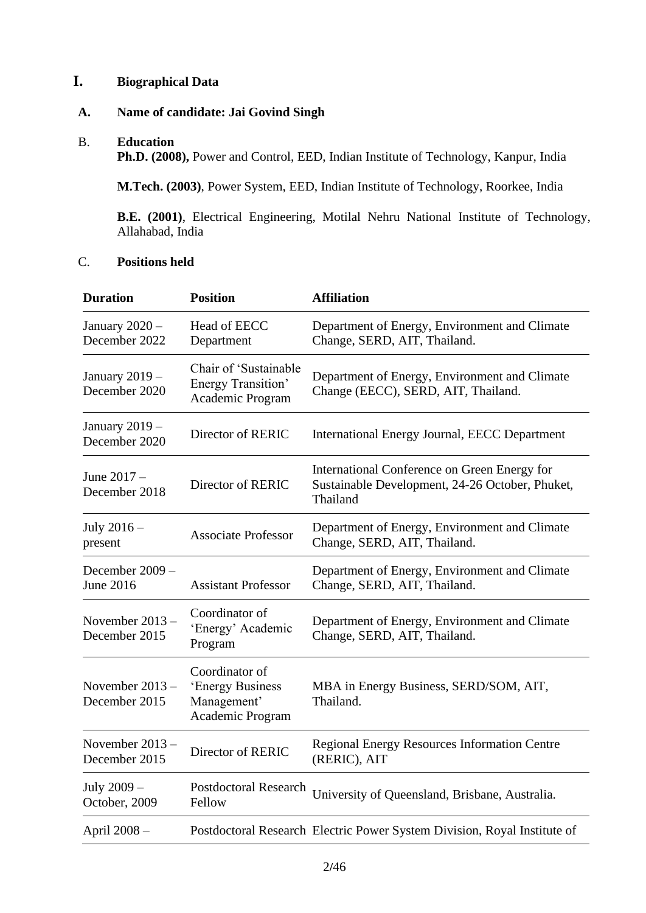## **I. Biographical Data**

#### **A. Name of candidate: Jai Govind Singh**

#### B. **Education**

Ph.D. (2008), Power and Control, EED, Indian Institute of Technology, Kanpur, India

**M.Tech. (2003)**, Power System, EED, Indian Institute of Technology, Roorkee, India

**B.E. (2001)**, Electrical Engineering, Motilal Nehru National Institute of Technology, Allahabad, India

## C. **Positions held**

| <b>Duration</b>                     | <b>Position</b>                                                       | <b>Affiliation</b>                                                                                          |
|-------------------------------------|-----------------------------------------------------------------------|-------------------------------------------------------------------------------------------------------------|
| January $2020 -$<br>December 2022   | Head of EECC<br>Department                                            | Department of Energy, Environment and Climate<br>Change, SERD, AIT, Thailand.                               |
| January 2019 -<br>December 2020     | Chair of 'Sustainable<br>Energy Transition'<br>Academic Program       | Department of Energy, Environment and Climate<br>Change (EECC), SERD, AIT, Thailand.                        |
| January 2019 -<br>December 2020     | Director of RERIC                                                     | International Energy Journal, EECC Department                                                               |
| June 2017 -<br>December 2018        | Director of RERIC                                                     | International Conference on Green Energy for<br>Sustainable Development, 24-26 October, Phuket,<br>Thailand |
| July $2016-$<br>present             | <b>Associate Professor</b>                                            | Department of Energy, Environment and Climate<br>Change, SERD, AIT, Thailand.                               |
| December 2009 -<br><b>June 2016</b> | <b>Assistant Professor</b>                                            | Department of Energy, Environment and Climate<br>Change, SERD, AIT, Thailand.                               |
| November 2013 -<br>December 2015    | Coordinator of<br>'Energy' Academic<br>Program                        | Department of Energy, Environment and Climate<br>Change, SERD, AIT, Thailand.                               |
| November 2013 -<br>December 2015    | Coordinator of<br>'Energy Business<br>Management'<br>Academic Program | MBA in Energy Business, SERD/SOM, AIT,<br>Thailand.                                                         |
| November $2013 -$<br>December 2015  | Director of RERIC                                                     | <b>Regional Energy Resources Information Centre</b><br>(RERIC), AIT                                         |
| July 2009 -<br>October, 2009        | Postdoctoral Research<br>Fellow                                       | University of Queensland, Brisbane, Australia.                                                              |
| April 2008 -                        |                                                                       | Postdoctoral Research Electric Power System Division, Royal Institute of                                    |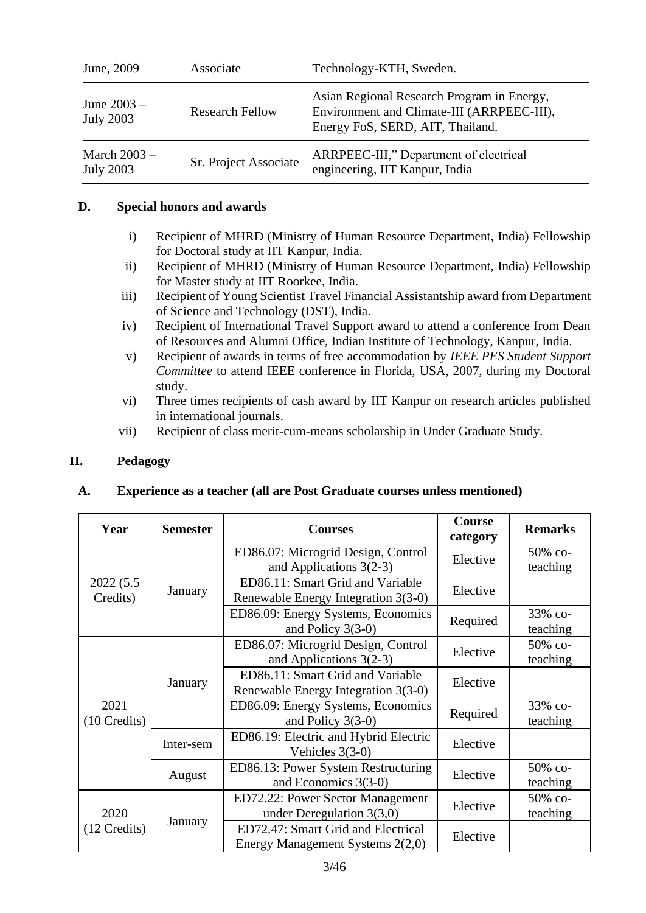| June, 2009                         | Associate              | Technology-KTH, Sweden.                                                                                                      |
|------------------------------------|------------------------|------------------------------------------------------------------------------------------------------------------------------|
| June $2003 -$<br><b>July 2003</b>  | <b>Research Fellow</b> | Asian Regional Research Program in Energy,<br>Environment and Climate-III (ARRPEEC-III),<br>Energy FoS, SERD, AIT, Thailand. |
| March $2003 -$<br><b>July 2003</b> | Sr. Project Associate  | ARRPEEC-III," Department of electrical<br>engineering, IIT Kanpur, India                                                     |

#### **D. Special honors and awards**

- i) Recipient of MHRD (Ministry of Human Resource Department, India) Fellowship for Doctoral study at IIT Kanpur, India.
- ii) Recipient of MHRD (Ministry of Human Resource Department, India) Fellowship for Master study at IIT Roorkee, India.
- iii) Recipient of Young Scientist Travel Financial Assistantship award from Department of Science and Technology (DST), India.
- iv) Recipient of International Travel Support award to attend a conference from Dean of Resources and Alumni Office, Indian Institute of Technology, Kanpur, India.
- v) Recipient of awards in terms of free accommodation by *IEEE PES Student Support Committee* to attend IEEE conference in Florida, USA, 2007, during my Doctoral study.
- vi) Three times recipients of cash award by IIT Kanpur on research articles published in international journals.
- vii) Recipient of class merit-cum-means scholarship in Under Graduate Study.

## **II. Pedagogy**

## **A. Experience as a teacher (all are Post Graduate courses unless mentioned)**

| Year                   | <b>Semester</b> | <b>Courses</b>                                                          | Course<br>category | <b>Remarks</b>      |
|------------------------|-----------------|-------------------------------------------------------------------------|--------------------|---------------------|
|                        |                 | ED86.07: Microgrid Design, Control<br>and Applications $3(2-3)$         | Elective           | 50% co-<br>teaching |
| 2022 (5.5)<br>Credits) | January         | ED86.11: Smart Grid and Variable<br>Renewable Energy Integration 3(3-0) | Elective           |                     |
|                        |                 | ED86.09: Energy Systems, Economics<br>and Policy $3(3-0)$               | Required           | 33% со-<br>teaching |
|                        | January         | ED86.07: Microgrid Design, Control<br>and Applications $3(2-3)$         | Elective           | 50% со-<br>teaching |
|                        |                 | ED86.11: Smart Grid and Variable<br>Renewable Energy Integration 3(3-0) | Elective           |                     |
| 2021<br>(10 Credits)   |                 | ED86.09: Energy Systems, Economics<br>and Policy $3(3-0)$               | Required           | 33% со-<br>teaching |
|                        | Inter-sem       | ED86.19: Electric and Hybrid Electric<br>Vehicles $3(3-0)$              | Elective           |                     |
|                        | August          | ED86.13: Power System Restructuring<br>and Economics 3(3-0)             |                    | 50% co-<br>teaching |
| 2020<br>$(12$ Credits) |                 | ED72.22: Power Sector Management<br>under Deregulation $3(3,0)$         | Elective           | 50% со-<br>teaching |
|                        | January         | ED72.47: Smart Grid and Electrical<br>Energy Management Systems 2(2,0)  | Elective           |                     |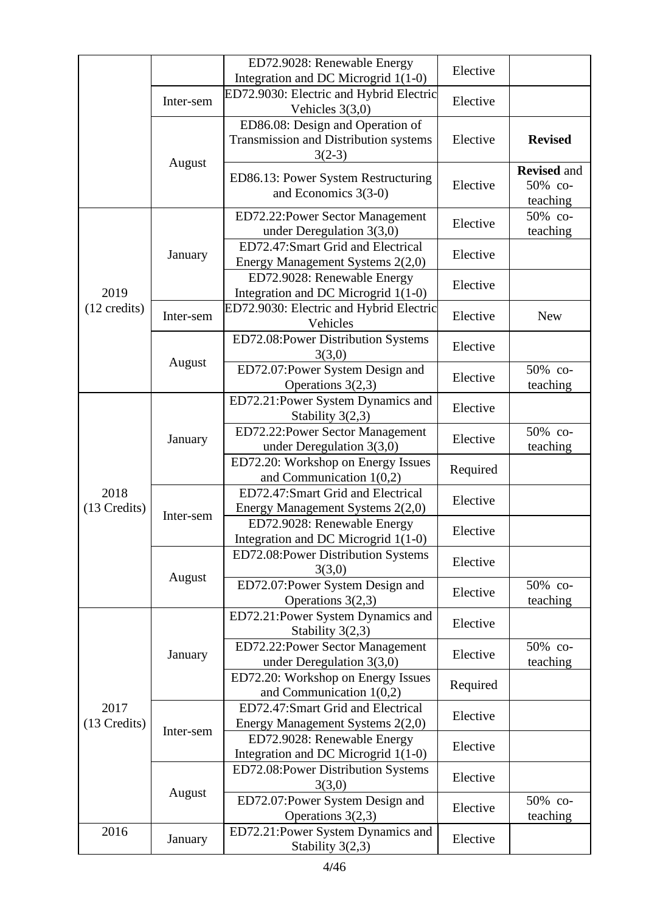|                        |                   | ED72.9028: Renewable Energy<br>Integration and DC Microgrid 1(1-0)                    | Elective |                                           |
|------------------------|-------------------|---------------------------------------------------------------------------------------|----------|-------------------------------------------|
|                        | Inter-sem         | ED72.9030: Electric and Hybrid Electric<br>Vehicles $3(3,0)$                          | Elective |                                           |
|                        | August            | ED86.08: Design and Operation of<br>Transmission and Distribution systems<br>$3(2-3)$ | Elective | <b>Revised</b>                            |
|                        |                   | ED86.13: Power System Restructuring<br>and Economics $3(3-0)$                         | Elective | <b>Revised and</b><br>50% co-<br>teaching |
|                        |                   | ED72.22: Power Sector Management<br>under Deregulation $3(3,0)$                       | Elective | 50% со-<br>teaching                       |
|                        | January           | ED72.47:Smart Grid and Electrical<br>Energy Management Systems 2(2,0)                 | Elective |                                           |
| 2019                   |                   | ED72.9028: Renewable Energy<br>Integration and DC Microgrid 1(1-0)                    | Elective |                                           |
| $(12 \text{ credits})$ | Inter-sem         | ED72.9030: Electric and Hybrid Electric<br>Vehicles                                   | Elective | <b>New</b>                                |
|                        |                   | ED72.08: Power Distribution Systems<br>3(3,0)                                         | Elective |                                           |
|                        | August            | ED72.07: Power System Design and<br>Operations $3(2,3)$                               | Elective | 50% co-<br>teaching                       |
|                        | January           | ED72.21: Power System Dynamics and<br>Stability $3(2,3)$                              | Elective |                                           |
|                        |                   | ED72.22: Power Sector Management<br>under Deregulation $3(3,0)$                       | Elective | 50% со-<br>teaching                       |
|                        |                   | ED72.20: Workshop on Energy Issues<br>and Communication $1(0,2)$                      | Required |                                           |
| 2018<br>(13 Credits)   | Inter-sem         | ED72.47:Smart Grid and Electrical<br>Energy Management Systems 2(2,0)                 | Elective |                                           |
|                        |                   | ED72.9028: Renewable Energy<br>Integration and DC Microgrid 1(1-0)                    | Elective |                                           |
|                        | August<br>January | ED72.08: Power Distribution Systems<br>3(3,0)                                         | Elective |                                           |
|                        |                   | ED72.07: Power System Design and<br>Operations $3(2,3)$                               | Elective | 50% co-<br>teaching                       |
|                        |                   | ED72.21: Power System Dynamics and<br>Stability $3(2,3)$                              | Elective |                                           |
|                        |                   | ED72.22: Power Sector Management<br>under Deregulation $3(3,0)$                       | Elective | 50% со-<br>teaching                       |
| 2017<br>(13 Credits)   |                   | ED72.20: Workshop on Energy Issues<br>and Communication $1(0,2)$                      | Required |                                           |
|                        |                   | ED72.47:Smart Grid and Electrical<br>Energy Management Systems 2(2,0)                 | Elective |                                           |
|                        | Inter-sem         | ED72.9028: Renewable Energy<br>Integration and DC Microgrid 1(1-0)                    | Elective |                                           |
|                        |                   | ED72.08: Power Distribution Systems<br>3(3,0)                                         | Elective |                                           |
|                        | August            | ED72.07: Power System Design and<br>Operations $3(2,3)$                               | Elective | 50% co-<br>teaching                       |
| 2016                   | January           | ED72.21: Power System Dynamics and<br>Stability $3(2,3)$                              | Elective |                                           |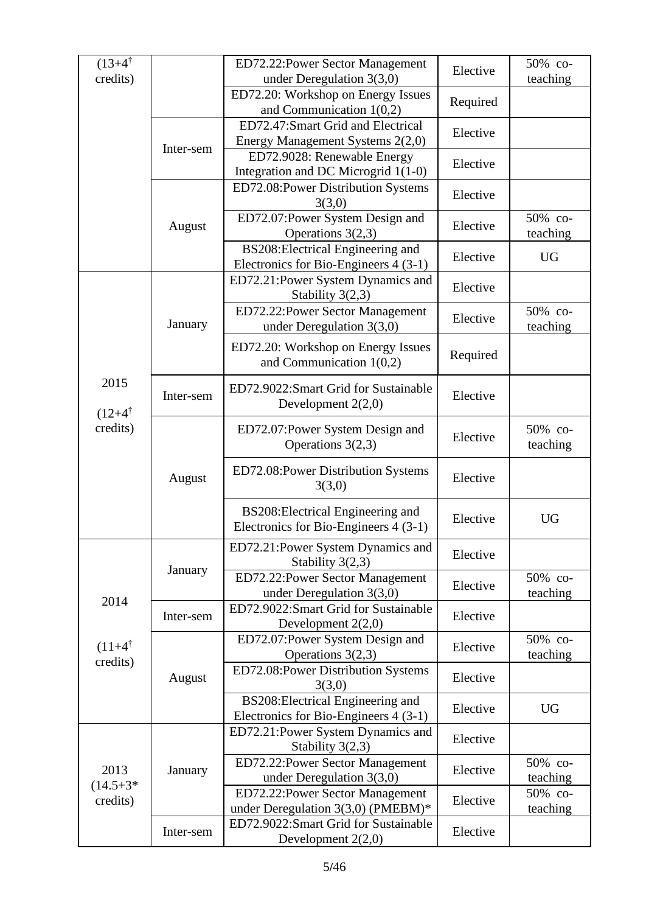| $(13+4^{\dagger})$             |           |                                                                            |          | 50% co-             |
|--------------------------------|-----------|----------------------------------------------------------------------------|----------|---------------------|
| credits)                       |           | ED72.22: Power Sector Management<br>under Deregulation $3(3,0)$            | Elective | teaching            |
|                                |           | ED72.20: Workshop on Energy Issues<br>and Communication $1(0,2)$           | Required |                     |
|                                |           | ED72.47:Smart Grid and Electrical<br>Energy Management Systems 2(2,0)      | Elective |                     |
|                                | Inter-sem | ED72.9028: Renewable Energy<br>Integration and DC Microgrid 1(1-0)         | Elective |                     |
|                                |           | ED72.08: Power Distribution Systems<br>3(3,0)                              | Elective |                     |
|                                | August    | ED72.07: Power System Design and<br>Operations $3(2,3)$                    | Elective | 50% со-<br>teaching |
|                                |           | BS208: Electrical Engineering and<br>Electronics for Bio-Engineers 4 (3-1) | Elective | <b>UG</b>           |
|                                |           | ED72.21: Power System Dynamics and<br>Stability $3(2,3)$                   | Elective |                     |
|                                | January   | ED72.22: Power Sector Management<br>under Deregulation $3(3,0)$            | Elective | 50% со-<br>teaching |
|                                |           | ED72.20: Workshop on Energy Issues<br>and Communication $1(0,2)$           | Required |                     |
| 2015<br>$(12+4^{\dagger})$     | Inter-sem | ED72.9022:Smart Grid for Sustainable<br>Development $2(2,0)$               | Elective |                     |
| credits)                       | August    | ED72.07: Power System Design and<br>Operations 3(2,3)                      | Elective | 50% co-<br>teaching |
|                                |           | ED72.08: Power Distribution Systems<br>3(3,0)                              | Elective |                     |
|                                |           | BS208: Electrical Engineering and<br>Electronics for Bio-Engineers 4 (3-1) | Elective | <b>UG</b>           |
|                                |           | ED72.21: Power System Dynamics and<br>Stability $3(2,3)$                   | Elective |                     |
| 2014                           | January   | ED72.22: Power Sector Management<br>under Deregulation $3(3,0)$            | Elective | 50% со-<br>teaching |
|                                | Inter-sem | ED72.9022:Smart Grid for Sustainable<br>Development $2(2,0)$               | Elective |                     |
| $(11+4^{\dagger})$<br>credits) |           | ED72.07: Power System Design and<br>Operations $3(2,3)$                    | Elective | 50% со-<br>teaching |
|                                | August    | ED72.08:Power Distribution Systems<br>3(3,0)                               | Elective |                     |
|                                |           | BS208: Electrical Engineering and<br>Electronics for Bio-Engineers 4 (3-1) | Elective | <b>UG</b>           |
|                                |           | ED72.21: Power System Dynamics and<br>Stability $3(2,3)$                   | Elective |                     |
| 2013<br>$(14.5 + 3)$           | January   | ED72.22: Power Sector Management<br>under Deregulation $3(3,0)$            | Elective | 50% co-<br>teaching |
| credits)                       |           | ED72.22: Power Sector Management<br>under Deregulation $3(3,0)$ (PMEBM)*   | Elective | 50% co-<br>teaching |
|                                | Inter-sem | ED72.9022:Smart Grid for Sustainable<br>Development $2(2,0)$               | Elective |                     |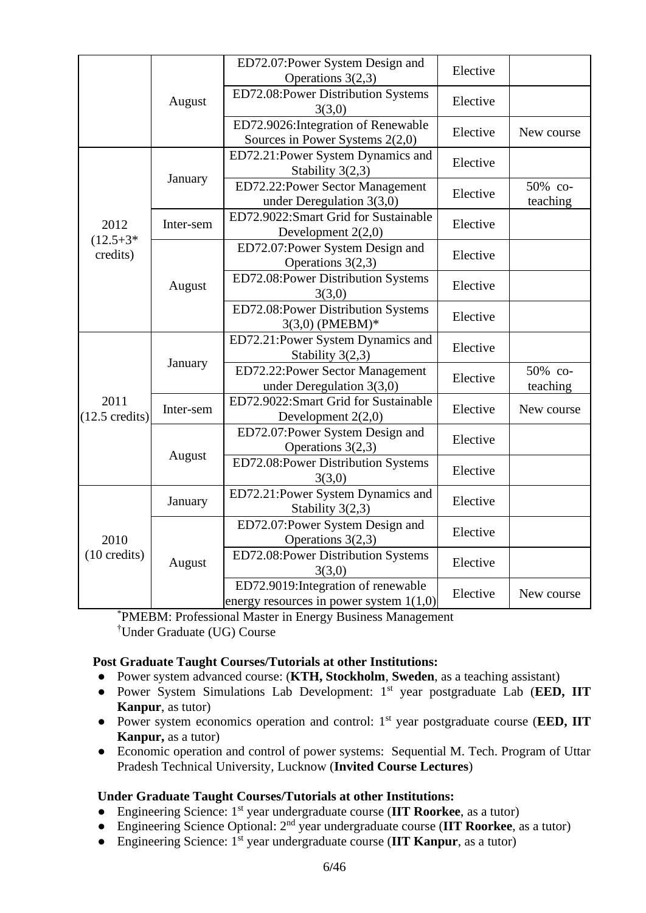|                                  |           | ED72.07: Power System Design and<br>Operations $3(2,3)$                          | Elective |                     |
|----------------------------------|-----------|----------------------------------------------------------------------------------|----------|---------------------|
|                                  | August    | ED72.08:Power Distribution Systems<br>3(3,0)                                     | Elective |                     |
|                                  |           | ED72.9026: Integration of Renewable<br>Sources in Power Systems $2(2,0)$         | Elective | New course          |
|                                  |           | ED72.21: Power System Dynamics and<br>Stability 3(2,3)                           | Elective |                     |
|                                  | January   | ED72.22: Power Sector Management<br>under Deregulation $3(3,0)$                  | Elective | 50% со-<br>teaching |
| 2012                             | Inter-sem | ED72.9022:Smart Grid for Sustainable<br>Development $2(2,0)$                     | Elective |                     |
| $(12.5 + 3)$<br>credits)         |           | ED72.07: Power System Design and<br>Operations 3(2,3)                            | Elective |                     |
|                                  | August    | ED72.08:Power Distribution Systems<br>3(3,0)                                     | Elective |                     |
|                                  |           | ED72.08:Power Distribution Systems<br>3(3,0) (PMEBM)*                            | Elective |                     |
|                                  | January   | ED72.21: Power System Dynamics and<br>Stability $3(2,3)$                         | Elective |                     |
|                                  |           | ED72.22: Power Sector Management<br>under Deregulation $3(3,0)$                  | Elective | 50% со-<br>teaching |
| 2011<br>$(12.5 \text{ credits})$ | Inter-sem | ED72.9022:Smart Grid for Sustainable<br>Development $2(2,0)$                     | Elective | New course          |
|                                  | August    | ED72.07: Power System Design and<br>Operations 3(2,3)                            | Elective |                     |
|                                  |           | ED72.08:Power Distribution Systems<br>3(3,0)                                     | Elective |                     |
| 2010<br>$(10 \text{ credits})$   | January   | ED72.21: Power System Dynamics and<br>Stability $3(2,3)$                         | Elective |                     |
|                                  |           | ED72.07:Power System Design and<br>Operations $3(2,3)$                           | Elective |                     |
|                                  | August    | ED72.08:Power Distribution Systems<br>3(3,0)                                     | Elective |                     |
|                                  |           | ED72.9019: Integration of renewable<br>energy resources in power system $1(1,0)$ | Elective | New course          |

\*PMEBM: Professional Master in Energy Business Management †Under Graduate (UG) Course

## **Post Graduate Taught Courses/Tutorials at other Institutions:**

- Power system advanced course: (**KTH, Stockholm**, **Sweden**, as a teaching assistant)
- Power System Simulations Lab Development: 1st year postgraduate Lab (**EED, IIT Kanpur**, as tutor)
- Power system economics operation and control: 1st year postgraduate course (**EED, IIT Kanpur,** as a tutor)
- Economic operation and control of power systems: Sequential M. Tech. Program of Uttar Pradesh Technical University, Lucknow (**Invited Course Lectures**)

#### **Under Graduate Taught Courses/Tutorials at other Institutions:**

- Engineering Science: 1st year undergraduate course (**IIT Roorkee**, as a tutor)
- Engineering Science Optional: 2nd year undergraduate course (**IIT Roorkee**, as a tutor)
- Engineering Science: 1st year undergraduate course (**IIT Kanpur**, as a tutor)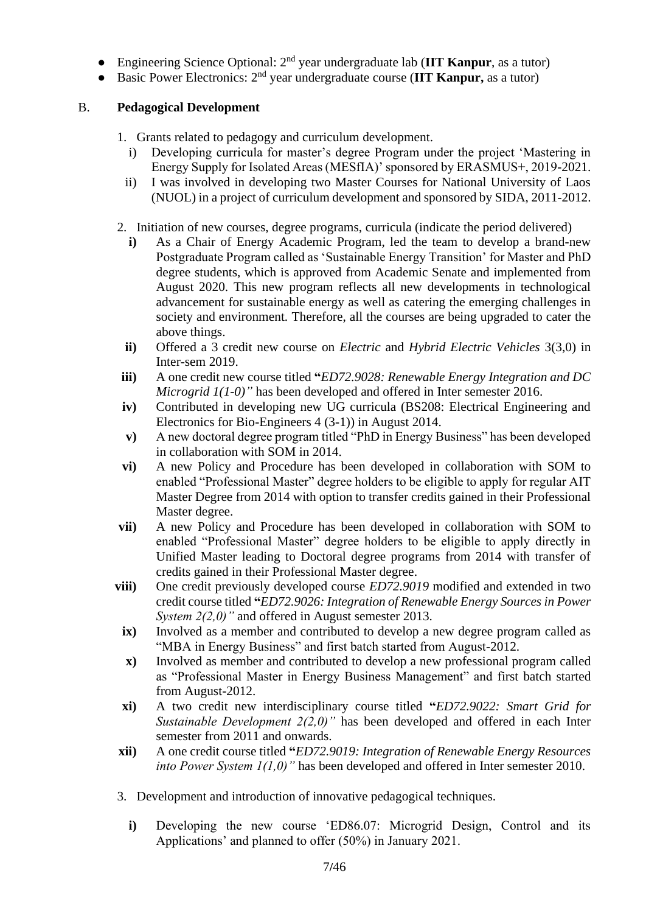- Engineering Science Optional: 2nd year undergraduate lab (**IIT Kanpur**, as a tutor)
- Basic Power Electronics: 2 nd year undergraduate course (**IIT Kanpur,** as a tutor)

## B. **Pedagogical Development**

- 1. Grants related to pedagogy and curriculum development.
	- i) Developing curricula for master's degree Program under the project 'Mastering in Energy Supply for Isolated Areas (MESfIA)' sponsored by ERASMUS+, 2019-2021.
	- ii) I was involved in developing two Master Courses for National University of Laos (NUOL) in a project of curriculum development and sponsored by SIDA, 2011-2012.
- 2. Initiation of new courses, degree programs, curricula (indicate the period delivered)
	- **i)** As a Chair of Energy Academic Program, led the team to develop a brand-new Postgraduate Program called as 'Sustainable Energy Transition' for Master and PhD degree students, which is approved from Academic Senate and implemented from August 2020. This new program reflects all new developments in technological advancement for sustainable energy as well as catering the emerging challenges in society and environment. Therefore, all the courses are being upgraded to cater the above things.
	- **ii)** Offered a 3 credit new course on *Electric* and *Hybrid Electric Vehicles* 3(3,0) in Inter-sem 2019.
- **iii)** A one credit new course titled **"***ED72.9028: Renewable Energy Integration and DC Microgrid 1(1-0)"* has been developed and offered in Inter semester 2016.
- **iv)** Contributed in developing new UG curricula (BS208: Electrical Engineering and Electronics for Bio-Engineers 4 (3-1)) in August 2014.
- **v)** A new doctoral degree program titled "PhD in Energy Business" has been developed in collaboration with SOM in 2014.
- **vi)** A new Policy and Procedure has been developed in collaboration with SOM to enabled "Professional Master" degree holders to be eligible to apply for regular AIT Master Degree from 2014 with option to transfer credits gained in their Professional Master degree.
- **vii)** A new Policy and Procedure has been developed in collaboration with SOM to enabled "Professional Master" degree holders to be eligible to apply directly in Unified Master leading to Doctoral degree programs from 2014 with transfer of credits gained in their Professional Master degree.
- **viii)** One credit previously developed course *ED72.9019* modified and extended in two credit course titled **"***ED72.9026: Integration of Renewable Energy Sources in Power System 2(2,0)"* and offered in August semester 2013.
- **ix)** Involved as a member and contributed to develop a new degree program called as "MBA in Energy Business" and first batch started from August-2012.
- **x)** Involved as member and contributed to develop a new professional program called as "Professional Master in Energy Business Management" and first batch started from August-2012.
- **xi)** A two credit new interdisciplinary course titled **"***ED72.9022: Smart Grid for Sustainable Development 2(2,0)"* has been developed and offered in each Inter semester from 2011 and onwards.
- **xii)** A one credit course titled **"***ED72.9019: Integration of Renewable Energy Resources into Power System 1(1,0)"* has been developed and offered in Inter semester 2010.
- 3. Development and introduction of innovative pedagogical techniques.
	- **i)** Developing the new course 'ED86.07: Microgrid Design, Control and its Applications' and planned to offer (50%) in January 2021.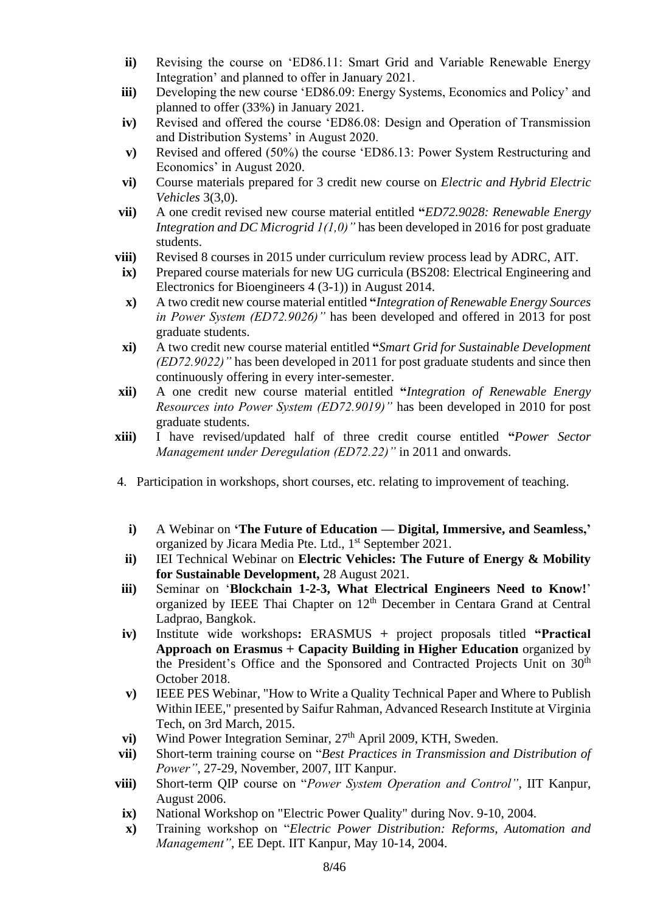- **ii)** Revising the course on 'ED86.11: Smart Grid and Variable Renewable Energy Integration' and planned to offer in January 2021.
- **iii)** Developing the new course 'ED86.09: Energy Systems, Economics and Policy' and planned to offer (33%) in January 2021.
- **iv)** Revised and offered the course 'ED86.08: Design and Operation of Transmission and Distribution Systems' in August 2020.
- **v)** Revised and offered (50%) the course 'ED86.13: Power System Restructuring and Economics' in August 2020.
- **vi)** Course materials prepared for 3 credit new course on *Electric and Hybrid Electric Vehicles* 3(3,0).
- **vii)** A one credit revised new course material entitled **"***ED72.9028: Renewable Energy Integration and DC Microgrid 1(1,0)"* has been developed in 2016 for post graduate students.
- **viii)** Revised 8 courses in 2015 under curriculum review process lead by ADRC, AIT.
- **ix**) Prepared course materials for new UG curricula (BS208: Electrical Engineering and Electronics for Bioengineers 4 (3-1)) in August 2014.
- **x)** A two credit new course material entitled **"***Integration of Renewable Energy Sources in Power System (ED72.9026)"* has been developed and offered in 2013 for post graduate students.
- **xi)** A two credit new course material entitled **"***Smart Grid for Sustainable Development (ED72.9022)"* has been developed in 2011 for post graduate students and since then continuously offering in every inter-semester.
- **xii)** A one credit new course material entitled **"***Integration of Renewable Energy Resources into Power System (ED72.9019)"* has been developed in 2010 for post graduate students.
- **xiii)** I have revised/updated half of three credit course entitled **"***Power Sector Management under Deregulation (ED72.22)"* in 2011 and onwards.
- 4. Participation in workshops, short courses, etc. relating to improvement of teaching.
	- **i)** A Webinar on **'The Future of Education — Digital, Immersive, and Seamless,'** organized by Jicara Media Pte. Ltd., 1<sup>st</sup> September 2021.
- **ii)** IEI Technical Webinar on **Electric Vehicles: The Future of Energy & Mobility for Sustainable Development,** 28 August 2021.
- **iii)** Seminar on '**Blockchain 1-2-3, What Electrical Engineers Need to Know!**' organized by IEEE Thai Chapter on 12<sup>th</sup> December in Centara Grand at Central Ladprao, Bangkok.
- **iv)** Institute wide workshops**:** ERASMUS **+** project proposals titled **"Practical Approach on Erasmus + Capacity Building in Higher Education** organized by the President's Office and the Sponsored and Contracted Projects Unit on 30<sup>th</sup> October 2018.
- **v)** IEEE PES Webinar, "How to Write a Quality Technical Paper and Where to Publish Within IEEE," presented by Saifur Rahman, Advanced Research Institute at Virginia Tech, on 3rd March, 2015.
- **vi**) Wind Power Integration Seminar,  $27<sup>th</sup>$  April 2009, KTH, Sweden.
- **vii)** Short-term training course on "*Best Practices in Transmission and Distribution of Power"*, 27-29, November, 2007, IIT Kanpur.
- **viii)** Short-term QIP course on "*Power System Operation and Control"*, IIT Kanpur, August 2006.
- **ix**) National Workshop on "Electric Power Quality" during Nov. 9-10, 2004.
- **x)** Training workshop on "*Electric Power Distribution: Reforms, Automation and Management"*, EE Dept. IIT Kanpur, May 10-14, 2004.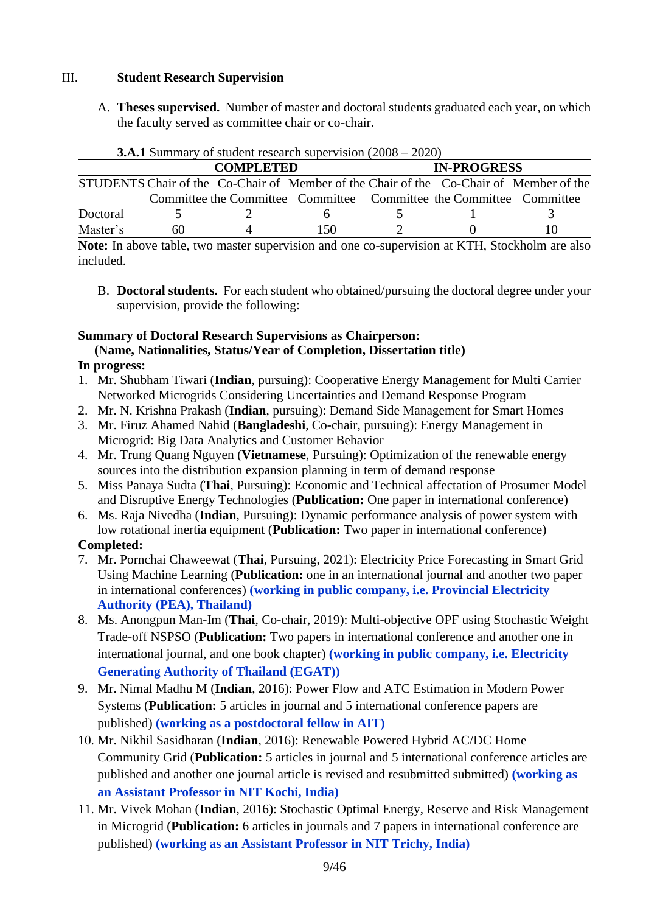## III. **Student Research Supervision**

A. **Theses supervised.** Number of master and doctoral students graduated each year, on which the faculty served as committee chair or co-chair.

|          |    | <b>COMPLETED</b> |                                                                                               | <b>IN-PROGRESS</b> |  |  |  |
|----------|----|------------------|-----------------------------------------------------------------------------------------------|--------------------|--|--|--|
|          |    |                  | <b>STUDENTS</b> Chair of the Co-Chair of Member of the Chair of the Co-Chair of Member of the |                    |  |  |  |
|          |    |                  | Committee the Committee Committee   Committee the Committee Committee                         |                    |  |  |  |
| Doctoral |    |                  |                                                                                               |                    |  |  |  |
| Master's | 60 |                  | 150                                                                                           |                    |  |  |  |

**3.A.1** Summary of student research supervision (2008 – 2020)

**Note:** In above table, two master supervision and one co-supervision at KTH, Stockholm are also included.

B. **Doctoral students.** For each student who obtained/pursuing the doctoral degree under your supervision, provide the following:

# **Summary of Doctoral Research Supervisions as Chairperson:**

## **(Name, Nationalities, Status/Year of Completion, Dissertation title)**

## **In progress:**

- 1. Mr. Shubham Tiwari (**Indian**, pursuing): Cooperative Energy Management for Multi Carrier Networked Microgrids Considering Uncertainties and Demand Response Program
- 2. Mr. N. Krishna Prakash (**Indian**, pursuing): Demand Side Management for Smart Homes
- 3. Mr. Firuz Ahamed Nahid (**Bangladeshi**, Co-chair, pursuing): Energy Management in Microgrid: Big Data Analytics and Customer Behavior
- 4. Mr. Trung Quang Nguyen (**Vietnamese**, Pursuing): Optimization of the renewable energy sources into the distribution expansion planning in term of demand response
- 5. Miss Panaya Sudta (**Thai**, Pursuing): Economic and Technical affectation of Prosumer Model and Disruptive Energy Technologies (**Publication:** One paper in international conference)
- 6. Ms. Raja Nivedha (**Indian**, Pursuing): Dynamic performance analysis of power system with low rotational inertia equipment (**Publication:** Two paper in international conference)

## **Completed:**

- 7. Mr. Pornchai Chaweewat (**Thai**, Pursuing, 2021): Electricity Price Forecasting in Smart Grid Using Machine Learning (**Publication:** one in an international journal and another two paper in international conferences) **(working in public company, i.e. Provincial Electricity Authority (PEA), Thailand)**
- 8. Ms. Anongpun Man-Im (**Thai**, Co-chair, 2019): Multi-objective OPF using Stochastic Weight Trade-off NSPSO (**Publication:** Two papers in international conference and another one in international journal, and one book chapter) **(working in public company, i.e. Electricity Generating Authority of Thailand (EGAT))**
- 9. Mr. Nimal Madhu M (**Indian**, 2016): Power Flow and ATC Estimation in Modern Power Systems (**Publication:** 5 articles in journal and 5 international conference papers are published) **(working as a postdoctoral fellow in AIT)**
- 10. Mr. Nikhil Sasidharan (**Indian**, 2016): Renewable Powered Hybrid AC/DC Home Community Grid (**Publication:** 5 articles in journal and 5 international conference articles are published and another one journal article is revised and resubmitted submitted) **(working as an Assistant Professor in NIT Kochi, India)**
- 11. Mr. Vivek Mohan (**Indian**, 2016): Stochastic Optimal Energy, Reserve and Risk Management in Microgrid (**Publication:** 6 articles in journals and 7 papers in international conference are published) **(working as an Assistant Professor in NIT Trichy, India)**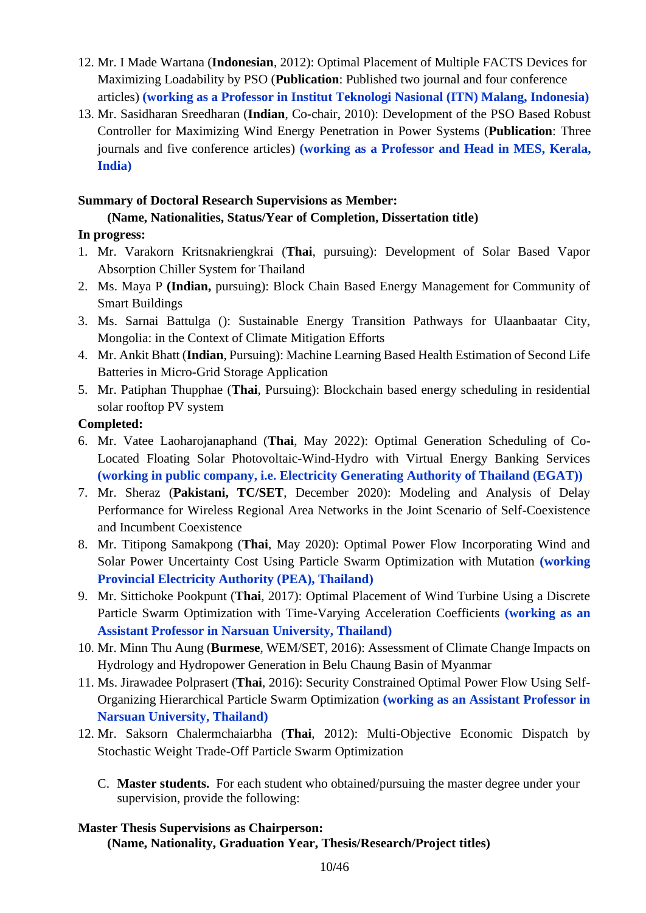- 12. Mr. I Made Wartana (**Indonesian**, 2012): Optimal Placement of Multiple FACTS Devices for Maximizing Loadability by PSO (**Publication**: Published two journal and four conference articles) **(working as a Professor in Institut Teknologi Nasional (ITN) Malang, Indonesia)**
- 13. Mr. Sasidharan Sreedharan (**Indian**, Co-chair, 2010): Development of the PSO Based Robust Controller for Maximizing Wind Energy Penetration in Power Systems (**Publication**: Three journals and five conference articles) **(working as a Professor and Head in MES, Kerala, India)**

## **Summary of Doctoral Research Supervisions as Member:**

## **(Name, Nationalities, Status/Year of Completion, Dissertation title)**

## **In progress:**

- 1. Mr. Varakorn Kritsnakriengkrai (**Thai**, pursuing): Development of Solar Based Vapor Absorption Chiller System for Thailand
- 2. Ms. Maya P **(Indian,** pursuing): Block Chain Based Energy Management for Community of Smart Buildings
- 3. Ms. Sarnai Battulga (): Sustainable Energy Transition Pathways for Ulaanbaatar City, Mongolia: in the Context of Climate Mitigation Efforts
- 4. Mr. Ankit Bhatt (**Indian**, Pursuing): Machine Learning Based Health Estimation of Second Life Batteries in Micro-Grid Storage Application
- 5. Mr. Patiphan Thupphae (**Thai**, Pursuing): Blockchain based energy scheduling in residential solar rooftop PV system

## **Completed:**

- 6. Mr. Vatee Laoharojanaphand (**Thai**, May 2022): Optimal Generation Scheduling of Co-Located Floating Solar Photovoltaic-Wind-Hydro with Virtual Energy Banking Services **(working in public company, i.e. Electricity Generating Authority of Thailand (EGAT))**
- 7. Mr. Sheraz (**Pakistani, TC/SET**, December 2020): Modeling and Analysis of Delay Performance for Wireless Regional Area Networks in the Joint Scenario of Self-Coexistence and Incumbent Coexistence
- 8. Mr. Titipong Samakpong (**Thai**, May 2020): Optimal Power Flow Incorporating Wind and Solar Power Uncertainty Cost Using Particle Swarm Optimization with Mutation **(working Provincial Electricity Authority (PEA), Thailand)**
- 9. Mr. Sittichoke Pookpunt (**Thai**, 2017): Optimal Placement of Wind Turbine Using a Discrete Particle Swarm Optimization with Time-Varying Acceleration Coefficients **(working as an Assistant Professor in Narsuan University, Thailand)**
- 10. Mr. Minn Thu Aung (**Burmese**, WEM/SET, 2016): Assessment of Climate Change Impacts on Hydrology and Hydropower Generation in Belu Chaung Basin of Myanmar
- 11. Ms. Jirawadee Polprasert (**Thai**, 2016): Security Constrained Optimal Power Flow Using Self-Organizing Hierarchical Particle Swarm Optimization **(working as an Assistant Professor in Narsuan University, Thailand)**
- 12. Mr. Saksorn Chalermchaiarbha (**Thai**, 2012): Multi-Objective Economic Dispatch by Stochastic Weight Trade-Off Particle Swarm Optimization
	- C. **Master students.** For each student who obtained/pursuing the master degree under your supervision, provide the following:

## **Master Thesis Supervisions as Chairperson: (Name, Nationality, Graduation Year, Thesis/Research/Project titles)**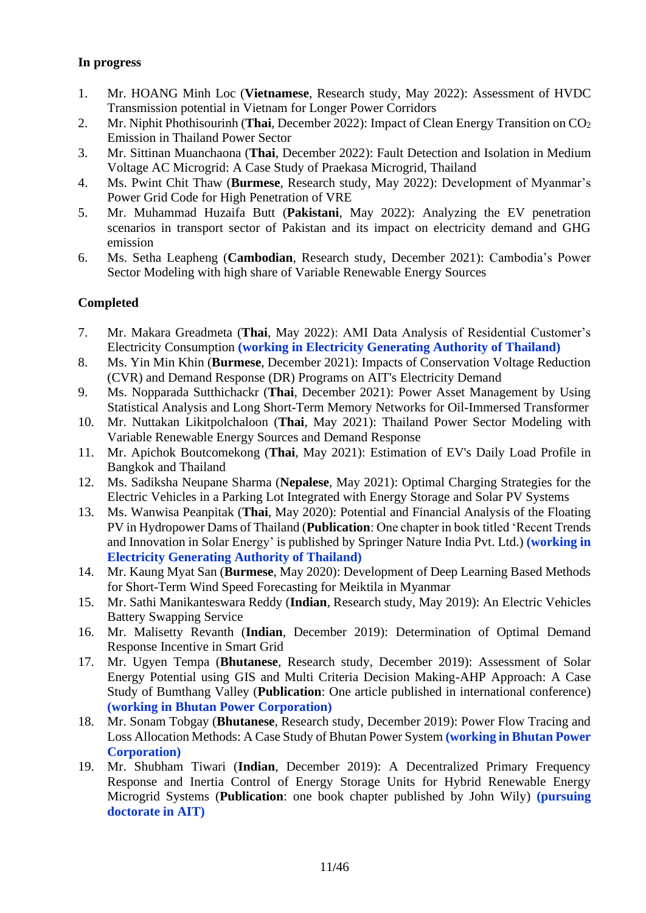## **In progress**

- 1. Mr. HOANG Minh Loc (**Vietnamese**, Research study, May 2022): Assessment of HVDC Transmission potential in Vietnam for Longer Power Corridors
- 2. Mr. Niphit Phothisourinh (Thai, December 2022): Impact of Clean Energy Transition on CO<sub>2</sub> Emission in Thailand Power Sector
- 3. Mr. Sittinan Muanchaona (**Thai**, December 2022): Fault Detection and Isolation in Medium Voltage AC Microgrid: A Case Study of Praekasa Microgrid, Thailand
- 4. Ms. Pwint Chit Thaw (**Burmese**, Research study, May 2022): Development of Myanmar's Power Grid Code for High Penetration of VRE
- 5. Mr. Muhammad Huzaifa Butt (**Pakistani**, May 2022): Analyzing the EV penetration scenarios in transport sector of Pakistan and its impact on electricity demand and GHG emission
- 6. Ms. Setha Leapheng (**Cambodian**, Research study, December 2021): Cambodia's Power Sector Modeling with high share of Variable Renewable Energy Sources

## **Completed**

- 7. Mr. Makara Greadmeta (**Thai**, May 2022): AMI Data Analysis of Residential Customer's Electricity Consumption **(working in Electricity Generating Authority of Thailand)**
- 8. Ms. Yin Min Khin (**Burmese**, December 2021): Impacts of Conservation Voltage Reduction (CVR) and Demand Response (DR) Programs on AIT's Electricity Demand
- 9. Ms. Nopparada Sutthichackr (**Thai**, December 2021): Power Asset Management by Using Statistical Analysis and Long Short-Term Memory Networks for Oil-Immersed Transformer
- 10. Mr. Nuttakan Likitpolchaloon (**Thai**, May 2021): Thailand Power Sector Modeling with Variable Renewable Energy Sources and Demand Response
- 11. Mr. Apichok Boutcomekong (**Thai**, May 2021): Estimation of EV's Daily Load Profile in Bangkok and Thailand
- 12. Ms. Sadiksha Neupane Sharma (**Nepalese**, May 2021): Optimal Charging Strategies for the Electric Vehicles in a Parking Lot Integrated with Energy Storage and Solar PV Systems
- 13. Ms. Wanwisa Peanpitak (**Thai**, May 2020): Potential and Financial Analysis of the Floating PV in Hydropower Dams of Thailand (**Publication**: One chapter in book titled 'Recent Trends and Innovation in Solar Energy' is published by Springer Nature India Pvt. Ltd.) **(working in Electricity Generating Authority of Thailand)**
- 14. Mr. Kaung Myat San (**Burmese**, May 2020): Development of Deep Learning Based Methods for Short-Term Wind Speed Forecasting for Meiktila in Myanmar
- 15. Mr. Sathi Manikanteswara Reddy (**Indian**, Research study, May 2019): An Electric Vehicles Battery Swapping Service
- 16. Mr. Malisetty Revanth (**Indian**, December 2019): Determination of Optimal Demand Response Incentive in Smart Grid
- 17. Mr. Ugyen Tempa (**Bhutanese**, Research study, December 2019): Assessment of Solar Energy Potential using GIS and Multi Criteria Decision Making-AHP Approach: A Case Study of Bumthang Valley (**Publication**: One article published in international conference) **(working in Bhutan Power Corporation)**
- 18. Mr. Sonam Tobgay (**Bhutanese**, Research study, December 2019): Power Flow Tracing and Loss Allocation Methods: A Case Study of Bhutan Power System **(working in Bhutan Power Corporation)**
- 19. Mr. Shubham Tiwari (**Indian**, December 2019): A Decentralized Primary Frequency Response and Inertia Control of Energy Storage Units for Hybrid Renewable Energy Microgrid Systems (**Publication**: one book chapter published by John Wily) **(pursuing doctorate in AIT)**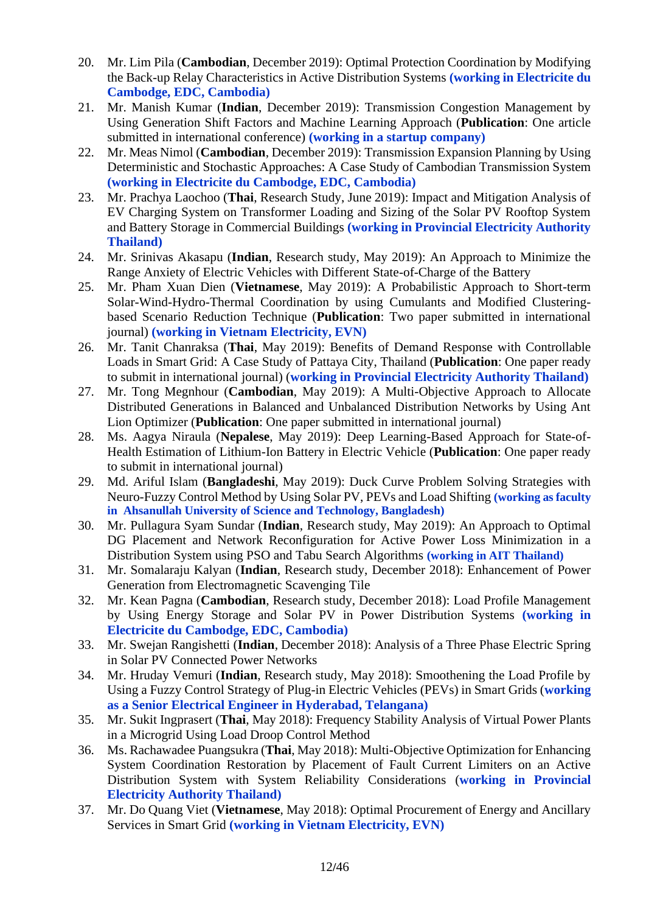- 20. Mr. Lim Pila (**Cambodian**, December 2019): Optimal Protection Coordination by Modifying the Back-up Relay Characteristics in Active Distribution Systems **(working in Electricite du Cambodge, EDC, Cambodia)**
- 21. Mr. Manish Kumar (**Indian**, December 2019): Transmission Congestion Management by Using Generation Shift Factors and Machine Learning Approach (**Publication**: One article submitted in international conference) **(working in a startup company)**
- 22. Mr. Meas Nimol (**Cambodian**, December 2019): Transmission Expansion Planning by Using Deterministic and Stochastic Approaches: A Case Study of Cambodian Transmission System **(working in Electricite du Cambodge, EDC, Cambodia)**
- 23. Mr. Prachya Laochoo (**Thai**, Research Study, June 2019): Impact and Mitigation Analysis of EV Charging System on Transformer Loading and Sizing of the Solar PV Rooftop System and Battery Storage in Commercial Buildings **(working in Provincial Electricity Authority Thailand)**
- 24. Mr. Srinivas Akasapu (**Indian**, Research study, May 2019): An Approach to Minimize the Range Anxiety of Electric Vehicles with Different State-of-Charge of the Battery
- 25. Mr. Pham Xuan Dien (**Vietnamese**, May 2019): A Probabilistic Approach to Short-term Solar-Wind-Hydro-Thermal Coordination by using Cumulants and Modified Clusteringbased Scenario Reduction Technique (**Publication**: Two paper submitted in international journal) **(working in Vietnam Electricity, EVN)**
- 26. Mr. Tanit Chanraksa (**Thai**, May 2019): Benefits of Demand Response with Controllable Loads in Smart Grid: A Case Study of Pattaya City, Thailand (**Publication**: One paper ready to submit in international journal) (**working in Provincial Electricity Authority Thailand)**
- 27. Mr. Tong Megnhour (**Cambodian**, May 2019): A Multi-Objective Approach to Allocate Distributed Generations in Balanced and Unbalanced Distribution Networks by Using Ant Lion Optimizer (**Publication**: One paper submitted in international journal)
- 28. Ms. Aagya Niraula (**Nepalese**, May 2019): Deep Learning-Based Approach for State-of-Health Estimation of Lithium-Ion Battery in Electric Vehicle (**Publication**: One paper ready to submit in international journal)
- 29. Md. Ariful Islam (**Bangladeshi**, May 2019): Duck Curve Problem Solving Strategies with Neuro-Fuzzy Control Method by Using Solar PV, PEVs and Load Shifting **(working as faculty in Ahsanullah University of Science and Technology, Bangladesh)**
- 30. Mr. Pullagura Syam Sundar (**Indian**, Research study, May 2019): An Approach to Optimal DG Placement and Network Reconfiguration for Active Power Loss Minimization in a Distribution System using PSO and Tabu Search Algorithms **(working in AIT Thailand)**
- 31. Mr. Somalaraju Kalyan (**Indian**, Research study, December 2018): Enhancement of Power Generation from Electromagnetic Scavenging Tile
- 32. Mr. Kean Pagna (**Cambodian**, Research study, December 2018): Load Profile Management by Using Energy Storage and Solar PV in Power Distribution Systems **(working in Electricite du Cambodge, EDC, Cambodia)**
- 33. Mr. Swejan Rangishetti (**Indian**, December 2018): Analysis of a Three Phase Electric Spring in Solar PV Connected Power Networks
- 34. Mr. Hruday Vemuri (**Indian**, Research study, May 2018): Smoothening the Load Profile by Using a Fuzzy Control Strategy of Plug-in Electric Vehicles (PEVs) in Smart Grids (**working as a Senior Electrical Engineer in Hyderabad, Telangana)**
- 35. Mr. Sukit Ingprasert (**Thai**, May 2018): Frequency Stability Analysis of Virtual Power Plants in a Microgrid Using Load Droop Control Method
- 36. Ms. Rachawadee Puangsukra (**Thai**, May 2018): Multi-Objective Optimization for Enhancing System Coordination Restoration by Placement of Fault Current Limiters on an Active Distribution System with System Reliability Considerations (**working in Provincial Electricity Authority Thailand)**
- 37. Mr. Do Quang Viet (**Vietnamese**, May 2018): Optimal Procurement of Energy and Ancillary Services in Smart Grid **(working in Vietnam Electricity, EVN)**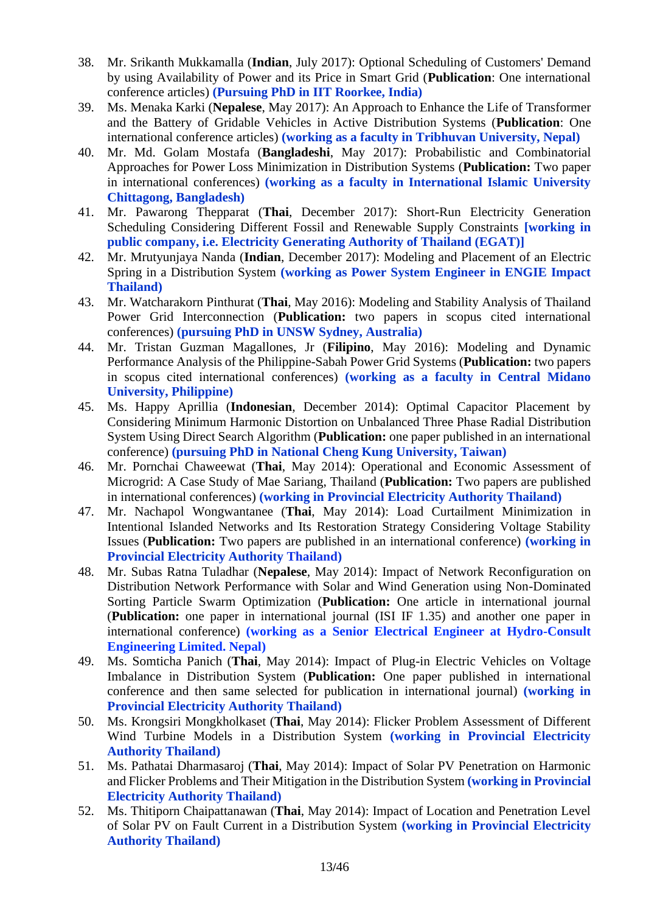- 38. Mr. Srikanth Mukkamalla (**Indian**, July 2017): Optional Scheduling of Customers' Demand by using Availability of Power and its Price in Smart Grid (**Publication**: One international conference articles) **(Pursuing PhD in IIT Roorkee, India)**
- 39. Ms. Menaka Karki (**Nepalese**, May 2017): An Approach to Enhance the Life of Transformer and the Battery of Gridable Vehicles in Active Distribution Systems (**Publication**: One international conference articles) **(working as a faculty in Tribhuvan University, Nepal)**
- 40. Mr. Md. Golam Mostafa (**Bangladeshi**, May 2017): Probabilistic and Combinatorial Approaches for Power Loss Minimization in Distribution Systems (**Publication:** Two paper in international conferences) **(working as a faculty in International Islamic University Chittagong, Bangladesh)**
- 41. Mr. Pawarong Thepparat (**Thai**, December 2017): Short-Run Electricity Generation Scheduling Considering Different Fossil and Renewable Supply Constraints **[working in public company, i.e. Electricity Generating Authority of Thailand (EGAT)]**
- 42. Mr. Mrutyunjaya Nanda (**Indian**, December 2017): Modeling and Placement of an Electric Spring in a Distribution System **(working as Power System Engineer in ENGIE Impact Thailand)**
- 43. Mr. Watcharakorn Pinthurat (**Thai**, May 2016): Modeling and Stability Analysis of Thailand Power Grid Interconnection (**Publication:** two papers in scopus cited international conferences) **(pursuing PhD in UNSW Sydney, Australia)**
- 44. Mr. Tristan Guzman Magallones, Jr (**Filipino**, May 2016): Modeling and Dynamic Performance Analysis of the Philippine-Sabah Power Grid Systems (**Publication:** two papers in scopus cited international conferences) **(working as a faculty in Central Midano University, Philippine)**
- 45. Ms. Happy Aprillia (**Indonesian**, December 2014): Optimal Capacitor Placement by Considering Minimum Harmonic Distortion on Unbalanced Three Phase Radial Distribution System Using Direct Search Algorithm (**Publication:** one paper published in an international conference) **(pursuing PhD in National Cheng Kung University, Taiwan)**
- 46. Mr. Pornchai Chaweewat (**Thai**, May 2014): Operational and Economic Assessment of Microgrid: A Case Study of Mae Sariang, Thailand (**Publication:** Two papers are published in international conferences) **(working in Provincial Electricity Authority Thailand)**
- 47. Mr. Nachapol Wongwantanee (**Thai**, May 2014): Load Curtailment Minimization in Intentional Islanded Networks and Its Restoration Strategy Considering Voltage Stability Issues (**Publication:** Two papers are published in an international conference) **(working in Provincial Electricity Authority Thailand)**
- 48. Mr. Subas Ratna Tuladhar (**Nepalese**, May 2014): Impact of Network Reconfiguration on Distribution Network Performance with Solar and Wind Generation using Non-Dominated Sorting Particle Swarm Optimization (**Publication:** One article in international journal (**Publication:** one paper in international journal (ISI IF 1.35) and another one paper in international conference) **(working as a Senior Electrical Engineer at Hydro-Consult Engineering Limited. Nepal)**
- 49. Ms. Somticha Panich (**Thai**, May 2014): Impact of Plug-in Electric Vehicles on Voltage Imbalance in Distribution System (**Publication:** One paper published in international conference and then same selected for publication in international journal) **(working in Provincial Electricity Authority Thailand)**
- 50. Ms. Krongsiri Mongkholkaset (**Thai**, May 2014): Flicker Problem Assessment of Different Wind Turbine Models in a Distribution System **(working in Provincial Electricity Authority Thailand)**
- 51. Ms. Pathatai Dharmasaroj (**Thai**, May 2014): Impact of Solar PV Penetration on Harmonic and Flicker Problems and Their Mitigation in the Distribution System **(working in Provincial Electricity Authority Thailand)**
- 52. Ms. Thitiporn Chaipattanawan (**Thai**, May 2014): Impact of Location and Penetration Level of Solar PV on Fault Current in a Distribution System **(working in Provincial Electricity Authority Thailand)**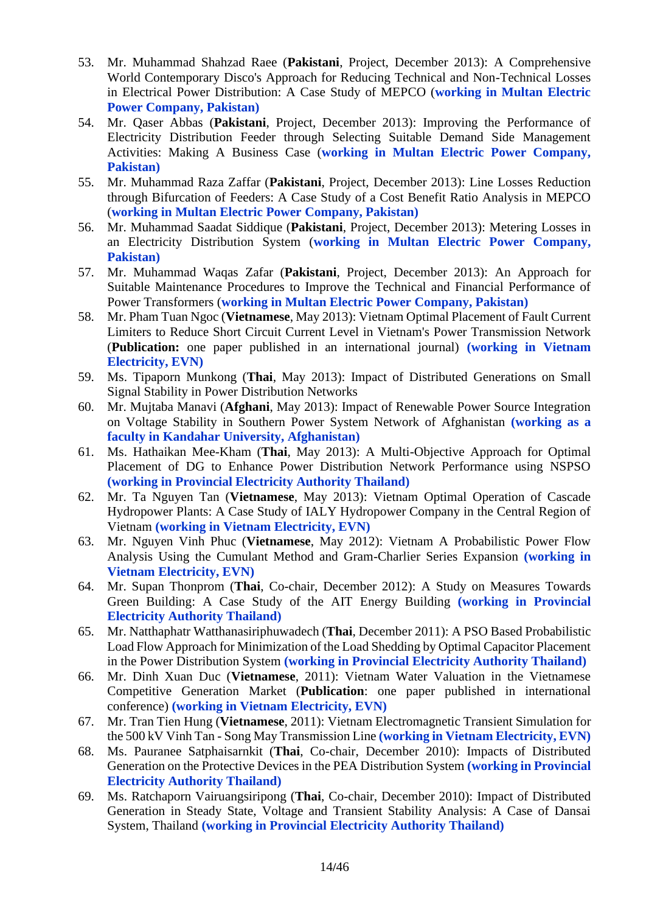- 53. Mr. Muhammad Shahzad Raee (**Pakistani**, Project, December 2013): A Comprehensive World Contemporary Disco's Approach for Reducing Technical and Non-Technical Losses in Electrical Power Distribution: A Case Study of MEPCO (**working in Multan Electric Power Company, Pakistan)**
- 54. Mr. Qaser Abbas (**Pakistani**, Project, December 2013): Improving the Performance of Electricity Distribution Feeder through Selecting Suitable Demand Side Management Activities: Making A Business Case (**working in Multan Electric Power Company, Pakistan)**
- 55. Mr. Muhammad Raza Zaffar (**Pakistani**, Project, December 2013): Line Losses Reduction through Bifurcation of Feeders: A Case Study of a Cost Benefit Ratio Analysis in MEPCO (**working in Multan Electric Power Company, Pakistan)**
- 56. Mr. Muhammad Saadat Siddique (**Pakistani**, Project, December 2013): Metering Losses in an Electricity Distribution System (**working in Multan Electric Power Company, Pakistan)**
- 57. Mr. Muhammad Waqas Zafar (**Pakistani**, Project, December 2013): An Approach for Suitable Maintenance Procedures to Improve the Technical and Financial Performance of Power Transformers (**working in Multan Electric Power Company, Pakistan)**
- 58. Mr. Pham Tuan Ngoc (**Vietnamese**, May 2013): Vietnam Optimal Placement of Fault Current Limiters to Reduce Short Circuit Current Level in Vietnam's Power Transmission Network (**Publication:** one paper published in an international journal) **(working in Vietnam Electricity, EVN)**
- 59. Ms. Tipaporn Munkong (**Thai**, May 2013): Impact of Distributed Generations on Small Signal Stability in Power Distribution Networks
- 60. Mr. Mujtaba Manavi (**Afghani**, May 2013): Impact of Renewable Power Source Integration on Voltage Stability in Southern Power System Network of Afghanistan **(working as a faculty in Kandahar University, Afghanistan)**
- 61. Ms. Hathaikan Mee-Kham (**Thai**, May 2013): A Multi-Objective Approach for Optimal Placement of DG to Enhance Power Distribution Network Performance using NSPSO **(working in Provincial Electricity Authority Thailand)**
- 62. Mr. Ta Nguyen Tan (**Vietnamese**, May 2013): Vietnam Optimal Operation of Cascade Hydropower Plants: A Case Study of IALY Hydropower Company in the Central Region of Vietnam **(working in Vietnam Electricity, EVN)**
- 63. Mr. Nguyen Vinh Phuc (**Vietnamese**, May 2012): Vietnam A Probabilistic Power Flow Analysis Using the Cumulant Method and Gram-Charlier Series Expansion **(working in Vietnam Electricity, EVN)**
- 64. Mr. Supan Thonprom (**Thai**, Co-chair, December 2012): A Study on Measures Towards Green Building: A Case Study of the AIT Energy Building **(working in Provincial Electricity Authority Thailand)**
- 65. Mr. Natthaphatr Watthanasiriphuwadech (**Thai**, December 2011): A PSO Based Probabilistic Load Flow Approach for Minimization of the Load Shedding by Optimal Capacitor Placement in the Power Distribution System **(working in Provincial Electricity Authority Thailand)**
- 66. Mr. Dinh Xuan Duc (**Vietnamese**, 2011): Vietnam Water Valuation in the Vietnamese Competitive Generation Market (**Publication**: one paper published in international conference) **(working in Vietnam Electricity, EVN)**
- 67. Mr. Tran Tien Hung (**Vietnamese**, 2011): Vietnam Electromagnetic Transient Simulation for the 500 kV Vinh Tan - Song May Transmission Line **(working in Vietnam Electricity, EVN)**
- 68. Ms. Pauranee Satphaisarnkit (**Thai**, Co-chair, December 2010): Impacts of Distributed Generation on the Protective Devices in the PEA Distribution System **(working in Provincial Electricity Authority Thailand)**
- 69. Ms. Ratchaporn Vairuangsiripong (**Thai**, Co-chair, December 2010): Impact of Distributed Generation in Steady State, Voltage and Transient Stability Analysis: A Case of Dansai System, Thailand **(working in Provincial Electricity Authority Thailand)**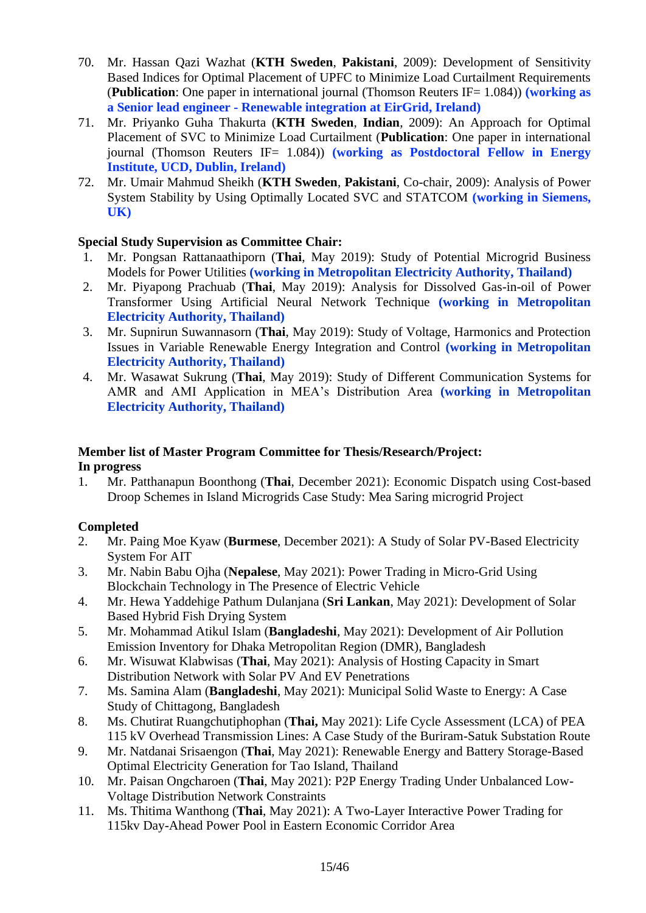- 70. Mr. Hassan Qazi Wazhat (**KTH Sweden**, **Pakistani**, 2009): Development of Sensitivity Based Indices for Optimal Placement of UPFC to Minimize Load Curtailment Requirements (**Publication**: One paper in international journal (Thomson Reuters IF= 1.084)) **(working as a Senior lead engineer - Renewable integration at EirGrid, Ireland)**
- 71. Mr. Priyanko Guha Thakurta (**KTH Sweden**, **Indian**, 2009): An Approach for Optimal Placement of SVC to Minimize Load Curtailment (**Publication**: One paper in international journal (Thomson Reuters IF= 1.084)) **(working as Postdoctoral Fellow in Energy Institute, UCD, Dublin, Ireland)**
- 72. Mr. Umair Mahmud Sheikh (**KTH Sweden**, **Pakistani**, Co-chair, 2009): Analysis of Power System Stability by Using Optimally Located SVC and STATCOM **(working in Siemens, UK)**

## **Special Study Supervision as Committee Chair:**

- 1. Mr. Pongsan Rattanaathiporn (**Thai**, May 2019): Study of Potential Microgrid Business Models for Power Utilities **(working in Metropolitan Electricity Authority, Thailand)**
- 2. Mr. Piyapong Prachuab (**Thai**, May 2019): Analysis for Dissolved Gas-in-oil of Power Transformer Using Artificial Neural Network Technique **(working in Metropolitan Electricity Authority, Thailand)**
- 3. Mr. Supnirun Suwannasorn (**Thai**, May 2019): Study of Voltage, Harmonics and Protection Issues in Variable Renewable Energy Integration and Control **(working in Metropolitan Electricity Authority, Thailand)**
- 4. Mr. Wasawat Sukrung (**Thai**, May 2019): Study of Different Communication Systems for AMR and AMI Application in MEA's Distribution Area **(working in Metropolitan Electricity Authority, Thailand)**

## **Member list of Master Program Committee for Thesis/Research/Project: In progress**

1. Mr. Patthanapun Boonthong (**Thai**, December 2021): Economic Dispatch using Cost-based Droop Schemes in Island Microgrids Case Study: Mea Saring microgrid Project

## **Completed**

- 2. Mr. Paing Moe Kyaw (**Burmese**, December 2021): A Study of Solar PV-Based Electricity System For AIT
- 3. Mr. Nabin Babu Ojha (**Nepalese**, May 2021): Power Trading in Micro-Grid Using Blockchain Technology in The Presence of Electric Vehicle
- 4. Mr. Hewa Yaddehige Pathum Dulanjana (**Sri Lankan**, May 2021): Development of Solar Based Hybrid Fish Drying System
- 5. Mr. Mohammad Atikul Islam (**Bangladeshi**, May 2021): Development of Air Pollution Emission Inventory for Dhaka Metropolitan Region (DMR), Bangladesh
- 6. Mr. Wisuwat Klabwisas (**Thai**, May 2021): Analysis of Hosting Capacity in Smart Distribution Network with Solar PV And EV Penetrations
- 7. Ms. Samina Alam (**Bangladeshi**, May 2021): Municipal Solid Waste to Energy: A Case Study of Chittagong, Bangladesh
- 8. Ms. Chutirat Ruangchutiphophan (**Thai,** May 2021): Life Cycle Assessment (LCA) of PEA 115 kV Overhead Transmission Lines: A Case Study of the Buriram-Satuk Substation Route
- 9. Mr. Natdanai Srisaengon (**Thai**, May 2021): Renewable Energy and Battery Storage-Based Optimal Electricity Generation for Tao Island, Thailand
- 10. Mr. Paisan Ongcharoen (**Thai**, May 2021): P2P Energy Trading Under Unbalanced Low-Voltage Distribution Network Constraints
- 11. Ms. Thitima Wanthong (**Thai**, May 2021): A Two-Layer Interactive Power Trading for 115kv Day-Ahead Power Pool in Eastern Economic Corridor Area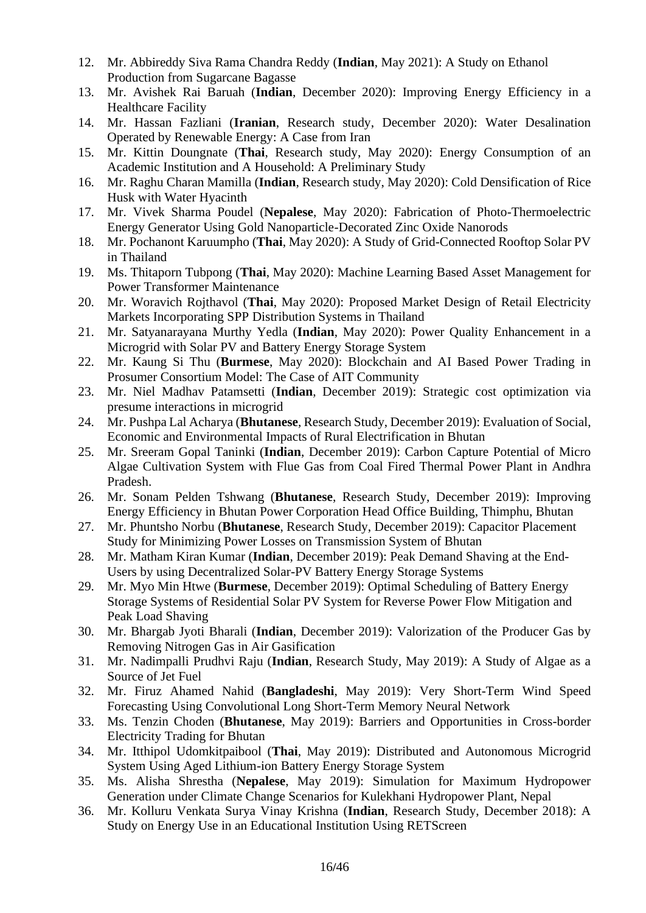- 12. Mr. Abbireddy Siva Rama Chandra Reddy (**Indian**, May 2021): A Study on Ethanol Production from Sugarcane Bagasse
- 13. Mr. Avishek Rai Baruah (**Indian**, December 2020): Improving Energy Efficiency in a Healthcare Facility
- 14. Mr. Hassan Fazliani (**Iranian**, Research study, December 2020): Water Desalination Operated by Renewable Energy: A Case from Iran
- 15. Mr. Kittin Doungnate (**Thai**, Research study, May 2020): Energy Consumption of an Academic Institution and A Household: A Preliminary Study
- 16. Mr. Raghu Charan Mamilla (**Indian**, Research study, May 2020): Cold Densification of Rice Husk with Water Hyacinth
- 17. Mr. Vivek Sharma Poudel (**Nepalese**, May 2020): Fabrication of Photo-Thermoelectric Energy Generator Using Gold Nanoparticle-Decorated Zinc Oxide Nanorods
- 18. Mr. Pochanont Karuumpho (**Thai**, May 2020): A Study of Grid-Connected Rooftop Solar PV in Thailand
- 19. Ms. Thitaporn Tubpong (**Thai**, May 2020): Machine Learning Based Asset Management for Power Transformer Maintenance
- 20. Mr. Woravich Rojthavol (**Thai**, May 2020): Proposed Market Design of Retail Electricity Markets Incorporating SPP Distribution Systems in Thailand
- 21. Mr. Satyanarayana Murthy Yedla (**Indian**, May 2020): Power Quality Enhancement in a Microgrid with Solar PV and Battery Energy Storage System
- 22. Mr. Kaung Si Thu (**Burmese**, May 2020): Blockchain and AI Based Power Trading in Prosumer Consortium Model: The Case of AIT Community
- 23. Mr. Niel Madhav Patamsetti (**Indian**, December 2019): Strategic cost optimization via presume interactions in microgrid
- 24. Mr. Pushpa Lal Acharya (**Bhutanese**, Research Study, December 2019): Evaluation of Social, Economic and Environmental Impacts of Rural Electrification in Bhutan
- 25. Mr. Sreeram Gopal Taninki (**Indian**, December 2019): Carbon Capture Potential of Micro Algae Cultivation System with Flue Gas from Coal Fired Thermal Power Plant in Andhra Pradesh.
- 26. Mr. Sonam Pelden Tshwang (**Bhutanese**, Research Study, December 2019): Improving Energy Efficiency in Bhutan Power Corporation Head Office Building, Thimphu, Bhutan
- 27. Mr. Phuntsho Norbu (**Bhutanese**, Research Study, December 2019): Capacitor Placement Study for Minimizing Power Losses on Transmission System of Bhutan
- 28. Mr. Matham Kiran Kumar (**Indian**, December 2019): Peak Demand Shaving at the End-Users by using Decentralized Solar-PV Battery Energy Storage Systems
- 29. Mr. Myo Min Htwe (**Burmese**, December 2019): Optimal Scheduling of Battery Energy Storage Systems of Residential Solar PV System for Reverse Power Flow Mitigation and Peak Load Shaving
- 30. Mr. Bhargab Jyoti Bharali (**Indian**, December 2019): Valorization of the Producer Gas by Removing Nitrogen Gas in Air Gasification
- 31. Mr. Nadimpalli Prudhvi Raju (**Indian**, Research Study, May 2019): A Study of Algae as a Source of Jet Fuel
- 32. Mr. Firuz Ahamed Nahid (**Bangladeshi**, May 2019): Very Short-Term Wind Speed Forecasting Using Convolutional Long Short-Term Memory Neural Network
- 33. Ms. Tenzin Choden (**Bhutanese**, May 2019): Barriers and Opportunities in Cross-border Electricity Trading for Bhutan
- 34. Mr. Itthipol Udomkitpaibool (**Thai**, May 2019): Distributed and Autonomous Microgrid System Using Aged Lithium-ion Battery Energy Storage System
- 35. Ms. Alisha Shrestha (**Nepalese**, May 2019): Simulation for Maximum Hydropower Generation under Climate Change Scenarios for Kulekhani Hydropower Plant, Nepal
- 36. Mr. Kolluru Venkata Surya Vinay Krishna (**Indian**, Research Study, December 2018): A Study on Energy Use in an Educational Institution Using RETScreen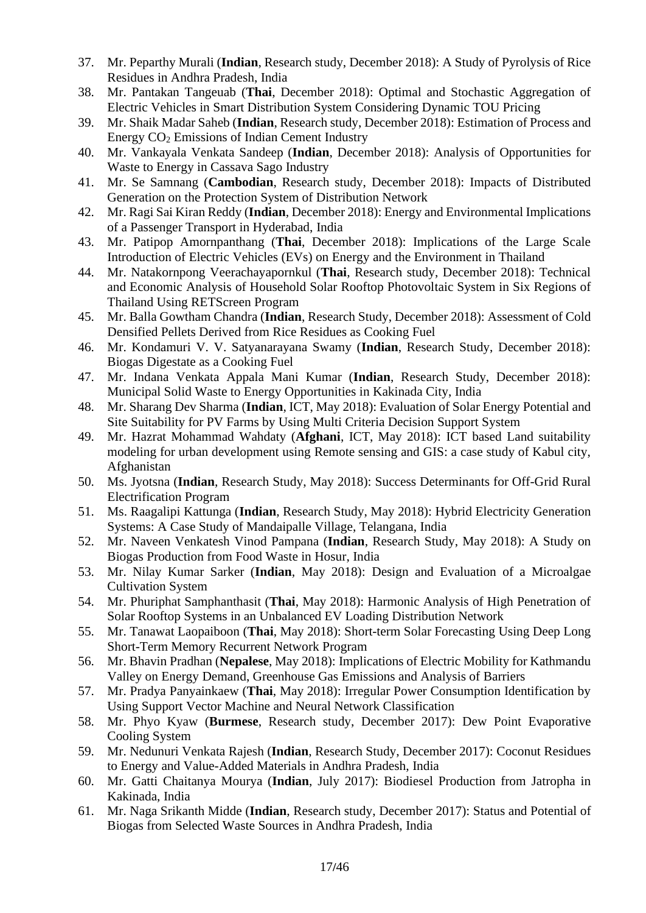- 37. Mr. Peparthy Murali (**Indian**, Research study, December 2018): A Study of Pyrolysis of Rice Residues in Andhra Pradesh, India
- 38. Mr. Pantakan Tangeuab (**Thai**, December 2018): Optimal and Stochastic Aggregation of Electric Vehicles in Smart Distribution System Considering Dynamic TOU Pricing
- 39. Mr. Shaik Madar Saheb (**Indian**, Research study, December 2018): Estimation of Process and Energy CO<sup>2</sup> Emissions of Indian Cement Industry
- 40. Mr. Vankayala Venkata Sandeep (**Indian**, December 2018): Analysis of Opportunities for Waste to Energy in Cassava Sago Industry
- 41. Mr. Se Samnang (**Cambodian**, Research study, December 2018): Impacts of Distributed Generation on the Protection System of Distribution Network
- 42. Mr. Ragi Sai Kiran Reddy (**Indian**, December 2018): Energy and Environmental Implications of a Passenger Transport in Hyderabad, India
- 43. Mr. Patipop Amornpanthang (**Thai**, December 2018): Implications of the Large Scale Introduction of Electric Vehicles (EVs) on Energy and the Environment in Thailand
- 44. Mr. Natakornpong Veerachayapornkul (**Thai**, Research study, December 2018): Technical and Economic Analysis of Household Solar Rooftop Photovoltaic System in Six Regions of Thailand Using RETScreen Program
- 45. Mr. Balla Gowtham Chandra (**Indian**, Research Study, December 2018): Assessment of Cold Densified Pellets Derived from Rice Residues as Cooking Fuel
- 46. Mr. Kondamuri V. V. Satyanarayana Swamy (**Indian**, Research Study, December 2018): Biogas Digestate as a Cooking Fuel
- 47. Mr. Indana Venkata Appala Mani Kumar (**Indian**, Research Study, December 2018): Municipal Solid Waste to Energy Opportunities in Kakinada City, India
- 48. Mr. Sharang Dev Sharma (**Indian**, ICT, May 2018): Evaluation of Solar Energy Potential and Site Suitability for PV Farms by Using Multi Criteria Decision Support System
- 49. Mr. Hazrat Mohammad Wahdaty (**Afghani**, ICT, May 2018): ICT based Land suitability modeling for urban development using Remote sensing and GIS: a case study of Kabul city, Afghanistan
- 50. Ms. Jyotsna (**Indian**, Research Study, May 2018): Success Determinants for Off-Grid Rural Electrification Program
- 51. Ms. Raagalipi Kattunga (**Indian**, Research Study, May 2018): Hybrid Electricity Generation Systems: A Case Study of Mandaipalle Village, Telangana, India
- 52. Mr. Naveen Venkatesh Vinod Pampana (**Indian**, Research Study, May 2018): A Study on Biogas Production from Food Waste in Hosur, India
- 53. Mr. Nilay Kumar Sarker (**Indian**, May 2018): Design and Evaluation of a Microalgae Cultivation System
- 54. Mr. Phuriphat Samphanthasit (**Thai**, May 2018): Harmonic Analysis of High Penetration of Solar Rooftop Systems in an Unbalanced EV Loading Distribution Network
- 55. Mr. Tanawat Laopaiboon (**Thai**, May 2018): Short-term Solar Forecasting Using Deep Long Short-Term Memory Recurrent Network Program
- 56. Mr. Bhavin Pradhan (**Nepalese**, May 2018): Implications of Electric Mobility for Kathmandu Valley on Energy Demand, Greenhouse Gas Emissions and Analysis of Barriers
- 57. Mr. Pradya Panyainkaew (**Thai**, May 2018): Irregular Power Consumption Identification by Using Support Vector Machine and Neural Network Classification
- 58. Mr. Phyo Kyaw (**Burmese**, Research study, December 2017): Dew Point Evaporative Cooling System
- 59. Mr. Nedunuri Venkata Rajesh (**Indian**, Research Study, December 2017): Coconut Residues to Energy and Value-Added Materials in Andhra Pradesh, India
- 60. Mr. Gatti Chaitanya Mourya (**Indian**, July 2017): Biodiesel Production from Jatropha in Kakinada, India
- 61. Mr. Naga Srikanth Midde (**Indian**, Research study, December 2017): Status and Potential of Biogas from Selected Waste Sources in Andhra Pradesh, India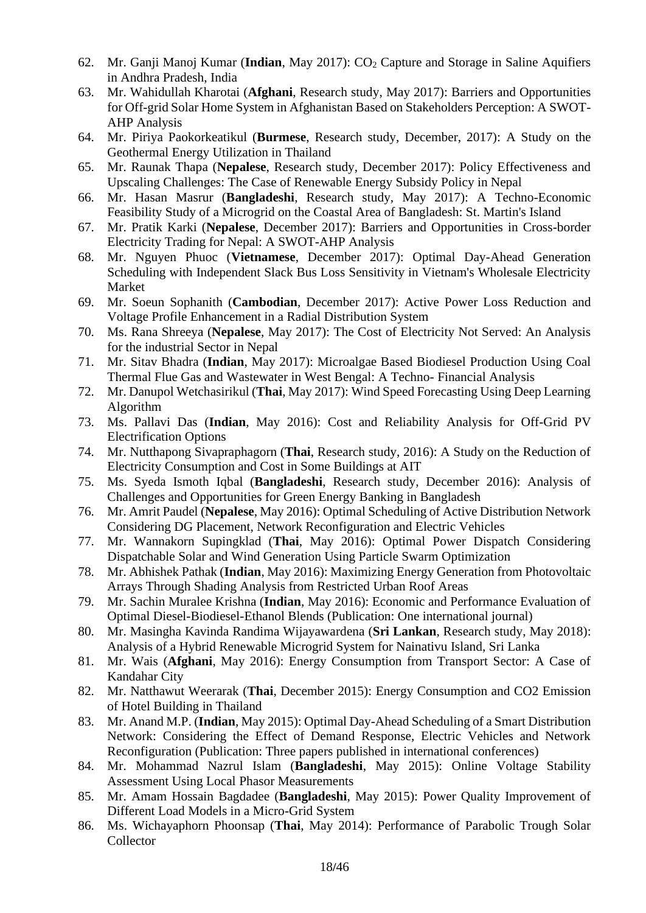- 62. Mr. Ganji Manoj Kumar (**Indian**, May 2017): CO<sub>2</sub> Capture and Storage in Saline Aquifiers in Andhra Pradesh, India
- 63. Mr. Wahidullah Kharotai (**Afghani**, Research study, May 2017): Barriers and Opportunities for Off-grid Solar Home System in Afghanistan Based on Stakeholders Perception: A SWOT-AHP Analysis
- 64. Mr. Piriya Paokorkeatikul (**Burmese**, Research study, December, 2017): A Study on the Geothermal Energy Utilization in Thailand
- 65. Mr. Raunak Thapa (**Nepalese**, Research study, December 2017): Policy Effectiveness and Upscaling Challenges: The Case of Renewable Energy Subsidy Policy in Nepal
- 66. Mr. Hasan Masrur (**Bangladeshi**, Research study, May 2017): A Techno-Economic Feasibility Study of a Microgrid on the Coastal Area of Bangladesh: St. Martin's Island
- 67. Mr. Pratik Karki (**Nepalese**, December 2017): Barriers and Opportunities in Cross-border Electricity Trading for Nepal: A SWOT-AHP Analysis
- 68. Mr. Nguyen Phuoc (**Vietnamese**, December 2017): Optimal Day-Ahead Generation Scheduling with Independent Slack Bus Loss Sensitivity in Vietnam's Wholesale Electricity Market
- 69. Mr. Soeun Sophanith (**Cambodian**, December 2017): Active Power Loss Reduction and Voltage Profile Enhancement in a Radial Distribution System
- 70. Ms. Rana Shreeya (**Nepalese**, May 2017): The Cost of Electricity Not Served: An Analysis for the industrial Sector in Nepal
- 71. Mr. Sitav Bhadra (**Indian**, May 2017): Microalgae Based Biodiesel Production Using Coal Thermal Flue Gas and Wastewater in West Bengal: A Techno- Financial Analysis
- 72. Mr. Danupol Wetchasirikul (**Thai**, May 2017): Wind Speed Forecasting Using Deep Learning Algorithm
- 73. Ms. Pallavi Das (**Indian**, May 2016): Cost and Reliability Analysis for Off-Grid PV Electrification Options
- 74. Mr. Nutthapong Sivapraphagorn (**Thai**, Research study, 2016): A Study on the Reduction of Electricity Consumption and Cost in Some Buildings at AIT
- 75. Ms. Syeda Ismoth Iqbal (**Bangladeshi**, Research study, December 2016): Analysis of Challenges and Opportunities for Green Energy Banking in Bangladesh
- 76. Mr. Amrit Paudel (**Nepalese**, May 2016): Optimal Scheduling of Active Distribution Network Considering DG Placement, Network Reconfiguration and Electric Vehicles
- 77. Mr. Wannakorn Supingklad (**Thai**, May 2016): Optimal Power Dispatch Considering Dispatchable Solar and Wind Generation Using Particle Swarm Optimization
- 78. Mr. Abhishek Pathak (**Indian**, May 2016): Maximizing Energy Generation from Photovoltaic Arrays Through Shading Analysis from Restricted Urban Roof Areas
- 79. Mr. Sachin Muralee Krishna (**Indian**, May 2016): Economic and Performance Evaluation of Optimal Diesel-Biodiesel-Ethanol Blends (Publication: One international journal)
- 80. Mr. Masingha Kavinda Randima Wijayawardena (**Sri Lankan**, Research study, May 2018): Analysis of a Hybrid Renewable Microgrid System for Nainativu Island, Sri Lanka
- 81. Mr. Wais (**Afghani**, May 2016): Energy Consumption from Transport Sector: A Case of Kandahar City
- 82. Mr. Natthawut Weerarak (**Thai**, December 2015): Energy Consumption and CO2 Emission of Hotel Building in Thailand
- 83. Mr. Anand M.P. (**Indian**, May 2015): Optimal Day-Ahead Scheduling of a Smart Distribution Network: Considering the Effect of Demand Response, Electric Vehicles and Network Reconfiguration (Publication: Three papers published in international conferences)
- 84. Mr. Mohammad Nazrul Islam (**Bangladeshi**, May 2015): Online Voltage Stability Assessment Using Local Phasor Measurements
- 85. Mr. Amam Hossain Bagdadee (**Bangladeshi**, May 2015): Power Quality Improvement of Different Load Models in a Micro-Grid System
- 86. Ms. Wichayaphorn Phoonsap (**Thai**, May 2014): Performance of Parabolic Trough Solar Collector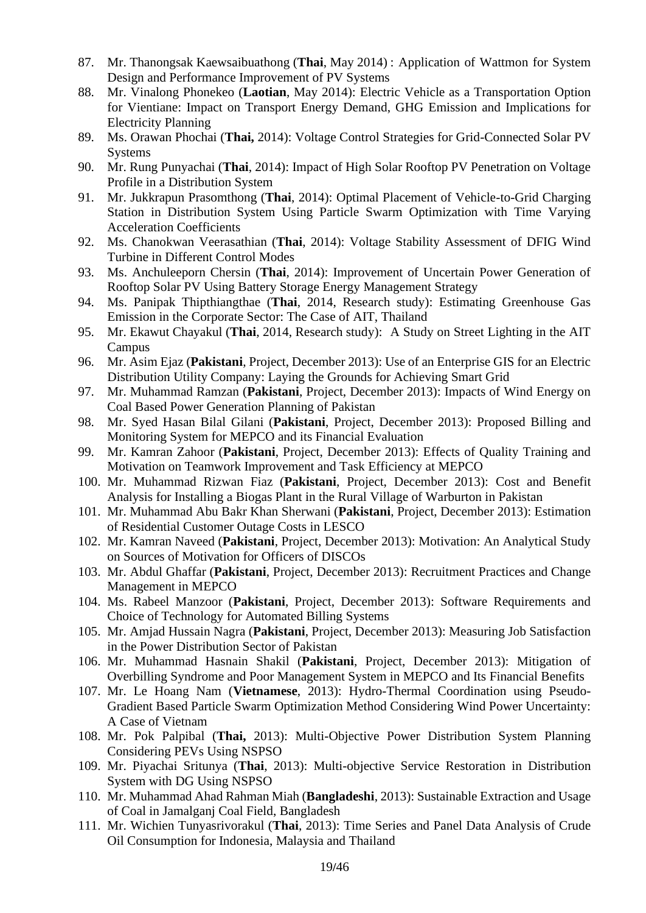- 87. Mr. Thanongsak Kaewsaibuathong (**Thai**, May 2014) : Application of Wattmon for System Design and Performance Improvement of PV Systems
- 88. Mr. Vinalong Phonekeo (**Laotian**, May 2014): Electric Vehicle as a Transportation Option for Vientiane: Impact on Transport Energy Demand, GHG Emission and Implications for Electricity Planning
- 89. Ms. Orawan Phochai (**Thai,** 2014): Voltage Control Strategies for Grid-Connected Solar PV **Systems**
- 90. Mr. Rung Punyachai (**Thai**, 2014): Impact of High Solar Rooftop PV Penetration on Voltage Profile in a Distribution System
- 91. Mr. Jukkrapun Prasomthong (**Thai**, 2014): Optimal Placement of Vehicle-to-Grid Charging Station in Distribution System Using Particle Swarm Optimization with Time Varying Acceleration Coefficients
- 92. Ms. Chanokwan Veerasathian (**Thai**, 2014): Voltage Stability Assessment of DFIG Wind Turbine in Different Control Modes
- 93. Ms. Anchuleeporn Chersin (**Thai**, 2014): Improvement of Uncertain Power Generation of Rooftop Solar PV Using Battery Storage Energy Management Strategy
- 94. Ms. Panipak Thipthiangthae (**Thai**, 2014, Research study): Estimating Greenhouse Gas Emission in the Corporate Sector: The Case of AIT, Thailand
- 95. Mr. Ekawut Chayakul (**Thai**, 2014, Research study): A Study on Street Lighting in the AIT Campus
- 96. Mr. Asim Ejaz (**Pakistani**, Project, December 2013): Use of an Enterprise GIS for an Electric Distribution Utility Company: Laying the Grounds for Achieving Smart Grid
- 97. Mr. Muhammad Ramzan (**Pakistani**, Project, December 2013): Impacts of Wind Energy on Coal Based Power Generation Planning of Pakistan
- 98. Mr. Syed Hasan Bilal Gilani (**Pakistani**, Project, December 2013): Proposed Billing and Monitoring System for MEPCO and its Financial Evaluation
- 99. Mr. Kamran Zahoor (**Pakistani**, Project, December 2013): Effects of Quality Training and Motivation on Teamwork Improvement and Task Efficiency at MEPCO
- 100. Mr. Muhammad Rizwan Fiaz (**Pakistani**, Project, December 2013): Cost and Benefit Analysis for Installing a Biogas Plant in the Rural Village of Warburton in Pakistan
- 101. Mr. Muhammad Abu Bakr Khan Sherwani (**Pakistani**, Project, December 2013): Estimation of Residential Customer Outage Costs in LESCO
- 102. Mr. Kamran Naveed (**Pakistani**, Project, December 2013): Motivation: An Analytical Study on Sources of Motivation for Officers of DISCOs
- 103. Mr. Abdul Ghaffar (**Pakistani**, Project, December 2013): Recruitment Practices and Change Management in MEPCO
- 104. Ms. Rabeel Manzoor (**Pakistani**, Project, December 2013): Software Requirements and Choice of Technology for Automated Billing Systems
- 105. Mr. Amjad Hussain Nagra (**Pakistani**, Project, December 2013): Measuring Job Satisfaction in the Power Distribution Sector of Pakistan
- 106. Mr. Muhammad Hasnain Shakil (**Pakistani**, Project, December 2013): Mitigation of Overbilling Syndrome and Poor Management System in MEPCO and Its Financial Benefits
- 107. Mr. Le Hoang Nam (**Vietnamese**, 2013): Hydro-Thermal Coordination using Pseudo-Gradient Based Particle Swarm Optimization Method Considering Wind Power Uncertainty: A Case of Vietnam
- 108. Mr. Pok Palpibal (**Thai,** 2013): Multi-Objective Power Distribution System Planning Considering PEVs Using NSPSO
- 109. Mr. Piyachai Sritunya (**Thai**, 2013): Multi-objective Service Restoration in Distribution System with DG Using NSPSO
- 110. Mr. Muhammad Ahad Rahman Miah (**Bangladeshi**, 2013): Sustainable Extraction and Usage of Coal in Jamalganj Coal Field, Bangladesh
- 111. Mr. Wichien Tunyasrivorakul (**Thai**, 2013): Time Series and Panel Data Analysis of Crude Oil Consumption for Indonesia, Malaysia and Thailand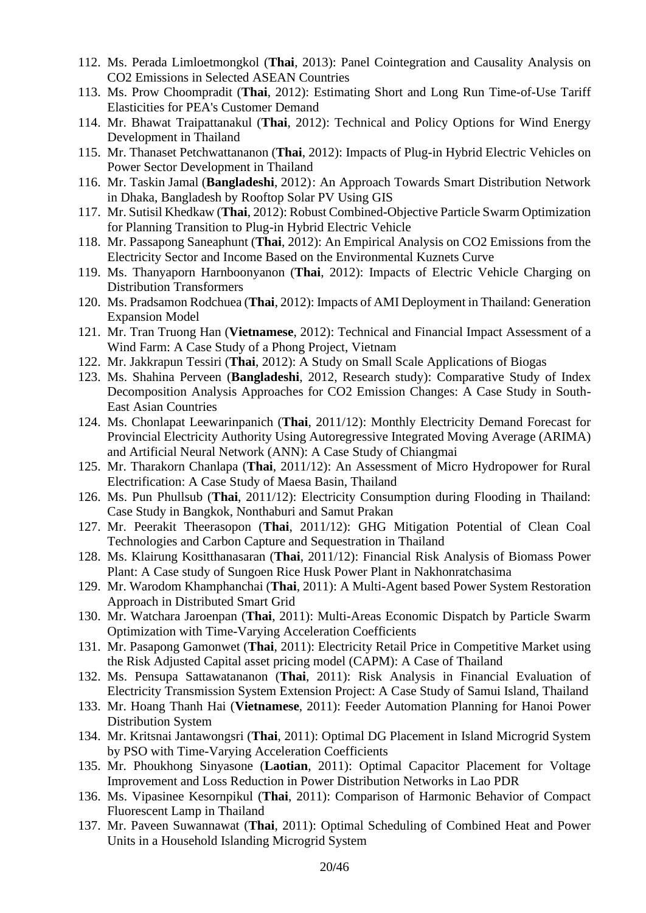- 112. Ms. Perada Limloetmongkol (**Thai**, 2013): Panel Cointegration and Causality Analysis on CO2 Emissions in Selected ASEAN Countries
- 113. Ms. Prow Choompradit (**Thai**, 2012): Estimating Short and Long Run Time-of-Use Tariff Elasticities for PEA's Customer Demand
- 114. Mr. Bhawat Traipattanakul (**Thai**, 2012): Technical and Policy Options for Wind Energy Development in Thailand
- 115. Mr. Thanaset Petchwattananon (**Thai**, 2012): Impacts of Plug-in Hybrid Electric Vehicles on Power Sector Development in Thailand
- 116. Mr. Taskin Jamal (**Bangladeshi**, 2012): An Approach Towards Smart Distribution Network in Dhaka, Bangladesh by Rooftop Solar PV Using GIS
- 117. Mr. Sutisil Khedkaw (**Thai**, 2012): Robust Combined-Objective Particle Swarm Optimization for Planning Transition to Plug-in Hybrid Electric Vehicle
- 118. Mr. Passapong Saneaphunt (**Thai**, 2012): An Empirical Analysis on CO2 Emissions from the Electricity Sector and Income Based on the Environmental Kuznets Curve
- 119. Ms. Thanyaporn Harnboonyanon (**Thai**, 2012): Impacts of Electric Vehicle Charging on Distribution Transformers
- 120. Ms. Pradsamon Rodchuea (**Thai**, 2012): Impacts of AMI Deployment in Thailand: Generation Expansion Model
- 121. Mr. Tran Truong Han (**Vietnamese**, 2012): Technical and Financial Impact Assessment of a Wind Farm: A Case Study of a Phong Project, Vietnam
- 122. Mr. Jakkrapun Tessiri (**Thai**, 2012): A Study on Small Scale Applications of Biogas
- 123. Ms. Shahina Perveen (**Bangladeshi**, 2012, Research study): Comparative Study of Index Decomposition Analysis Approaches for CO2 Emission Changes: A Case Study in South-East Asian Countries
- 124. Ms. Chonlapat Leewarinpanich (**Thai**, 2011/12): Monthly Electricity Demand Forecast for Provincial Electricity Authority Using Autoregressive Integrated Moving Average (ARIMA) and Artificial Neural Network (ANN): A Case Study of Chiangmai
- 125. Mr. Tharakorn Chanlapa (**Thai**, 2011/12): An Assessment of Micro Hydropower for Rural Electrification: A Case Study of Maesa Basin, Thailand
- 126. Ms. Pun Phullsub (**Thai**, 2011/12): Electricity Consumption during Flooding in Thailand: Case Study in Bangkok, Nonthaburi and Samut Prakan
- 127. Mr. Peerakit Theerasopon (**Thai**, 2011/12): GHG Mitigation Potential of Clean Coal Technologies and Carbon Capture and Sequestration in Thailand
- 128. Ms. Klairung Kositthanasaran (**Thai**, 2011/12): Financial Risk Analysis of Biomass Power Plant: A Case study of Sungoen Rice Husk Power Plant in Nakhonratchasima
- 129. Mr. Warodom Khamphanchai (**Thai**, 2011): A Multi-Agent based Power System Restoration Approach in Distributed Smart Grid
- 130. Mr. Watchara Jaroenpan (**Thai**, 2011): Multi-Areas Economic Dispatch by Particle Swarm Optimization with Time-Varying Acceleration Coefficients
- 131. Mr. Pasapong Gamonwet (**Thai**, 2011): Electricity Retail Price in Competitive Market using the Risk Adjusted Capital asset pricing model (CAPM): A Case of Thailand
- 132. Ms. Pensupa Sattawatananon (**Thai**, 2011): Risk Analysis in Financial Evaluation of Electricity Transmission System Extension Project: A Case Study of Samui Island, Thailand
- 133. Mr. Hoang Thanh Hai (**Vietnamese**, 2011): Feeder Automation Planning for Hanoi Power Distribution System
- 134. Mr. Kritsnai Jantawongsri (**Thai**, 2011): Optimal DG Placement in Island Microgrid System by PSO with Time-Varying Acceleration Coefficients
- 135. Mr. Phoukhong Sinyasone (**Laotian**, 2011): Optimal Capacitor Placement for Voltage Improvement and Loss Reduction in Power Distribution Networks in Lao PDR
- 136. Ms. Vipasinee Kesornpikul (**Thai**, 2011): Comparison of Harmonic Behavior of Compact Fluorescent Lamp in Thailand
- 137. Mr. Paveen Suwannawat (**Thai**, 2011): Optimal Scheduling of Combined Heat and Power Units in a Household Islanding Microgrid System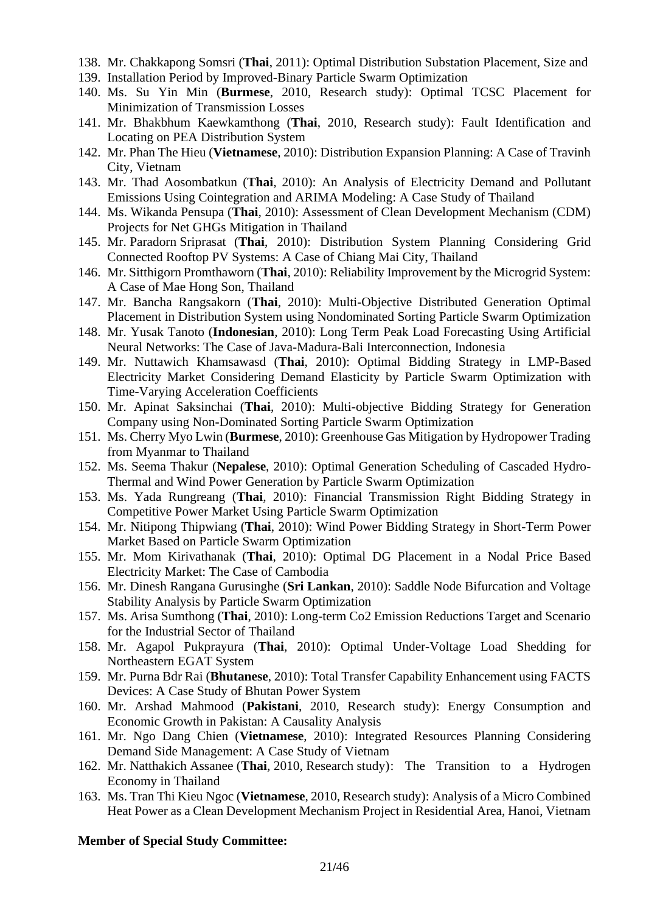- 138. Mr. Chakkapong Somsri (**Thai**, 2011): Optimal Distribution Substation Placement, Size and
- 139. Installation Period by Improved-Binary Particle Swarm Optimization
- 140. Ms. Su Yin Min (**Burmese**, 2010, Research study): Optimal TCSC Placement for Minimization of Transmission Losses
- 141. Mr. Bhakbhum Kaewkamthong (**Thai**, 2010, Research study): Fault Identification and Locating on PEA Distribution System
- 142. Mr. Phan The Hieu (**Vietnamese**, 2010): Distribution Expansion Planning: A Case of Travinh City, Vietnam
- 143. Mr. Thad Aosombatkun (**Thai**, 2010): An Analysis of Electricity Demand and Pollutant Emissions Using Cointegration and ARIMA Modeling: A Case Study of Thailand
- 144. Ms. Wikanda Pensupa (**Thai**, 2010): Assessment of Clean Development Mechanism (CDM) Projects for Net GHGs Mitigation in Thailand
- 145. Mr. Paradorn Sriprasat (**Thai**, 2010): Distribution System Planning Considering Grid Connected Rooftop PV Systems: A Case of Chiang Mai City, Thailand
- 146. Mr. Sitthigorn Promthaworn (**Thai**, 2010): Reliability Improvement by the Microgrid System: A Case of Mae Hong Son, Thailand
- 147. Mr. Bancha Rangsakorn (**Thai**, 2010): Multi-Objective Distributed Generation Optimal Placement in Distribution System using Nondominated Sorting Particle Swarm Optimization
- 148. Mr. Yusak Tanoto (**Indonesian**, 2010): Long Term Peak Load Forecasting Using Artificial Neural Networks: The Case of Java-Madura-Bali Interconnection, Indonesia
- 149. Mr. Nuttawich Khamsawasd (**Thai**, 2010): Optimal Bidding Strategy in LMP-Based Electricity Market Considering Demand Elasticity by Particle Swarm Optimization with Time-Varying Acceleration Coefficients
- 150. Mr. Apinat Saksinchai (**Thai**, 2010): Multi-objective Bidding Strategy for Generation Company using Non-Dominated Sorting Particle Swarm Optimization
- 151. Ms. Cherry Myo Lwin (**Burmese**, 2010): Greenhouse Gas Mitigation by Hydropower Trading from Myanmar to Thailand
- 152. Ms. Seema Thakur (**Nepalese**, 2010): Optimal Generation Scheduling of Cascaded Hydro-Thermal and Wind Power Generation by Particle Swarm Optimization
- 153. Ms. Yada Rungreang (**Thai**, 2010): Financial Transmission Right Bidding Strategy in Competitive Power Market Using Particle Swarm Optimization
- 154. Mr. Nitipong Thipwiang (**Thai**, 2010): Wind Power Bidding Strategy in Short-Term Power Market Based on Particle Swarm Optimization
- 155. Mr. Mom Kirivathanak (**Thai**, 2010): Optimal DG Placement in a Nodal Price Based Electricity Market: The Case of Cambodia
- 156. Mr. Dinesh Rangana Gurusinghe (**Sri Lankan**, 2010): Saddle Node Bifurcation and Voltage Stability Analysis by Particle Swarm Optimization
- 157. Ms. Arisa Sumthong (**Thai**, 2010): Long-term Co2 Emission Reductions Target and Scenario for the Industrial Sector of Thailand
- 158. Mr. Agapol Pukprayura (**Thai**, 2010): Optimal Under-Voltage Load Shedding for Northeastern EGAT System
- 159. Mr. Purna Bdr Rai (**Bhutanese**, 2010): Total Transfer Capability Enhancement using FACTS Devices: A Case Study of Bhutan Power System
- 160. Mr. Arshad Mahmood (**Pakistani**, 2010, Research study): Energy Consumption and Economic Growth in Pakistan: A Causality Analysis
- 161. Mr. Ngo Dang Chien (**Vietnamese**, 2010): Integrated Resources Planning Considering Demand Side Management: A Case Study of Vietnam
- 162. Mr. Natthakich Assanee (**Thai**, 2010, Research study): The Transition to a Hydrogen Economy in Thailand
- 163. Ms. Tran Thi Kieu Ngoc (**Vietnamese**, 2010, Research study): Analysis of a Micro Combined Heat Power as a Clean Development Mechanism Project in Residential Area, Hanoi, Vietnam

#### **Member of Special Study Committee:**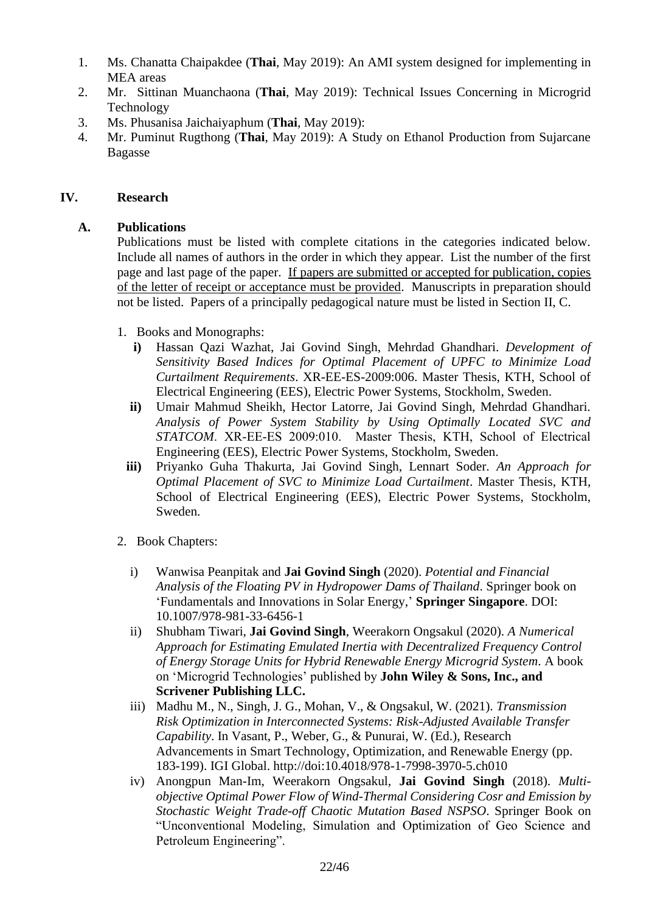- 1. Ms. Chanatta Chaipakdee (**Thai**, May 2019): An AMI system designed for implementing in MEA areas
- 2. Mr. Sittinan Muanchaona (**Thai**, May 2019): Technical Issues Concerning in Microgrid Technology
- 3. Ms. Phusanisa Jaichaiyaphum (**Thai**, May 2019):
- 4. Mr. Puminut Rugthong (**Thai**, May 2019): A Study on Ethanol Production from Sujarcane Bagasse

#### **IV. Research**

## **A. Publications**

Publications must be listed with complete citations in the categories indicated below. Include all names of authors in the order in which they appear. List the number of the first page and last page of the paper. If papers are submitted or accepted for publication, copies of the letter of receipt or acceptance must be provided. Manuscripts in preparation should not be listed. Papers of a principally pedagogical nature must be listed in Section II, C.

- 1. Books and Monographs:
	- **i)** Hassan Qazi Wazhat, Jai Govind Singh, Mehrdad Ghandhari. *Development of Sensitivity Based Indices for Optimal Placement of UPFC to Minimize Load Curtailment Requirements*. XR-EE-ES-2009:006. Master Thesis, KTH, School of Electrical Engineering (EES), Electric Power Systems, Stockholm, Sweden.
	- **ii)** Umair Mahmud Sheikh, Hector Latorre, Jai Govind Singh, Mehrdad Ghandhari. *Analysis of Power System Stability by Using Optimally Located SVC and STATCOM*. XR‐EE‐ES 2009:010. Master Thesis, KTH, School of Electrical Engineering (EES), Electric Power Systems, Stockholm, Sweden.
	- **iii)** Priyanko Guha Thakurta, Jai Govind Singh, Lennart Soder. *An Approach for Optimal Placement of SVC to Minimize Load Curtailment*. Master Thesis, KTH, School of Electrical Engineering (EES), Electric Power Systems, Stockholm, Sweden.
- 2. Book Chapters:
	- i) Wanwisa Peanpitak and **Jai Govind Singh** (2020). *Potential and Financial Analysis of the Floating PV in Hydropower Dams of Thailand*. Springer book on 'Fundamentals and Innovations in Solar Energy,' **Springer Singapore**. DOI: 10.1007/978-981-33-6456-1
	- ii) Shubham Tiwari, **Jai Govind Singh**, Weerakorn Ongsakul (2020). *A Numerical Approach for Estimating Emulated Inertia with Decentralized Frequency Control of Energy Storage Units for Hybrid Renewable Energy Microgrid System*. A book on 'Microgrid Technologies' published by **John Wiley & Sons, Inc., and Scrivener Publishing LLC.**
	- iii) Madhu M., N., Singh, J. G., Mohan, V., & Ongsakul, W. (2021). *Transmission Risk Optimization in Interconnected Systems: Risk-Adjusted Available Transfer Capability*. In Vasant, P., Weber, G., & Punurai, W. (Ed.), Research Advancements in Smart Technology, Optimization, and Renewable Energy (pp. 183-199). IGI Global. http://doi:10.4018/978-1-7998-3970-5.ch010
	- iv) Anongpun Man-Im, Weerakorn Ongsakul, **Jai Govind Singh** (2018). *Multiobjective Optimal Power Flow of Wind-Thermal Considering Cosr and Emission by Stochastic Weight Trade-off Chaotic Mutation Based NSPSO*. Springer Book on "Unconventional Modeling, Simulation and Optimization of Geo Science and Petroleum Engineering".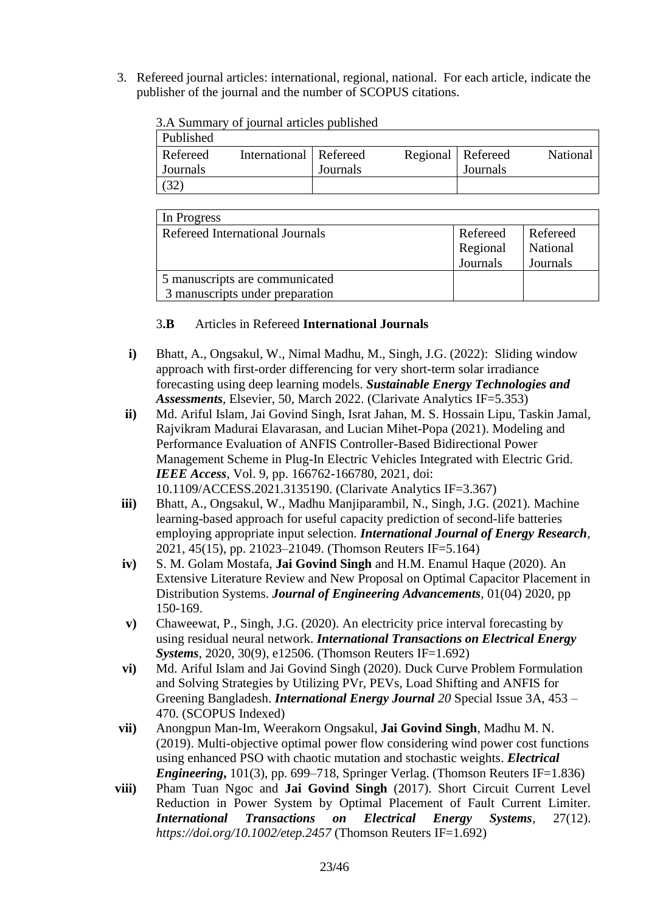3. Refereed journal articles: international, regional, national. For each article, indicate the publisher of the journal and the number of SCOPUS citations.

| Published |                          |          |                     |          |          |
|-----------|--------------------------|----------|---------------------|----------|----------|
| Refereed  | International   Refereed |          | Regional   Refereed |          | National |
| Journals  |                          | Journals |                     | Journals |          |
|           |                          |          |                     |          |          |

3.A Summary of journal articles published

| In Progress                     |          |          |
|---------------------------------|----------|----------|
| Refereed International Journals | Refereed | Refereed |
|                                 | Regional | National |
|                                 | Journals | Journals |
| 5 manuscripts are communicated  |          |          |
| 3 manuscripts under preparation |          |          |

3**.B** Articles in Refereed **International Journals**

- **i)** Bhatt, A., Ongsakul, W., Nimal Madhu, M., Singh, J.G. (2022): Sliding window approach with first-order differencing for very short-term solar irradiance forecasting using deep learning models. *Sustainable Energy Technologies and Assessments*, Elsevier, 50, March 2022. (Clarivate Analytics IF=5.353)
- **ii)** Md. Ariful Islam, Jai Govind Singh, Israt Jahan, M. S. Hossain Lipu, Taskin Jamal, Rajvikram Madurai Elavarasan, and Lucian Mihet-Popa (2021). Modeling and Performance Evaluation of ANFIS Controller-Based Bidirectional Power Management Scheme in Plug-In Electric Vehicles Integrated with Electric Grid. *IEEE Access*, Vol. 9, pp. 166762-166780, 2021, doi: 10.1109/ACCESS.2021.3135190. (Clarivate Analytics IF=3.367)
- **iii)** Bhatt, A., Ongsakul, W., Madhu Manjiparambil, N., Singh, J.G. (2021). Machine learning-based approach for useful capacity prediction of second-life batteries employing appropriate input selection. *International Journal of Energy Research*, 2021, 45(15), pp. 21023–21049. (Thomson Reuters IF=5.164)
- **iv)** S. M. Golam Mostafa, **Jai Govind Singh** and H.M. Enamul Haque (2020). An Extensive Literature Review and New Proposal on Optimal Capacitor Placement in Distribution Systems. *Journal of Engineering Advancements*, 01(04) 2020, pp 150-169.
- **v)** Chaweewat, P., Singh, J.G. (2020). An electricity price interval forecasting by using residual neural network. *International Transactions on Electrical Energy Systems*, 2020, 30(9), e12506. (Thomson Reuters IF=1.692)
- **vi)** Md. Ariful Islam and Jai Govind Singh (2020). Duck Curve Problem Formulation and Solving Strategies by Utilizing PVr, PEVs, Load Shifting and ANFIS for Greening Bangladesh. *International Energy Journal 20* Special Issue 3A, 453 – 470. (SCOPUS Indexed)
- **vii)** Anongpun Man-Im, Weerakorn Ongsakul, **Jai Govind Singh**, Madhu M. N. (2019). Multi-objective optimal power flow considering wind power cost functions using enhanced PSO with chaotic mutation and stochastic weights. *Electrical Engineering*, 101(3), pp. 699–718, Springer Verlag. (Thomson Reuters IF=1.836)
- **viii)** Pham Tuan Ngoc and **Jai Govind Singh** (2017). Short Circuit Current Level Reduction in Power System by Optimal Placement of Fault Current Limiter. *International Transactions on Electrical Energy Systems*, 27(12). *https://doi.org/10.1002/etep.2457* (Thomson Reuters IF=1.692)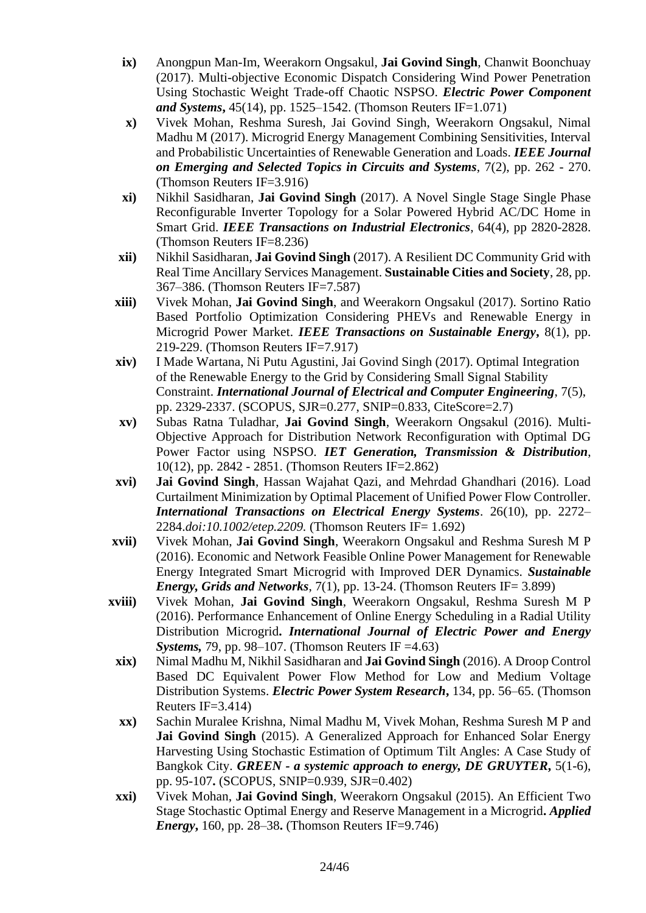- **ix)** Anongpun Man-Im, Weerakorn Ongsakul, **Jai Govind Singh**, Chanwit Boonchuay (2017). Multi-objective Economic Dispatch Considering Wind Power Penetration Using Stochastic Weight Trade-off Chaotic NSPSO. *Electric Power Component and Systems***,** 45(14), pp. 1525–1542. (Thomson Reuters IF=1.071)
- **x)** Vivek Mohan, Reshma Suresh, Jai Govind Singh, Weerakorn Ongsakul, Nimal Madhu M (2017). Microgrid Energy Management Combining Sensitivities, Interval and Probabilistic Uncertainties of Renewable Generation and Loads. *IEEE Journal on Emerging and Selected Topics in Circuits and Systems*, 7(2), pp. 262 - 270. (Thomson Reuters IF=3.916)
- **xi)** Nikhil Sasidharan, **Jai Govind Singh** (2017). A Novel Single Stage Single Phase Reconfigurable Inverter Topology for a Solar Powered Hybrid AC/DC Home in Smart Grid. *IEEE Transactions on Industrial Electronics*, 64(4), pp 2820-2828. (Thomson Reuters IF=8.236)
- **xii)** Nikhil Sasidharan, **Jai Govind Singh** (2017). A Resilient DC Community Grid with Real Time Ancillary Services Management. **Sustainable Cities and Society**, 28, pp. 367–386. (Thomson Reuters IF=7.587)
- **xiii)** Vivek Mohan, **Jai Govind Singh**, and Weerakorn Ongsakul (2017). Sortino Ratio Based Portfolio Optimization Considering PHEVs and Renewable Energy in Microgrid Power Market. *IEEE Transactions on Sustainable Energy***,** 8(1), pp. 219-229. (Thomson Reuters IF=7.917)
- **xiv)** I Made Wartana, Ni Putu Agustini, Jai Govind Singh (2017). Optimal Integration of the Renewable Energy to the Grid by Considering Small Signal Stability Constraint. *International Journal of Electrical and Computer Engineering*, 7(5), pp. 2329-2337. (SCOPUS, SJR=0.277, SNIP=0.833, CiteScore=2.7)
- **xv)** Subas Ratna Tuladhar, **Jai Govind Singh**, Weerakorn Ongsakul (2016). Multi-Objective Approach for Distribution Network Reconfiguration with Optimal DG Power Factor using NSPSO. *IET Generation, Transmission & Distribution*, 10(12), pp. 2842 - 2851. (Thomson Reuters IF=2.862)
- **xvi) Jai Govind Singh**, Hassan Wajahat Qazi, and Mehrdad Ghandhari (2016). Load Curtailment Minimization by Optimal Placement of Unified Power Flow Controller. *International Transactions on Electrical Energy Systems*. 26(10), pp. 2272– 2284.*doi:10.1002/etep.2209.* (Thomson Reuters IF= 1.692)
- **xvii)** Vivek Mohan, **Jai Govind Singh**, Weerakorn Ongsakul and Reshma Suresh M P (2016). Economic and Network Feasible Online Power Management for Renewable Energy Integrated Smart Microgrid with Improved DER Dynamics. *Sustainable Energy, Grids and Networks*, 7(1), pp. 13-24. (Thomson Reuters IF= 3.899)
- **xviii)** Vivek Mohan, **Jai Govind Singh**, Weerakorn Ongsakul, Reshma Suresh M P (2016). Performance Enhancement of Online Energy Scheduling in a Radial Utility Distribution Microgrid**.** *International Journal of Electric Power and Energy Systems,* 79, pp. 98–107. (Thomson Reuters IF =4.63)
	- **xix)** Nimal Madhu M, Nikhil Sasidharan and **Jai Govind Singh** (2016). A Droop Control Based DC Equivalent Power Flow Method for Low and Medium Voltage Distribution Systems. *Electric Power System Research***,** 134, pp. 56–65. (Thomson Reuters IF=3.414)
	- **xx)** Sachin Muralee Krishna, Nimal Madhu M, Vivek Mohan, Reshma Suresh M P and **Jai Govind Singh** (2015). A Generalized Approach for Enhanced Solar Energy Harvesting Using Stochastic Estimation of Optimum Tilt Angles: A Case Study of Bangkok City. *GREEN - a systemic approach to energy, DE GRUYTER***,** 5(1-6), pp. 95-107**.** (SCOPUS, SNIP=0.939, SJR=0.402)
	- **xxi)** Vivek Mohan, **Jai Govind Singh**, Weerakorn Ongsakul (2015). An Efficient Two Stage Stochastic Optimal Energy and Reserve Management in a Microgrid**.** *Applied Energy***,** 160, pp. 28–38**.** (Thomson Reuters IF=9.746)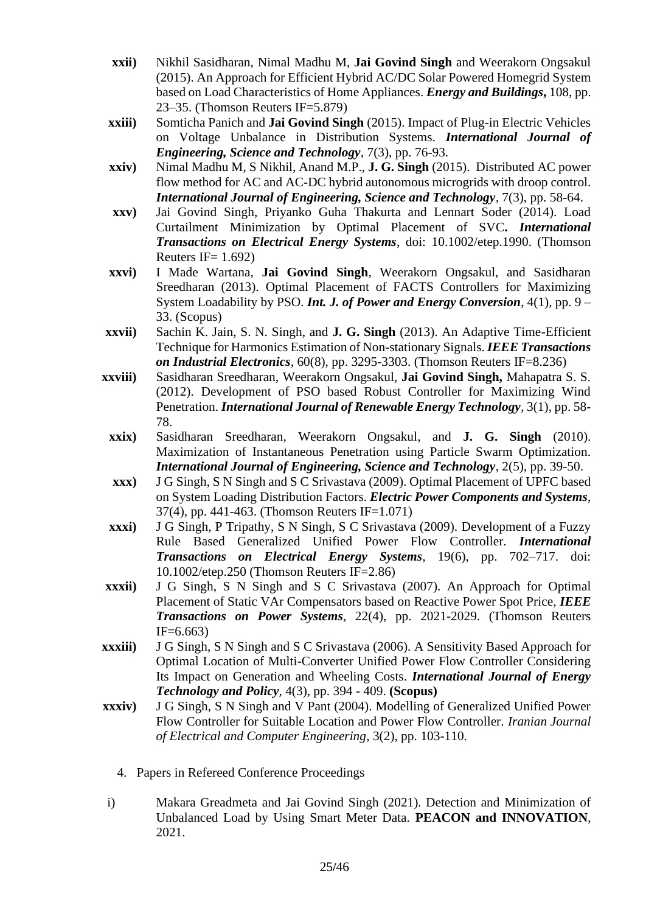- **xxii)** Nikhil Sasidharan, Nimal Madhu M, **Jai Govind Singh** and Weerakorn Ongsakul (2015). An Approach for Efficient Hybrid AC/DC Solar Powered Homegrid System based on Load Characteristics of Home Appliances. *Energy and Buildings***,** 108, pp. 23–35. (Thomson Reuters IF=5.879)
- **xxiii)** Somticha Panich and **Jai Govind Singh** (2015). Impact of Plug-in Electric Vehicles on Voltage Unbalance in Distribution Systems. *International Journal of Engineering, Science and Technology,* 7(3), pp. 76-93.
- **xxiv)** Nimal Madhu M, S Nikhil, Anand M.P., **J. G. Singh** (2015). Distributed AC power flow method for AC and AC-DC hybrid autonomous microgrids with droop control. *International Journal of Engineering, Science and Technology,* 7(3), pp. 58-64.
- **xxv)** Jai Govind Singh, Priyanko Guha Thakurta and Lennart Soder (2014). Load Curtailment Minimization by Optimal Placement of SVC**.** *International Transactions on Electrical Energy Systems*, doi: 10.1002/etep.1990. (Thomson Reuters IF=  $1.692$ )
- **xxvi)** I Made Wartana, **Jai Govind Singh**, Weerakorn Ongsakul, and Sasidharan Sreedharan (2013). Optimal Placement of FACTS Controllers for Maximizing System Loadability by PSO. *Int. J. of Power and Energy Conversion*, 4(1), pp. 9 – 33. (Scopus)
- **xxvii)** Sachin K. Jain, S. N. Singh, and **J. G. Singh** (2013). An Adaptive Time-Efficient Technique for Harmonics Estimation of Non-stationary Signals. *IEEE Transactions on Industrial Electronics,* 60(8), pp. 3295-3303. (Thomson Reuters IF=8.236)
- **xxviii)** Sasidharan Sreedharan, Weerakorn Ongsakul, **Jai Govind Singh,** Mahapatra S. S. (2012). Development of PSO based Robust Controller for Maximizing Wind Penetration. *International Journal of Renewable Energy Technology*, 3(1), pp. 58- 78.
	- **xxix)** Sasidharan Sreedharan, Weerakorn Ongsakul, and **J. G. Singh** (2010). Maximization of Instantaneous Penetration using Particle Swarm Optimization. *International Journal of Engineering, Science and Technology*, 2(5), pp. 39-50.
	- **xxx)** J G Singh, S N Singh and S C Srivastava (2009). Optimal Placement of UPFC based on System Loading Distribution Factors. *Electric Power Components and Systems*, 37(4), pp. 441-463. (Thomson Reuters IF=1.071)
- **xxxi)** J G Singh, P Tripathy, S N Singh, S C Srivastava (2009). Development of a Fuzzy Rule Based Generalized Unified Power Flow Controller. *International Transactions on Electrical Energy Systems*, 19(6), pp. 702–717. doi: 10.1002/etep.250 (Thomson Reuters IF=2.86)
- **xxxii)** J G Singh, S N Singh and S C Srivastava (2007). An Approach for Optimal Placement of Static VAr Compensators based on Reactive Power Spot Price, *IEEE Transactions on Power Systems,* 22(4), pp. 2021-2029. (Thomson Reuters  $IF=6.663$
- **xxxiii)** J G Singh, S N Singh and S C Srivastava (2006). A Sensitivity Based Approach for Optimal Location of Multi-Converter Unified Power Flow Controller Considering Its Impact on Generation and Wheeling Costs. *International Journal of Energy Technology and Policy,* 4(3), pp. 394 - 409. **(Scopus)**
- **xxxiv)** J G Singh, S N Singh and V Pant (2004). Modelling of Generalized Unified Power Flow Controller for Suitable Location and Power Flow Controller. *Iranian Journal of Electrical and Computer Engineering*, 3(2), pp. 103-110.
	- 4. Papers in Refereed Conference Proceedings
- i) Makara Greadmeta and Jai Govind Singh (2021). Detection and Minimization of Unbalanced Load by Using Smart Meter Data. **PEACON and INNOVATION**, 2021.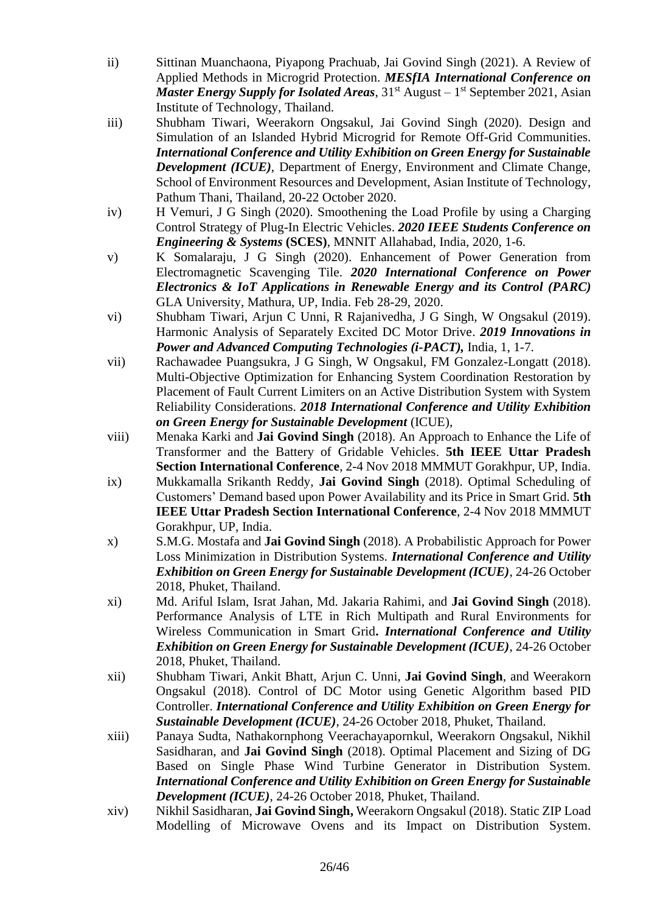- ii) Sittinan Muanchaona, Piyapong Prachuab, Jai Govind Singh (2021). A Review of Applied Methods in Microgrid Protection. *MESfIA International Conference on*  Master Energy Supply for Isolated Areas, 31<sup>st</sup> August – 1<sup>st</sup> September 2021, Asian Institute of Technology, Thailand.
- iii) Shubham Tiwari, Weerakorn Ongsakul, Jai Govind Singh (2020). Design and Simulation of an Islanded Hybrid Microgrid for Remote Off-Grid Communities. *International Conference and Utility Exhibition on Green Energy for Sustainable Development (ICUE)*, Department of Energy, Environment and Climate Change, School of Environment Resources and Development, Asian Institute of Technology, Pathum Thani, Thailand, 20-22 October 2020.
- iv) H Vemuri, J G Singh (2020). Smoothening the Load Profile by using a Charging Control Strategy of Plug-In Electric Vehicles. *2020 IEEE Students Conference on Engineering & Systems* **(SCES)**, MNNIT Allahabad, India, 2020, 1-6.
- v) K Somalaraju, J G Singh (2020). Enhancement of Power Generation from Electromagnetic Scavenging Tile. *2020 International Conference on Power Electronics & IoT Applications in Renewable Energy and its Control (PARC)*  GLA University, Mathura, UP, India. Feb 28-29, 2020.
- vi) Shubham Tiwari, Arjun C Unni, R Rajanivedha, J G Singh, W Ongsakul (2019). Harmonic Analysis of Separately Excited DC Motor Drive. *2019 Innovations in Power and Advanced Computing Technologies (i-PACT),* India, 1, 1-7.
- vii) Rachawadee Puangsukra, J G Singh, W Ongsakul, FM Gonzalez-Longatt (2018). Multi-Objective Optimization for Enhancing System Coordination Restoration by Placement of Fault Current Limiters on an Active Distribution System with System Reliability Considerations. *2018 International Conference and Utility Exhibition on Green Energy for Sustainable Development* (ICUE),
- viii) Menaka Karki and **Jai Govind Singh** (2018). An Approach to Enhance the Life of Transformer and the Battery of Gridable Vehicles. **5th IEEE Uttar Pradesh Section International Conference**, 2-4 Nov 2018 MMMUT Gorakhpur, UP, India.
- ix) Mukkamalla Srikanth Reddy, **Jai Govind Singh** (2018). Optimal Scheduling of Customers' Demand based upon Power Availability and its Price in Smart Grid. **5th IEEE Uttar Pradesh Section International Conference**, 2-4 Nov 2018 MMMUT Gorakhpur, UP, India.
- x) S.M.G. Mostafa and **Jai Govind Singh** (2018). A Probabilistic Approach for Power Loss Minimization in Distribution Systems. *International Conference and Utility Exhibition on Green Energy for Sustainable Development (ICUE)*, 24-26 October 2018, Phuket, Thailand.
- xi) Md. Ariful Islam, Israt Jahan, Md. Jakaria Rahimi, and **Jai Govind Singh** (2018). Performance Analysis of LTE in Rich Multipath and Rural Environments for Wireless Communication in Smart Grid**.** *International Conference and Utility Exhibition on Green Energy for Sustainable Development (ICUE)*, 24-26 October 2018, Phuket, Thailand.
- xii) Shubham Tiwari, Ankit Bhatt, Arjun C. Unni, **Jai Govind Singh**, and Weerakorn Ongsakul (2018). Control of DC Motor using Genetic Algorithm based PID Controller. *International Conference and Utility Exhibition on Green Energy for Sustainable Development (ICUE)*, 24-26 October 2018, Phuket, Thailand.
- xiii) Panaya Sudta, Nathakornphong Veerachayapornkul, Weerakorn Ongsakul, Nikhil Sasidharan, and **Jai Govind Singh** (2018). Optimal Placement and Sizing of DG Based on Single Phase Wind Turbine Generator in Distribution System. *International Conference and Utility Exhibition on Green Energy for Sustainable Development (ICUE)*, 24-26 October 2018, Phuket, Thailand.
- xiv) Nikhil Sasidharan, **Jai Govind Singh,** Weerakorn Ongsakul (2018). Static ZIP Load Modelling of Microwave Ovens and its Impact on Distribution System.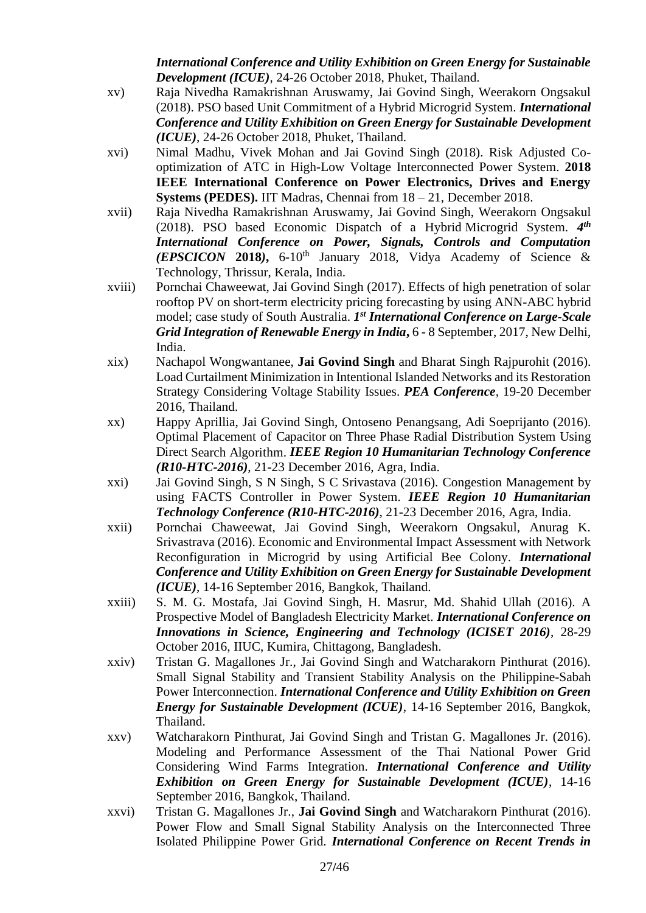*International Conference and Utility Exhibition on Green Energy for Sustainable Development (ICUE)*, 24-26 October 2018, Phuket, Thailand.

- xv) Raja Nivedha Ramakrishnan Aruswamy, Jai Govind Singh, Weerakorn Ongsakul (2018). PSO based Unit Commitment of a Hybrid Microgrid System. *International Conference and Utility Exhibition on Green Energy for Sustainable Development (ICUE)*, 24-26 October 2018, Phuket, Thailand.
- xvi) Nimal Madhu, Vivek Mohan and Jai Govind Singh (2018). Risk Adjusted Cooptimization of ATC in High-Low Voltage Interconnected Power System. **2018 IEEE International Conference on Power Electronics, Drives and Energy Systems (PEDES).** IIT Madras, Chennai from 18 – 21, December 2018.
- xvii) Raja Nivedha Ramakrishnan Aruswamy, Jai Govind Singh, Weerakorn Ongsakul (2018). PSO based Economic Dispatch of a Hybrid Microgrid System. *4 th International Conference on Power, Signals, Controls and Computation (EPSCICON* **2018***)***,** 6-10th January 2018, [Vidya Academy of Science &](http://www.vidyaacademy.ac.in/)  [Technology,](http://www.vidyaacademy.ac.in/) Thrissur, Kerala, India.
- xviii) Pornchai Chaweewat, Jai Govind Singh (2017). Effects of high penetration of solar rooftop PV on short-term electricity pricing forecasting by using ANN-ABC hybrid model; case study of South Australia. *1<sup>st</sup> International Conference on Large-Scale Grid Integration of Renewable Energy in India***,** 6 - 8 September, 2017, New Delhi, India.
- xix) Nachapol Wongwantanee, **Jai Govind Singh** and Bharat Singh Rajpurohit (2016). Load Curtailment Minimization in Intentional Islanded Networks and its Restoration Strategy Considering Voltage Stability Issues. *PEA Conference*, 19-20 December 2016, Thailand.
- xx) Happy Aprillia, Jai Govind Singh, Ontoseno Penangsang, Adi Soeprijanto (2016). Optimal Placement of Capacitor on Three Phase Radial Distribution System Using Direct Search Algorithm. *IEEE Region 10 Humanitarian Technology Conference (R10-HTC-2016)*, 21-23 December 2016, Agra, India.
- xxi) Jai Govind Singh, S N Singh, S C Srivastava (2016). Congestion Management by using FACTS Controller in Power System. *IEEE Region 10 Humanitarian Technology Conference (R10-HTC-2016)*, 21-23 December 2016, Agra, India.
- xxii) Pornchai Chaweewat, Jai Govind Singh, Weerakorn Ongsakul, Anurag K. Srivastrava (2016). Economic and Environmental Impact Assessment with Network Reconfiguration in Microgrid by using Artificial Bee Colony. *International Conference and Utility Exhibition on Green Energy for Sustainable Development (ICUE)*, 14-16 September 2016, Bangkok, Thailand.
- xxiii) S. M. G. Mostafa, Jai Govind Singh, H. Masrur, Md. Shahid Ullah (2016). A Prospective Model of Bangladesh Electricity Market. *International Conference on Innovations in Science, Engineering and Technology (ICISET 2016)*, 28-29 October 2016, IIUC, Kumira, Chittagong, Bangladesh.
- xxiv) Tristan G. Magallones Jr., Jai Govind Singh and Watcharakorn Pinthurat (2016). Small Signal Stability and Transient Stability Analysis on the Philippine-Sabah Power Interconnection. *International Conference and Utility Exhibition on Green Energy for Sustainable Development (ICUE)*, 14-16 September 2016, Bangkok, Thailand.
- xxv) Watcharakorn Pinthurat, Jai Govind Singh and Tristan G. Magallones Jr. (2016). Modeling and Performance Assessment of the Thai National Power Grid Considering Wind Farms Integration. *International Conference and Utility Exhibition on Green Energy for Sustainable Development (ICUE)*, 14-16 September 2016, Bangkok, Thailand.
- xxvi) Tristan G. Magallones Jr., **Jai Govind Singh** and Watcharakorn Pinthurat (2016). Power Flow and Small Signal Stability Analysis on the Interconnected Three Isolated Philippine Power Grid. *International Conference on Recent Trends in*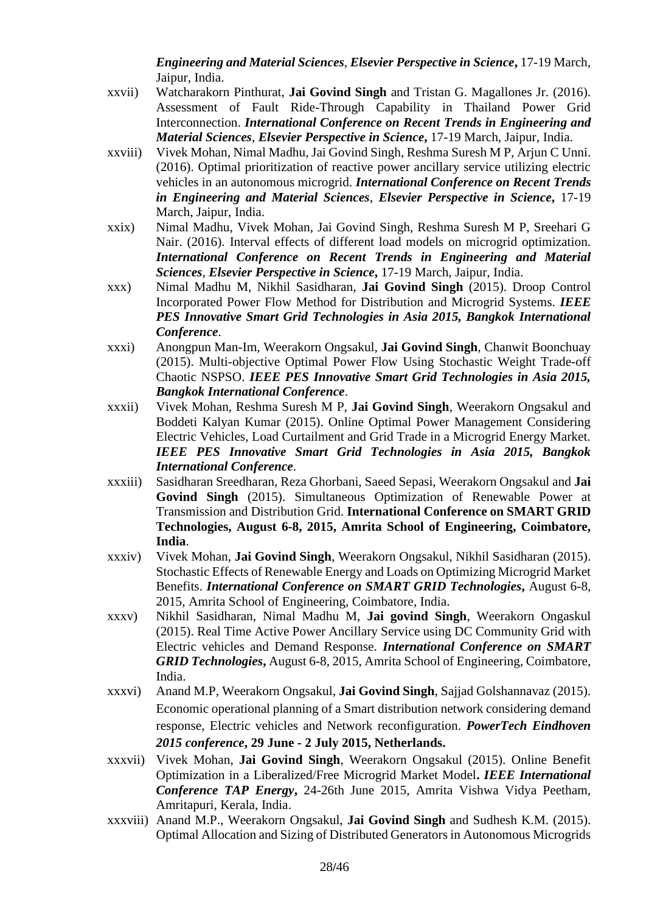*Engineering and Material Sciences*, *Elsevier Perspective in Science***,** 17-19 March, Jaipur, India.

- xxvii) Watcharakorn Pinthurat, **Jai Govind Singh** and Tristan G. Magallones Jr. (2016). Assessment of Fault Ride-Through Capability in Thailand Power Grid Interconnection. *International Conference on Recent Trends in Engineering and Material Sciences*, *Elsevier Perspective in Science***,** 17-19 March, Jaipur, India.
- xxviii) Vivek Mohan, Nimal Madhu, Jai Govind Singh, Reshma Suresh M P, Arjun C Unni. (2016). Optimal prioritization of reactive power ancillary service utilizing electric vehicles in an autonomous microgrid. *International Conference on Recent Trends in Engineering and Material Sciences*, *Elsevier Perspective in Science***,** 17-19 March, Jaipur, India.
- xxix) Nimal Madhu, Vivek Mohan, Jai Govind Singh, Reshma Suresh M P, Sreehari G Nair. (2016). Interval effects of different load models on microgrid optimization. *International Conference on Recent Trends in Engineering and Material Sciences*, *Elsevier Perspective in Science***,** 17-19 March, Jaipur, India.
- xxx) Nimal Madhu M, Nikhil Sasidharan, **Jai Govind Singh** (2015). Droop Control Incorporated Power Flow Method for Distribution and Microgrid Systems. *IEEE PES Innovative Smart Grid Technologies in Asia 2015, Bangkok International Conference*.
- xxxi) Anongpun Man-Im, Weerakorn Ongsakul, **Jai Govind Singh**, Chanwit Boonchuay (2015). Multi-objective Optimal Power Flow Using Stochastic Weight Trade-off Chaotic NSPSO. *IEEE PES Innovative Smart Grid Technologies in Asia 2015, Bangkok International Conference*.
- xxxii) Vivek Mohan, Reshma Suresh M P, **Jai Govind Singh**, Weerakorn Ongsakul and Boddeti Kalyan Kumar (2015). Online Optimal Power Management Considering Electric Vehicles, Load Curtailment and Grid Trade in a Microgrid Energy Market. *IEEE PES Innovative Smart Grid Technologies in Asia 2015, Bangkok International Conference*.
- xxxiii) Sasidharan Sreedharan, Reza Ghorbani, Saeed Sepasi, Weerakorn Ongsakul and **Jai Govind Singh** (2015). Simultaneous Optimization of Renewable Power at Transmission and Distribution Grid. **International Conference on SMART GRID Technologies, August 6-8, 2015, Amrita School of Engineering, Coimbatore, India**.
- xxxiv) Vivek Mohan, **Jai Govind Singh**, Weerakorn Ongsakul, Nikhil Sasidharan (2015). Stochastic Effects of Renewable Energy and Loads on Optimizing Microgrid Market Benefits. *International Conference on SMART GRID Technologies***,** August 6-8, 2015, Amrita School of Engineering, Coimbatore, India.
- xxxv) Nikhil Sasidharan, Nimal Madhu M, **Jai govind Singh**, Weerakorn Ongaskul (2015). Real Time Active Power Ancillary Service using DC Community Grid with Electric vehicles and Demand Response. *International Conference on SMART GRID Technologies***,** August 6-8, 2015, Amrita School of Engineering, Coimbatore, India.
- xxxvi) Anand M.P, Weerakorn Ongsakul, **Jai Govind Singh**, Sajjad Golshannavaz (2015). Economic operational planning of a Smart distribution network considering demand response, Electric vehicles and Network reconfiguration. *PowerTech Eindhoven 2015 conference***, 29 June - 2 July 2015, Netherlands.**
- xxxvii) Vivek Mohan, **Jai Govind Singh**, Weerakorn Ongsakul (2015). Online Benefit Optimization in a Liberalized/Free Microgrid Market Model**.** *IEEE International Conference TAP Energy***,** 24-26th June 2015, Amrita Vishwa Vidya Peetham, Amritapuri, Kerala, India.
- xxxviii) Anand M.P., Weerakorn Ongsakul, **Jai Govind Singh** and Sudhesh K.M. (2015). Optimal Allocation and Sizing of Distributed Generators in Autonomous Microgrids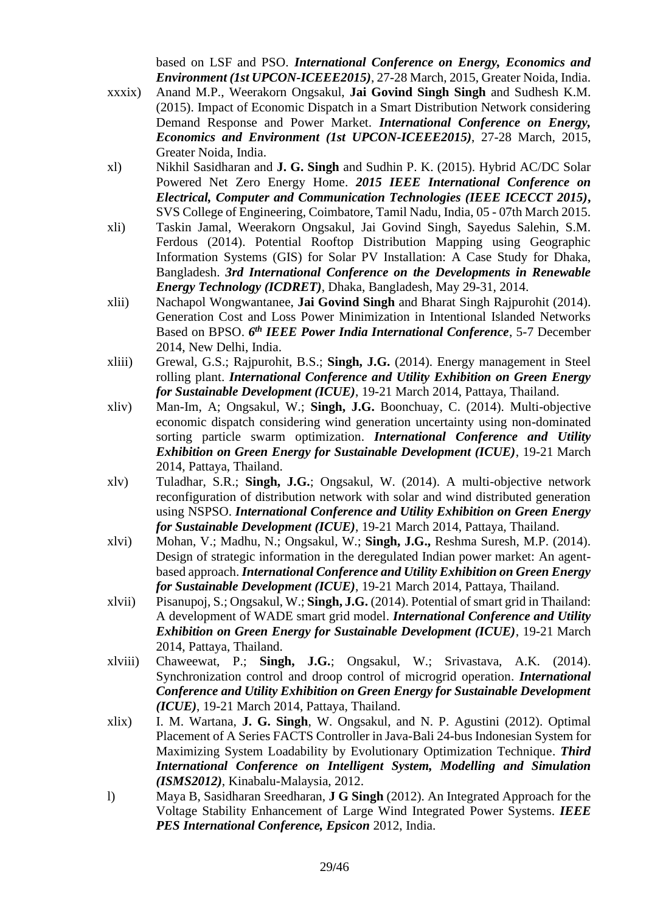based on LSF and PSO. *International Conference on Energy, Economics and Environment (1st UPCON-ICEEE2015)*, 27-28 March, 2015, Greater Noida, India.

- xxxix) Anand M.P., Weerakorn Ongsakul, **Jai Govind Singh Singh** and Sudhesh K.M. (2015). Impact of Economic Dispatch in a Smart Distribution Network considering Demand Response and Power Market. *International Conference on Energy, Economics and Environment (1st UPCON-ICEEE2015)*, 27-28 March, 2015, Greater Noida, India.
- xl) Nikhil Sasidharan and **J. G. Singh** and Sudhin P. K. (2015). Hybrid AC/DC Solar Powered Net Zero Energy Home. *2015 IEEE International Conference on Electrical, Computer and Communication Technologies (IEEE ICECCT 2015)***,**  SVS College of Engineering, Coimbatore, Tamil Nadu, India, 05 - 07th March 2015.
- xli) Taskin Jamal, Weerakorn Ongsakul, Jai Govind Singh, Sayedus Salehin, S.M. Ferdous (2014). Potential Rooftop Distribution Mapping using Geographic Information Systems (GIS) for Solar PV Installation: A Case Study for Dhaka, Bangladesh. *3rd International Conference on the Developments in Renewable Energy Technology (ICDRET)*, Dhaka, Bangladesh, May 29-31, 2014.
- xlii) Nachapol Wongwantanee, **Jai Govind Singh** and Bharat Singh Rajpurohit (2014). Generation Cost and Loss Power Minimization in Intentional Islanded Networks Based on BPSO. 6<sup>th</sup> IEEE Power India International Conference, 5-7 December 2014, New Delhi, India.
- xliii) Grewal, G.S.; Rajpurohit, B.S.; **Singh, J.G.** (2014). Energy management in Steel rolling plant. *International Conference and Utility Exhibition on Green Energy for Sustainable Development (ICUE)*, 19-21 March 2014, Pattaya, Thailand.
- xliv) Man-Im, A; Ongsakul, W.; **Singh, J.G.** Boonchuay, C. (2014). Multi-objective economic dispatch considering wind generation uncertainty using non-dominated sorting particle swarm optimization. *International Conference and Utility Exhibition on Green Energy for Sustainable Development (ICUE)*, 19-21 March 2014, Pattaya, Thailand.
- xlv) Tuladhar, S.R.; **Singh, J.G.**; Ongsakul, W. (2014). A multi-objective network reconfiguration of distribution network with solar and wind distributed generation using NSPSO. *International Conference and Utility Exhibition on Green Energy for Sustainable Development (ICUE)*, 19-21 March 2014, Pattaya, Thailand.
- xlvi) Mohan, V.; Madhu, N.; Ongsakul, W.; **Singh, J.G.,** Reshma Suresh, M.P. (2014). Design of strategic information in the deregulated Indian power market: An agentbased approach. *International Conference and Utility Exhibition on Green Energy for Sustainable Development (ICUE)*, 19-21 March 2014, Pattaya, Thailand.
- xlvii) Pisanupoj, S.; Ongsakul, W.; **Singh, J.G.** (2014). Potential of smart grid in Thailand: A development of WADE smart grid model. *International Conference and Utility Exhibition on Green Energy for Sustainable Development (ICUE)*, 19-21 March 2014, Pattaya, Thailand.
- xlviii) Chaweewat, P.; **Singh, J.G.**; Ongsakul, W.; Srivastava, A.K. (2014). Synchronization control and droop control of microgrid operation. *International Conference and Utility Exhibition on Green Energy for Sustainable Development (ICUE)*, 19-21 March 2014, Pattaya, Thailand.
- xlix) I. M. Wartana, **J. G. Singh**, W. Ongsakul, and N. P. Agustini (2012). Optimal Placement of A Series FACTS Controller in Java-Bali 24-bus Indonesian System for Maximizing System Loadability by Evolutionary Optimization Technique. *Third International Conference on Intelligent System, Modelling and Simulation (ISMS2012)*, Kinabalu-Malaysia, 2012.
- l) Maya B, Sasidharan Sreedharan, **J G Singh** (2012). An Integrated Approach for the Voltage Stability Enhancement of Large Wind Integrated Power Systems. *IEEE PES International Conference, Epsicon* 2012, India.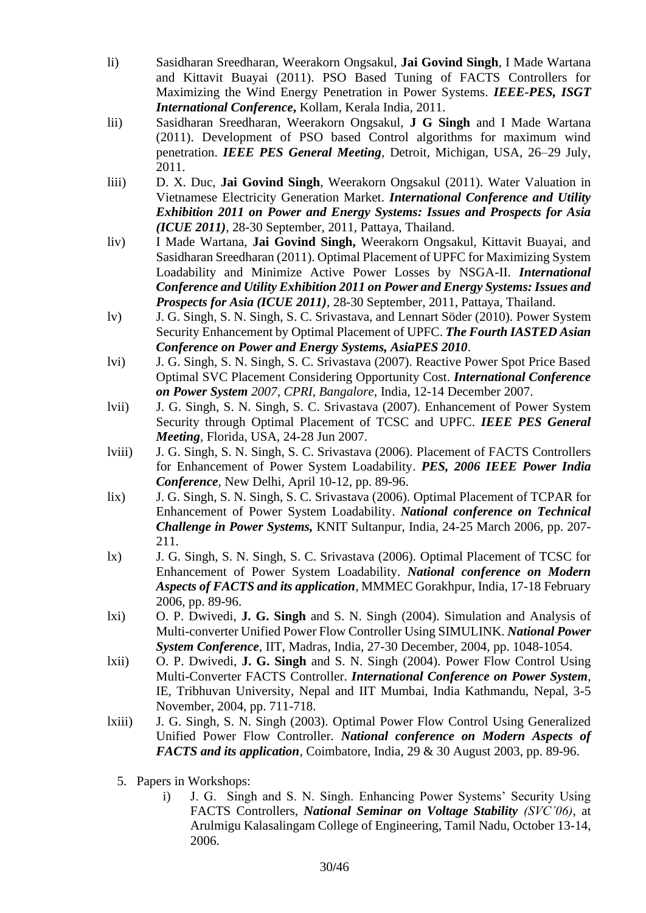- li) Sasidharan Sreedharan, Weerakorn Ongsakul, **Jai Govind Singh**, I Made Wartana and Kittavit Buayai (2011). PSO Based Tuning of FACTS Controllers for Maximizing the Wind Energy Penetration in Power Systems. *IEEE-PES, ISGT International Conference***,** Kollam, Kerala India, 2011.
- lii) Sasidharan Sreedharan, Weerakorn Ongsakul, **J G Singh** and I Made Wartana (2011). Development of PSO based Control algorithms for maximum wind penetration. *IEEE PES General Meeting,* Detroit, Michigan, USA, 26–29 July, 2011.
- liii) D. X. Duc, **Jai Govind Singh**, Weerakorn Ongsakul (2011). Water Valuation in Vietnamese Electricity Generation Market. *International Conference and Utility Exhibition 2011 on Power and Energy Systems: Issues and Prospects for Asia (ICUE 2011)*, 28-30 September, 2011, Pattaya, Thailand.
- liv) I Made Wartana, **Jai Govind Singh,** Weerakorn Ongsakul, Kittavit Buayai, and Sasidharan Sreedharan (2011). Optimal Placement of UPFC for Maximizing System Loadability and Minimize Active Power Losses by NSGA-II. *International Conference and Utility Exhibition 2011 on Power and Energy Systems: Issues and Prospects for Asia (ICUE 2011)*, 28-30 September, 2011, Pattaya, Thailand.
- lv) J. G. Singh, S. N. Singh, S. C. Srivastava, and Lennart Söder (2010). Power System Security Enhancement by Optimal Placement of UPFC. *The Fourth IASTED Asian Conference on Power and Energy Systems, AsiaPES 2010*.
- lvi) J. G. Singh, S. N. Singh, S. C. Srivastava (2007). Reactive Power Spot Price Based Optimal SVC Placement Considering Opportunity Cost. *International Conference on Power System 2007, CPRI, Bangalore*, India, 12-14 December 2007.
- lvii) J. G. Singh, S. N. Singh, S. C. Srivastava (2007). Enhancement of Power System Security through Optimal Placement of TCSC and UPFC. *IEEE PES General Meeting,* Florida, USA, 24-28 Jun 2007.
- lviii) J. G. Singh, S. N. Singh, S. C. Srivastava (2006). Placement of FACTS Controllers for Enhancement of Power System Loadability. *PES, 2006 IEEE Power India Conference,* New Delhi, April 10-12, pp. 89-96.
- lix) J. G. Singh, S. N. Singh, S. C. Srivastava (2006). Optimal Placement of TCPAR for Enhancement of Power System Loadability. *National conference on Technical Challenge in Power Systems,* KNIT Sultanpur, India, 24-25 March 2006, pp. 207- 211.
- lx) J. G. Singh, S. N. Singh, S. C. Srivastava (2006). Optimal Placement of TCSC for Enhancement of Power System Loadability. *National conference on Modern Aspects of FACTS and its application*, MMMEC Gorakhpur, India, 17-18 February 2006, pp. 89-96.
- lxi) O. P. Dwivedi, **J. G. Singh** and S. N. Singh (2004). Simulation and Analysis of Multi-converter Unified Power Flow Controller Using SIMULINK. *National Power System Conference*, IIT, Madras, India, 27-30 December, 2004, pp. 1048-1054.
- lxii) O. P. Dwivedi, **J. G. Singh** and S. N. Singh (2004). Power Flow Control Using Multi-Converter FACTS Controller. *International Conference on Power System*, IE, Tribhuvan University, Nepal and IIT Mumbai, India Kathmandu, Nepal, 3-5 November, 2004, pp. 711-718.
- lxiii) J. G. Singh, S. N. Singh (2003). Optimal Power Flow Control Using Generalized Unified Power Flow Controller. *National conference on Modern Aspects of FACTS and its application*, Coimbatore, India, 29 & 30 August 2003, pp. 89-96.
	- 5. Papers in Workshops:
		- i) J. G. Singh and S. N. Singh. Enhancing Power Systems' Security Using FACTS Controllers, *National Seminar on Voltage Stability (SVC'06)*, at Arulmigu Kalasalingam College of Engineering, Tamil Nadu, October 13-14, 2006.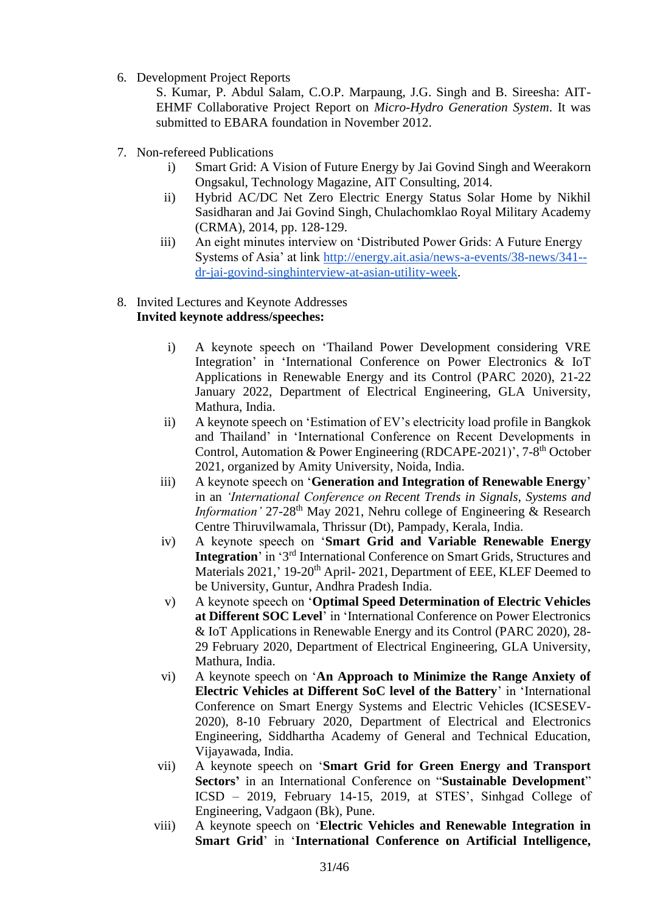6. Development Project Reports

S. Kumar, P. Abdul Salam, C.O.P. Marpaung, J.G. Singh and B. Sireesha: AIT-EHMF Collaborative Project Report on *Micro-Hydro Generation System*. It was submitted to EBARA foundation in November 2012.

- 7. Non-refereed Publications
	- i) Smart Grid: A Vision of Future Energy by Jai Govind Singh and Weerakorn Ongsakul, Technology Magazine, AIT Consulting, 2014.
	- ii) Hybrid AC/DC Net Zero Electric Energy Status Solar Home by Nikhil Sasidharan and Jai Govind Singh, Chulachomklao Royal Military Academy (CRMA), 2014, pp. 128-129.
	- iii) An eight minutes interview on 'Distributed Power Grids: A Future Energy Systems of Asia' at link [http://energy.ait.asia/news-a-events/38-news/341-](http://energy.ait.asia/news-a-events/38-news/341--dr-jai-govind-singhinterview-at-asian-utility-week) [dr-jai-govind-singhinterview-at-asian-utility-week.](http://energy.ait.asia/news-a-events/38-news/341--dr-jai-govind-singhinterview-at-asian-utility-week)

#### 8. Invited Lectures and Keynote Addresses **Invited keynote address/speeches:**

- i) A keynote speech on 'Thailand Power Development considering VRE Integration' in 'International Conference on Power Electronics & IoT Applications in Renewable Energy and its Control (PARC 2020), 21-22 January 2022, Department of Electrical Engineering, GLA University, Mathura, India.
- ii) A keynote speech on 'Estimation of EV's electricity load profile in Bangkok and Thailand' in 'International Conference on Recent Developments in Control, Automation & Power Engineering (RDCAPE-2021)', 7-8<sup>th</sup> October 2021, organized by Amity University, Noida, India.
- iii) A keynote speech on '**Generation and Integration of Renewable Energy**' in an *'International Conference on Recent Trends in Signals, Systems and Information'* 27-28<sup>th</sup> May 2021, Nehru college of Engineering & Research Centre Thiruvilwamala, Thrissur (Dt), Pampady, Kerala, India.
- iv) A keynote speech on '**Smart Grid and Variable Renewable Energy Integration**' in '3<sup>rd</sup> International Conference on Smart Grids, Structures and Materials 2021,' 19-20<sup>th</sup> April- 2021, Department of EEE, KLEF Deemed to be University, Guntur, Andhra Pradesh India.
- v) A keynote speech on '**Optimal Speed Determination of Electric Vehicles at Different SOC Level**' in 'International Conference on Power Electronics & IoT Applications in Renewable Energy and its Control (PARC 2020), 28- 29 February 2020, Department of Electrical Engineering, GLA University, Mathura, India.
- vi) A keynote speech on '**An Approach to Minimize the Range Anxiety of Electric Vehicles at Different SoC level of the Battery**' in 'International Conference on Smart Energy Systems and Electric Vehicles (ICSESEV-2020), 8-10 February 2020, Department of Electrical and Electronics Engineering, Siddhartha Academy of General and Technical Education, Vijayawada, India.
- vii) A keynote speech on '**Smart Grid for Green Energy and Transport Sectors'** in an International Conference on "**Sustainable Development**" ICSD – 2019, February 14-15, 2019, at STES', Sinhgad College of Engineering, Vadgaon (Bk), Pune.
- viii) A keynote speech on '**Electric Vehicles and Renewable Integration in Smart Grid**' in '**International Conference on Artificial Intelligence,**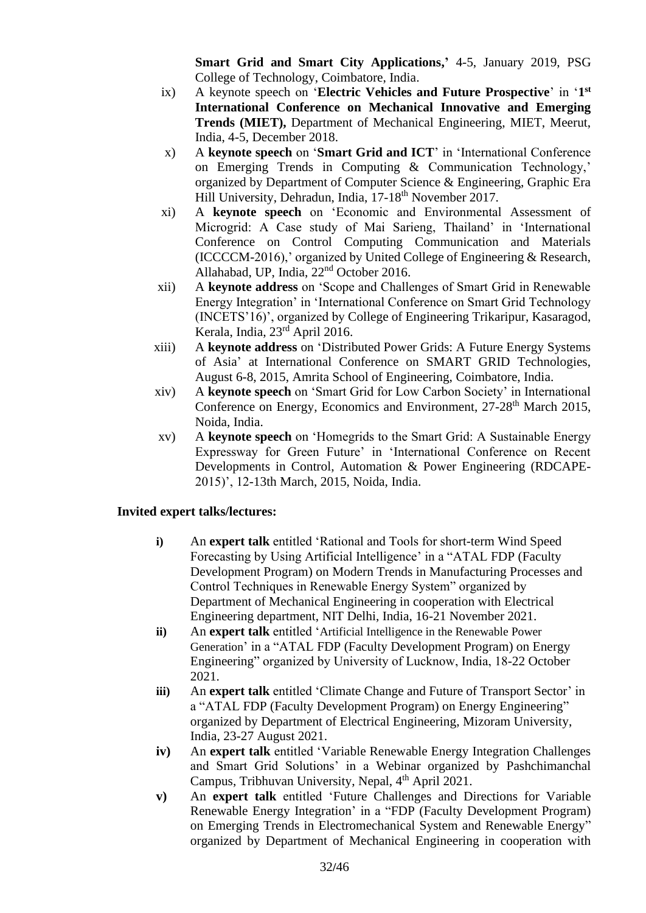**Smart Grid and Smart City Applications,'** 4-5, January 2019, PSG College of Technology, Coimbatore, India.

- ix) A keynote speech on '**Electric Vehicles and Future Prospective**' in '**1 st International Conference on Mechanical Innovative and Emerging Trends (MIET),** Department of Mechanical Engineering, MIET, Meerut, India, 4-5, December 2018.
- x) A **keynote speech** on '**Smart Grid and ICT**' in 'International Conference on Emerging Trends in Computing & Communication Technology,' organized by Department of Computer Science & Engineering, Graphic Era Hill University, Dehradun, India, 17-18th November 2017.
- xi) A **keynote speech** on 'Economic and Environmental Assessment of Microgrid: A Case study of Mai Sarieng, Thailand' in 'International Conference on Control Computing Communication and Materials (ICCCCM-2016),' organized by United College of Engineering & Research, Allahabad, UP, India, 22<sup>nd</sup> October 2016.
- xii) A **keynote address** on 'Scope and Challenges of Smart Grid in Renewable Energy Integration' in 'International Conference on Smart Grid Technology (INCETS'16)', organized by College of Engineering Trikaripur, Kasaragod, Kerala, India, 23rd April 2016.
- xiii) A **keynote address** on 'Distributed Power Grids: A Future Energy Systems of Asia' at International Conference on SMART GRID Technologies, August 6-8, 2015, Amrita School of Engineering, Coimbatore, India.
- xiv) A **keynote speech** on 'Smart Grid for Low Carbon Society' in International Conference on Energy, Economics and Environment, 27-28<sup>th</sup> March 2015, Noida, India.
- xv) A **keynote speech** on 'Homegrids to the Smart Grid: A Sustainable Energy Expressway for Green Future' in 'International Conference on Recent Developments in Control, Automation & Power Engineering (RDCAPE-2015)', 12-13th March, 2015, Noida, India.

## **Invited expert talks/lectures:**

- **i)** An **expert talk** entitled 'Rational and Tools for short-term Wind Speed Forecasting by Using Artificial Intelligence' in a "ATAL FDP (Faculty Development Program) on Modern Trends in Manufacturing Processes and Control Techniques in Renewable Energy System" organized by Department of Mechanical Engineering in cooperation with Electrical Engineering department, NIT Delhi, India, 16-21 November 2021.
- **ii)** An **expert talk** entitled 'Artificial Intelligence in the Renewable Power Generation' in a "ATAL FDP (Faculty Development Program) on Energy Engineering" organized by University of Lucknow, India, 18-22 October 2021.
- **iii)** An **expert talk** entitled 'Climate Change and Future of Transport Sector' in a "ATAL FDP (Faculty Development Program) on Energy Engineering" organized by Department of Electrical Engineering, Mizoram University, India, 23-27 August 2021.
- **iv)** An **expert talk** entitled 'Variable Renewable Energy Integration Challenges and Smart Grid Solutions' in a Webinar organized by Pashchimanchal Campus, Tribhuvan University, Nepal, 4<sup>th</sup> April 2021.
- **v)** An **expert talk** entitled 'Future Challenges and Directions for Variable Renewable Energy Integration' in a "FDP (Faculty Development Program) on Emerging Trends in Electromechanical System and Renewable Energy" organized by Department of Mechanical Engineering in cooperation with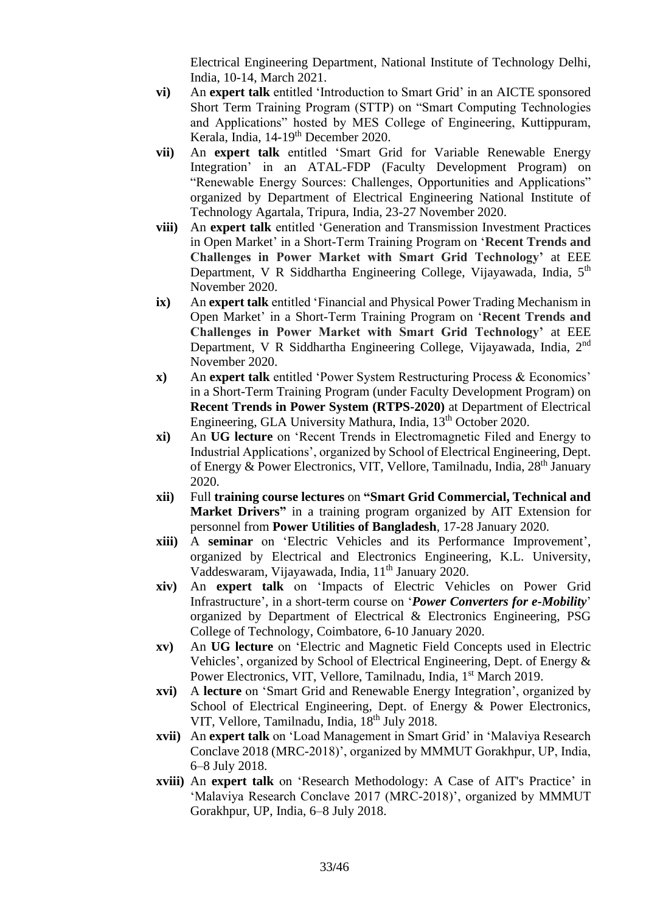Electrical Engineering Department, National Institute of Technology Delhi, India, 10-14, March 2021.

- **vi)** An **expert talk** entitled 'Introduction to Smart Grid' in an AICTE sponsored Short Term Training Program (STTP) on "Smart Computing Technologies and Applications" hosted by MES College of Engineering, Kuttippuram, Kerala, India, 14-19<sup>th</sup> December 2020.
- **vii)** An **expert talk** entitled 'Smart Grid for Variable Renewable Energy Integration' in an ATAL-FDP (Faculty Development Program) on "Renewable Energy Sources: Challenges, Opportunities and Applications" organized by Department of Electrical Engineering National Institute of Technology Agartala, Tripura, India, 23-27 November 2020.
- **viii)** An **expert talk** entitled 'Generation and Transmission Investment Practices in Open Market' in a Short-Term Training Program on '**Recent Trends and Challenges in Power Market with Smart Grid Technology'** at EEE Department, V R Siddhartha Engineering College, Vijayawada, India, 5<sup>th</sup> November 2020.
- **ix)** An **expert talk** entitled 'Financial and Physical Power Trading Mechanism in Open Market' in a Short-Term Training Program on '**Recent Trends and Challenges in Power Market with Smart Grid Technology'** at EEE Department, V R Siddhartha Engineering College, Vijayawada, India, 2<sup>nd</sup> November 2020.
- **x)** An **expert talk** entitled 'Power System Restructuring Process & Economics' in a Short-Term Training Program (under Faculty Development Program) on **Recent Trends in Power System (RTPS-2020)** at Department of Electrical Engineering, GLA University Mathura, India, 13th October 2020.
- **xi)** An **UG lecture** on 'Recent Trends in Electromagnetic Filed and Energy to Industrial Applications', organized by School of Electrical Engineering, Dept. of Energy & Power Electronics, VIT, Vellore, Tamilnadu, India, 28<sup>th</sup> January 2020.
- **xii)** Full **training course lectures** on **"Smart Grid Commercial, Technical and Market Drivers"** in a training program organized by AIT Extension for personnel from **Power Utilities of Bangladesh**, 17-28 January 2020.
- **xiii)** A **seminar** on 'Electric Vehicles and its Performance Improvement', organized by Electrical and Electronics Engineering, K.L. University, Vaddeswaram, Vijayawada, India, 11<sup>th</sup> January 2020.
- **xiv)** An **expert talk** on 'Impacts of Electric Vehicles on Power Grid Infrastructure', in a short-term course on '*Power Converters for e-Mobility*' organized by Department of Electrical & Electronics Engineering, PSG College of Technology, Coimbatore, 6-10 January 2020.
- **xv)** An **UG lecture** on 'Electric and Magnetic Field Concepts used in Electric Vehicles', organized by School of Electrical Engineering, Dept. of Energy & Power Electronics, VIT, Vellore, Tamilnadu, India, 1<sup>st</sup> March 2019.
- **xvi)** A **lecture** on 'Smart Grid and Renewable Energy Integration', organized by School of Electrical Engineering, Dept. of Energy & Power Electronics, VIT, Vellore, Tamilnadu, India, 18<sup>th</sup> July 2018.
- **xvii)** An **expert talk** on 'Load Management in Smart Grid' in 'Malaviya Research Conclave 2018 (MRC-2018)', organized by MMMUT Gorakhpur, UP, India, 6–8 July 2018.
- **xviii)** An **expert talk** on 'Research Methodology: A Case of AIT's Practice' in 'Malaviya Research Conclave 2017 (MRC-2018)', organized by MMMUT Gorakhpur, UP, India, 6–8 July 2018.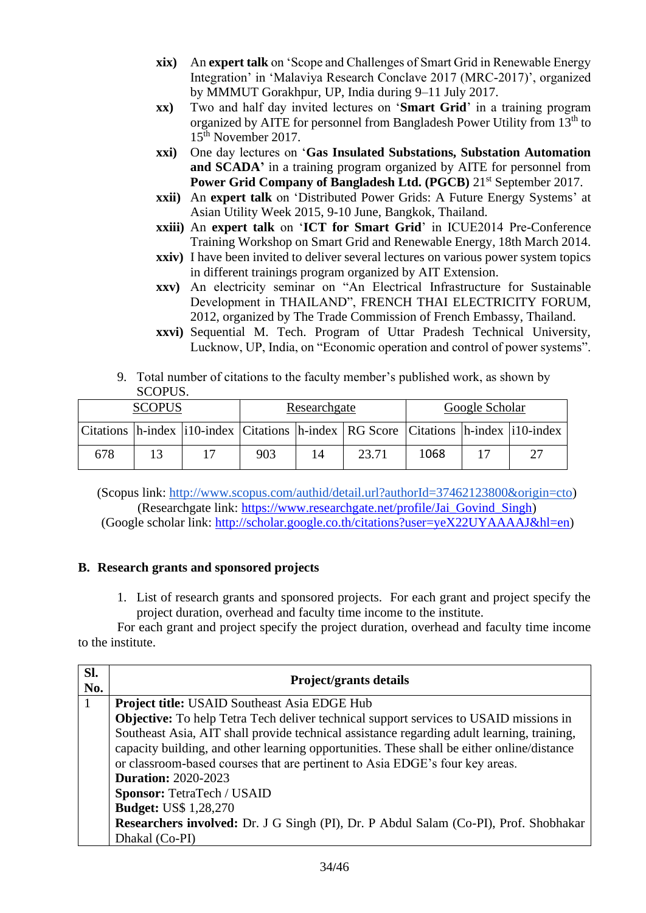- **xix)** An **expert talk** on 'Scope and Challenges of Smart Grid in Renewable Energy Integration' in 'Malaviya Research Conclave 2017 (MRC-2017)', organized by MMMUT Gorakhpur, UP, India during 9–11 July 2017.
- **xx)** Two and half day invited lectures on '**Smart Grid**' in a training program organized by AITE for personnel from Bangladesh Power Utility from 13<sup>th</sup> to 15th November 2017.
- **xxi)** One day lectures on '**Gas Insulated Substations, Substation Automation**  and SCADA' in a training program organized by AITE for personnel from **Power Grid Company of Bangladesh Ltd. (PGCB)** 21<sup>st</sup> September 2017.
- **xxii)** An **expert talk** on 'Distributed Power Grids: A Future Energy Systems' at Asian Utility Week 2015, 9-10 June, Bangkok, Thailand.
- **xxiii)** An **expert talk** on '**ICT for Smart Grid**' in ICUE2014 Pre-Conference Training Workshop on Smart Grid and Renewable Energy, 18th March 2014.
- **xxiv)** I have been invited to deliver several lectures on various power system topics in different trainings program organized by AIT Extension.
- **xxv)** An electricity seminar on "An Electrical Infrastructure for Sustainable Development in THAILAND", FRENCH THAI ELECTRICITY FORUM, 2012, organized by The Trade Commission of French Embassy, Thailand.
- **xxvi)** Sequential M. Tech. Program of Uttar Pradesh Technical University, Lucknow, UP, India, on "Economic operation and control of power systems".
- 9. Total number of citations to the faculty member's published work, as shown by SCOPUS.

| <b>SCOPUS</b> |  | Researchgate |     |    | Google Scholar                                                                                     |      |  |    |
|---------------|--|--------------|-----|----|----------------------------------------------------------------------------------------------------|------|--|----|
|               |  |              |     |    | Citations   h-index   i10-index   Citations   h-index   RG Score   Citations   h-index   i10-index |      |  |    |
| 678           |  |              | 903 | 14 | 23.71                                                                                              | 1068 |  | 27 |

(Scopus link[:](http://www.scopus.com/authid/detail.url?authorId=37462123800&origin=cto) [http://www.scopus.com/authid/detail.url?authorId=37462123800&origin=cto\)](http://www.scopus.com/authid/detail.url?authorId=37462123800&origin=cto) (Researchgate link: [https://www.researchgate.net/profile/Jai\\_Govind\\_Singh\)](https://www.researchgate.net/profile/Jai_Govind_Singh) (Google scholar link: [http://scholar.google.co.th/citations?user=yeX22UYAAAAJ&hl=en\)](http://scholar.google.co.th/citations?user=yeX22UYAAAAJ&hl=en)

## **B. Research grants and sponsored projects**

1. List of research grants and sponsored projects. For each grant and project specify the project duration, overhead and faculty time income to the institute.

For each grant and project specify the project duration, overhead and faculty time income to the institute.

| Sl.<br>No. | Project/grants details                                                                       |
|------------|----------------------------------------------------------------------------------------------|
|            | <b>Project title: USAID Southeast Asia EDGE Hub</b>                                          |
|            | <b>Objective:</b> To help Tetra Tech deliver technical support services to USAID missions in |
|            | Southeast Asia, AIT shall provide technical assistance regarding adult learning, training,   |
|            | capacity building, and other learning opportunities. These shall be either online/distance   |
|            | or classroom-based courses that are pertinent to Asia EDGE's four key areas.                 |
|            | <b>Duration: 2020-2023</b>                                                                   |
|            | <b>Sponsor: TetraTech / USAID</b>                                                            |
|            | <b>Budget: US\$ 1,28,270</b>                                                                 |
|            | <b>Researchers involved:</b> Dr. J G Singh (PI), Dr. P Abdul Salam (Co-PI), Prof. Shobhakar  |
|            | Dhakal (Co-PI)                                                                               |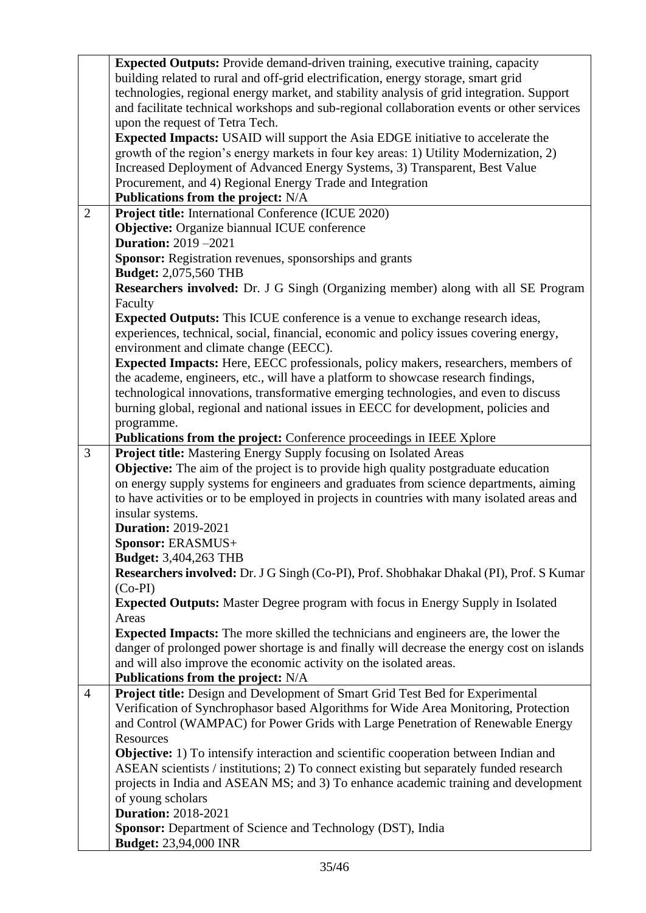|                                                           | <b>Expected Outputs:</b> Provide demand-driven training, executive training, capacity       |  |  |  |
|-----------------------------------------------------------|---------------------------------------------------------------------------------------------|--|--|--|
|                                                           | building related to rural and off-grid electrification, energy storage, smart grid          |  |  |  |
|                                                           | technologies, regional energy market, and stability analysis of grid integration. Support   |  |  |  |
|                                                           | and facilitate technical workshops and sub-regional collaboration events or other services  |  |  |  |
|                                                           | upon the request of Tetra Tech.                                                             |  |  |  |
|                                                           | <b>Expected Impacts:</b> USAID will support the Asia EDGE initiative to accelerate the      |  |  |  |
|                                                           | growth of the region's energy markets in four key areas: 1) Utility Modernization, 2)       |  |  |  |
|                                                           | Increased Deployment of Advanced Energy Systems, 3) Transparent, Best Value                 |  |  |  |
| Procurement, and 4) Regional Energy Trade and Integration |                                                                                             |  |  |  |
|                                                           | Publications from the project: N/A                                                          |  |  |  |
| $\overline{2}$                                            | <b>Project title:</b> International Conference (ICUE 2020)                                  |  |  |  |
|                                                           | <b>Objective:</b> Organize biannual ICUE conference                                         |  |  |  |
|                                                           | <b>Duration:</b> 2019 -2021                                                                 |  |  |  |
|                                                           | Sponsor: Registration revenues, sponsorships and grants                                     |  |  |  |
|                                                           | <b>Budget:</b> 2,075,560 THB                                                                |  |  |  |
|                                                           | Researchers involved: Dr. J G Singh (Organizing member) along with all SE Program           |  |  |  |
|                                                           | Faculty                                                                                     |  |  |  |
|                                                           | <b>Expected Outputs:</b> This ICUE conference is a venue to exchange research ideas,        |  |  |  |
|                                                           | experiences, technical, social, financial, economic and policy issues covering energy,      |  |  |  |
|                                                           | environment and climate change (EECC).                                                      |  |  |  |
|                                                           | Expected Impacts: Here, EECC professionals, policy makers, researchers, members of          |  |  |  |
|                                                           | the academe, engineers, etc., will have a platform to showcase research findings,           |  |  |  |
|                                                           | technological innovations, transformative emerging technologies, and even to discuss        |  |  |  |
|                                                           | burning global, regional and national issues in EECC for development, policies and          |  |  |  |
|                                                           | programme.                                                                                  |  |  |  |
|                                                           | <b>Publications from the project:</b> Conference proceedings in IEEE Xplore                 |  |  |  |
| $\overline{3}$                                            | <b>Project title:</b> Mastering Energy Supply focusing on Isolated Areas                    |  |  |  |
|                                                           | <b>Objective:</b> The aim of the project is to provide high quality postgraduate education  |  |  |  |
|                                                           | on energy supply systems for engineers and graduates from science departments, aiming       |  |  |  |
|                                                           | to have activities or to be employed in projects in countries with many isolated areas and  |  |  |  |
|                                                           | insular systems.                                                                            |  |  |  |
|                                                           | <b>Duration: 2019-2021</b>                                                                  |  |  |  |
|                                                           | Sponsor: ERASMUS+                                                                           |  |  |  |
|                                                           | <b>Budget:</b> 3,404,263 THB                                                                |  |  |  |
|                                                           | Researchers involved: Dr. J G Singh (Co-PI), Prof. Shobhakar Dhakal (PI), Prof. S Kumar     |  |  |  |
|                                                           | $(Co-PI)$                                                                                   |  |  |  |
|                                                           | Expected Outputs: Master Degree program with focus in Energy Supply in Isolated             |  |  |  |
|                                                           | Areas                                                                                       |  |  |  |
|                                                           | <b>Expected Impacts:</b> The more skilled the technicians and engineers are, the lower the  |  |  |  |
|                                                           | danger of prolonged power shortage is and finally will decrease the energy cost on islands  |  |  |  |
|                                                           | and will also improve the economic activity on the isolated areas.                          |  |  |  |
|                                                           | Publications from the project: N/A                                                          |  |  |  |
| $\overline{4}$                                            | Project title: Design and Development of Smart Grid Test Bed for Experimental               |  |  |  |
|                                                           | Verification of Synchrophasor based Algorithms for Wide Area Monitoring, Protection         |  |  |  |
|                                                           | and Control (WAMPAC) for Power Grids with Large Penetration of Renewable Energy             |  |  |  |
|                                                           | Resources                                                                                   |  |  |  |
|                                                           | <b>Objective:</b> 1) To intensify interaction and scientific cooperation between Indian and |  |  |  |
|                                                           | ASEAN scientists / institutions; 2) To connect existing but separately funded research      |  |  |  |
|                                                           | projects in India and ASEAN MS; and 3) To enhance academic training and development         |  |  |  |
|                                                           | of young scholars                                                                           |  |  |  |
|                                                           | <b>Duration: 2018-2021</b>                                                                  |  |  |  |
|                                                           | Sponsor: Department of Science and Technology (DST), India                                  |  |  |  |
|                                                           | <b>Budget:</b> 23,94,000 INR                                                                |  |  |  |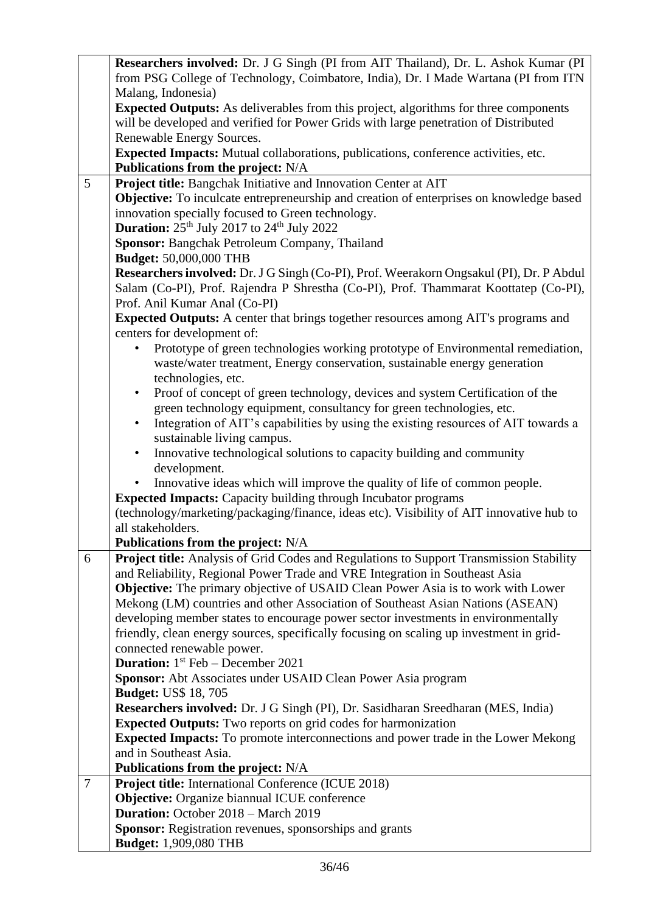|                                                                                      | Researchers involved: Dr. J G Singh (PI from AIT Thailand), Dr. L. Ashok Kumar (PI                                                                                            |  |  |  |
|--------------------------------------------------------------------------------------|-------------------------------------------------------------------------------------------------------------------------------------------------------------------------------|--|--|--|
|                                                                                      | from PSG College of Technology, Coimbatore, India), Dr. I Made Wartana (PI from ITN                                                                                           |  |  |  |
|                                                                                      | Malang, Indonesia)                                                                                                                                                            |  |  |  |
|                                                                                      | <b>Expected Outputs:</b> As deliverables from this project, algorithms for three components                                                                                   |  |  |  |
|                                                                                      | will be developed and verified for Power Grids with large penetration of Distributed                                                                                          |  |  |  |
|                                                                                      | Renewable Energy Sources.                                                                                                                                                     |  |  |  |
|                                                                                      | Expected Impacts: Mutual collaborations, publications, conference activities, etc.                                                                                            |  |  |  |
|                                                                                      | <b>Publications from the project: N/A</b>                                                                                                                                     |  |  |  |
| 5                                                                                    | Project title: Bangchak Initiative and Innovation Center at AIT                                                                                                               |  |  |  |
|                                                                                      | Objective: To inculcate entrepreneurship and creation of enterprises on knowledge based                                                                                       |  |  |  |
|                                                                                      | innovation specially focused to Green technology.                                                                                                                             |  |  |  |
|                                                                                      | <b>Duration:</b> $25th$ July 2017 to $24th$ July 2022                                                                                                                         |  |  |  |
|                                                                                      | Sponsor: Bangchak Petroleum Company, Thailand                                                                                                                                 |  |  |  |
|                                                                                      | <b>Budget:</b> 50,000,000 THB                                                                                                                                                 |  |  |  |
|                                                                                      | Researchers involved: Dr. J G Singh (Co-PI), Prof. Weerakorn Ongsakul (PI), Dr. P Abdul                                                                                       |  |  |  |
| Salam (Co-PI), Prof. Rajendra P Shrestha (Co-PI), Prof. Thammarat Koottatep (Co-PI), |                                                                                                                                                                               |  |  |  |
|                                                                                      | Prof. Anil Kumar Anal (Co-PI)                                                                                                                                                 |  |  |  |
|                                                                                      | Expected Outputs: A center that brings together resources among AIT's programs and                                                                                            |  |  |  |
|                                                                                      | centers for development of:                                                                                                                                                   |  |  |  |
|                                                                                      | Prototype of green technologies working prototype of Environmental remediation,                                                                                               |  |  |  |
|                                                                                      | waste/water treatment, Energy conservation, sustainable energy generation                                                                                                     |  |  |  |
|                                                                                      | technologies, etc.                                                                                                                                                            |  |  |  |
|                                                                                      | Proof of concept of green technology, devices and system Certification of the<br>$\bullet$                                                                                    |  |  |  |
|                                                                                      | green technology equipment, consultancy for green technologies, etc.                                                                                                          |  |  |  |
|                                                                                      | Integration of AIT's capabilities by using the existing resources of AIT towards a<br>$\bullet$                                                                               |  |  |  |
|                                                                                      | sustainable living campus.                                                                                                                                                    |  |  |  |
|                                                                                      | Innovative technological solutions to capacity building and community<br>$\bullet$                                                                                            |  |  |  |
|                                                                                      | development.                                                                                                                                                                  |  |  |  |
|                                                                                      | Innovative ideas which will improve the quality of life of common people.                                                                                                     |  |  |  |
|                                                                                      | <b>Expected Impacts:</b> Capacity building through Incubator programs                                                                                                         |  |  |  |
|                                                                                      | (technology/marketing/packaging/finance, ideas etc). Visibility of AIT innovative hub to                                                                                      |  |  |  |
|                                                                                      | all stakeholders.                                                                                                                                                             |  |  |  |
|                                                                                      | Publications from the project: N/A                                                                                                                                            |  |  |  |
| 6                                                                                    | <b>Project title:</b> Analysis of Grid Codes and Regulations to Support Transmission Stability<br>and Reliability, Regional Power Trade and VRE Integration in Southeast Asia |  |  |  |
|                                                                                      |                                                                                                                                                                               |  |  |  |
|                                                                                      | <b>Objective:</b> The primary objective of USAID Clean Power Asia is to work with Lower<br>Mekong (LM) countries and other Association of Southeast Asian Nations (ASEAN)     |  |  |  |
|                                                                                      | developing member states to encourage power sector investments in environmentally                                                                                             |  |  |  |
|                                                                                      | friendly, clean energy sources, specifically focusing on scaling up investment in grid-                                                                                       |  |  |  |
|                                                                                      | connected renewable power.                                                                                                                                                    |  |  |  |
|                                                                                      | <b>Duration:</b> $1st$ Feb – December 2021                                                                                                                                    |  |  |  |
|                                                                                      | Sponsor: Abt Associates under USAID Clean Power Asia program                                                                                                                  |  |  |  |
|                                                                                      | <b>Budget: US\$ 18, 705</b>                                                                                                                                                   |  |  |  |
|                                                                                      | Researchers involved: Dr. J G Singh (PI), Dr. Sasidharan Sreedharan (MES, India)                                                                                              |  |  |  |
|                                                                                      | <b>Expected Outputs:</b> Two reports on grid codes for harmonization                                                                                                          |  |  |  |
|                                                                                      | <b>Expected Impacts:</b> To promote interconnections and power trade in the Lower Mekong                                                                                      |  |  |  |
|                                                                                      | and in Southeast Asia.                                                                                                                                                        |  |  |  |
|                                                                                      | Publications from the project: N/A                                                                                                                                            |  |  |  |
| $\overline{7}$                                                                       | Project title: International Conference (ICUE 2018)                                                                                                                           |  |  |  |
|                                                                                      | Objective: Organize biannual ICUE conference                                                                                                                                  |  |  |  |
|                                                                                      | Duration: October 2018 - March 2019                                                                                                                                           |  |  |  |
|                                                                                      | Sponsor: Registration revenues, sponsorships and grants                                                                                                                       |  |  |  |
|                                                                                      | <b>Budget:</b> 1,909,080 THB                                                                                                                                                  |  |  |  |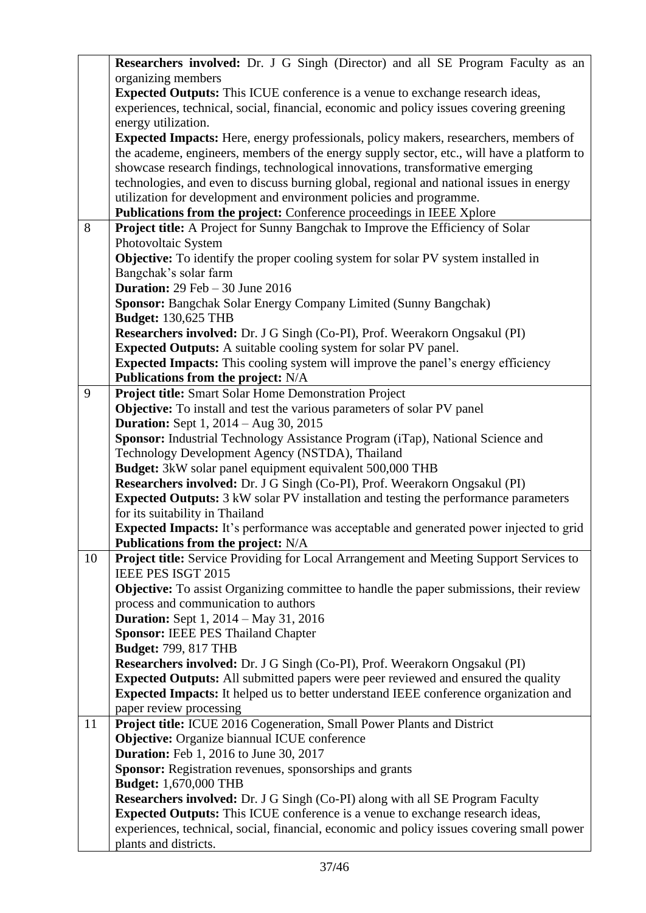|                     | Researchers involved: Dr. J G Singh (Director) and all SE Program Faculty as an                |  |  |  |
|---------------------|------------------------------------------------------------------------------------------------|--|--|--|
|                     | organizing members                                                                             |  |  |  |
|                     | <b>Expected Outputs:</b> This ICUE conference is a venue to exchange research ideas,           |  |  |  |
|                     | experiences, technical, social, financial, economic and policy issues covering greening        |  |  |  |
| energy utilization. |                                                                                                |  |  |  |
|                     | <b>Expected Impacts:</b> Here, energy professionals, policy makers, researchers, members of    |  |  |  |
|                     | the academe, engineers, members of the energy supply sector, etc., will have a platform to     |  |  |  |
|                     | showcase research findings, technological innovations, transformative emerging                 |  |  |  |
|                     | technologies, and even to discuss burning global, regional and national issues in energy       |  |  |  |
|                     | utilization for development and environment policies and programme.                            |  |  |  |
|                     | Publications from the project: Conference proceedings in IEEE Xplore                           |  |  |  |
| 8                   | Project title: A Project for Sunny Bangchak to Improve the Efficiency of Solar                 |  |  |  |
|                     | Photovoltaic System                                                                            |  |  |  |
|                     | <b>Objective:</b> To identify the proper cooling system for solar PV system installed in       |  |  |  |
|                     | Bangchak's solar farm                                                                          |  |  |  |
|                     | <b>Duration:</b> 29 Feb $-$ 30 June 2016                                                       |  |  |  |
|                     | Sponsor: Bangchak Solar Energy Company Limited (Sunny Bangchak)                                |  |  |  |
|                     | <b>Budget: 130,625 THB</b>                                                                     |  |  |  |
|                     | Researchers involved: Dr. J G Singh (Co-PI), Prof. Weerakorn Ongsakul (PI)                     |  |  |  |
|                     | <b>Expected Outputs:</b> A suitable cooling system for solar PV panel.                         |  |  |  |
|                     | <b>Expected Impacts:</b> This cooling system will improve the panel's energy efficiency        |  |  |  |
|                     | <b>Publications from the project: N/A</b>                                                      |  |  |  |
| 9                   | <b>Project title:</b> Smart Solar Home Demonstration Project                                   |  |  |  |
|                     | <b>Objective:</b> To install and test the various parameters of solar PV panel                 |  |  |  |
|                     | <b>Duration:</b> Sept 1, 2014 – Aug 30, 2015                                                   |  |  |  |
|                     | Sponsor: Industrial Technology Assistance Program (iTap), National Science and                 |  |  |  |
|                     | Technology Development Agency (NSTDA), Thailand                                                |  |  |  |
|                     | <b>Budget:</b> 3kW solar panel equipment equivalent 500,000 THB                                |  |  |  |
|                     | Researchers involved: Dr. J G Singh (Co-PI), Prof. Weerakorn Ongsakul (PI)                     |  |  |  |
|                     | <b>Expected Outputs:</b> 3 kW solar PV installation and testing the performance parameters     |  |  |  |
|                     | for its suitability in Thailand                                                                |  |  |  |
|                     | <b>Expected Impacts:</b> It's performance was acceptable and generated power injected to grid  |  |  |  |
|                     | Publications from the project: N/A                                                             |  |  |  |
| 10                  | Project title: Service Providing for Local Arrangement and Meeting Support Services to         |  |  |  |
|                     | IEEE PES ISGT 2015                                                                             |  |  |  |
|                     | <b>Objective:</b> To assist Organizing committee to handle the paper submissions, their review |  |  |  |
|                     | process and communication to authors                                                           |  |  |  |
|                     | <b>Duration:</b> Sept 1, 2014 – May 31, 2016                                                   |  |  |  |
|                     | <b>Sponsor: IEEE PES Thailand Chapter</b>                                                      |  |  |  |
|                     | <b>Budget: 799, 817 THB</b>                                                                    |  |  |  |
|                     | Researchers involved: Dr. J G Singh (Co-PI), Prof. Weerakorn Ongsakul (PI)                     |  |  |  |
|                     | <b>Expected Outputs:</b> All submitted papers were peer reviewed and ensured the quality       |  |  |  |
|                     | Expected Impacts: It helped us to better understand IEEE conference organization and           |  |  |  |
|                     | paper review processing                                                                        |  |  |  |
| 11                  | Project title: ICUE 2016 Cogeneration, Small Power Plants and District                         |  |  |  |
|                     | <b>Objective:</b> Organize biannual ICUE conference                                            |  |  |  |
|                     | <b>Duration:</b> Feb 1, 2016 to June 30, 2017                                                  |  |  |  |
|                     | Sponsor: Registration revenues, sponsorships and grants                                        |  |  |  |
|                     | <b>Budget:</b> 1,670,000 THB                                                                   |  |  |  |
|                     | <b>Researchers involved:</b> Dr. J G Singh (Co-PI) along with all SE Program Faculty           |  |  |  |
|                     | <b>Expected Outputs:</b> This ICUE conference is a venue to exchange research ideas,           |  |  |  |
|                     | experiences, technical, social, financial, economic and policy issues covering small power     |  |  |  |
|                     | plants and districts.                                                                          |  |  |  |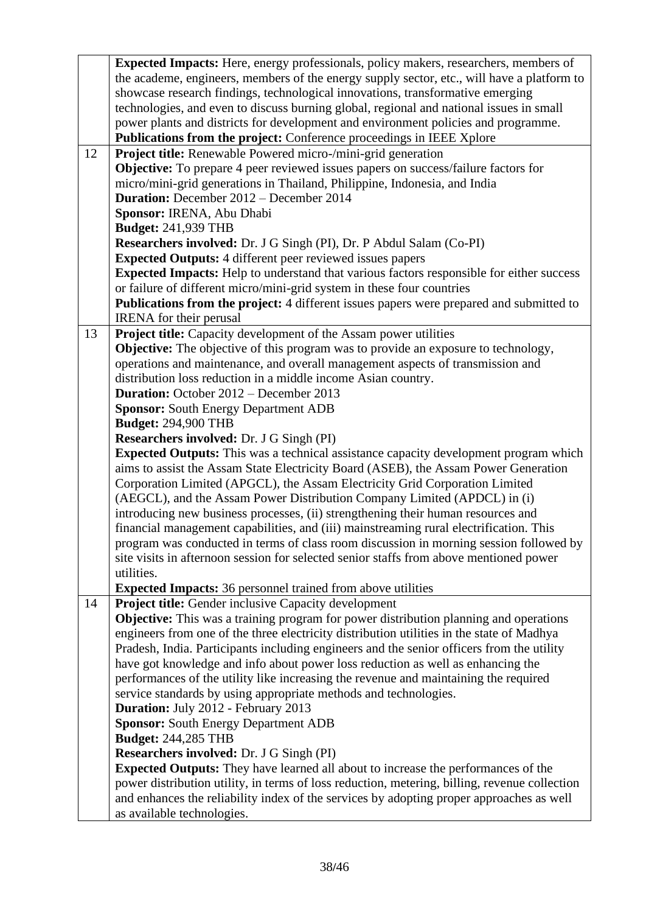|                                                                                                                             | <b>Expected Impacts:</b> Here, energy professionals, policy makers, researchers, members of     |  |  |  |
|-----------------------------------------------------------------------------------------------------------------------------|-------------------------------------------------------------------------------------------------|--|--|--|
|                                                                                                                             | the academe, engineers, members of the energy supply sector, etc., will have a platform to      |  |  |  |
|                                                                                                                             | showcase research findings, technological innovations, transformative emerging                  |  |  |  |
|                                                                                                                             | technologies, and even to discuss burning global, regional and national issues in small         |  |  |  |
| power plants and districts for development and environment policies and programme.                                          |                                                                                                 |  |  |  |
| <b>Publications from the project:</b> Conference proceedings in IEEE Xplore                                                 |                                                                                                 |  |  |  |
| 12                                                                                                                          | <b>Project title:</b> Renewable Powered micro-/mini-grid generation                             |  |  |  |
|                                                                                                                             | <b>Objective:</b> To prepare 4 peer reviewed issues papers on success/failure factors for       |  |  |  |
|                                                                                                                             |                                                                                                 |  |  |  |
| micro/mini-grid generations in Thailand, Philippine, Indonesia, and India<br><b>Duration:</b> December 2012 – December 2014 |                                                                                                 |  |  |  |
|                                                                                                                             |                                                                                                 |  |  |  |
|                                                                                                                             | Sponsor: IRENA, Abu Dhabi                                                                       |  |  |  |
|                                                                                                                             | <b>Budget: 241,939 THB</b>                                                                      |  |  |  |
|                                                                                                                             | Researchers involved: Dr. J G Singh (PI), Dr. P Abdul Salam (Co-PI)                             |  |  |  |
|                                                                                                                             | <b>Expected Outputs:</b> 4 different peer reviewed issues papers                                |  |  |  |
|                                                                                                                             | <b>Expected Impacts:</b> Help to understand that various factors responsible for either success |  |  |  |
|                                                                                                                             | or failure of different micro/mini-grid system in these four countries                          |  |  |  |
|                                                                                                                             | <b>Publications from the project:</b> 4 different issues papers were prepared and submitted to  |  |  |  |
|                                                                                                                             | <b>IRENA</b> for their perusal                                                                  |  |  |  |
| 13                                                                                                                          | <b>Project title:</b> Capacity development of the Assam power utilities                         |  |  |  |
|                                                                                                                             | <b>Objective:</b> The objective of this program was to provide an exposure to technology,       |  |  |  |
|                                                                                                                             | operations and maintenance, and overall management aspects of transmission and                  |  |  |  |
|                                                                                                                             | distribution loss reduction in a middle income Asian country.                                   |  |  |  |
|                                                                                                                             | <b>Duration:</b> October 2012 – December 2013                                                   |  |  |  |
|                                                                                                                             | <b>Sponsor: South Energy Department ADB</b>                                                     |  |  |  |
|                                                                                                                             | <b>Budget: 294,900 THB</b>                                                                      |  |  |  |
|                                                                                                                             | Researchers involved: Dr. J G Singh (PI)                                                        |  |  |  |
|                                                                                                                             | <b>Expected Outputs:</b> This was a technical assistance capacity development program which     |  |  |  |
|                                                                                                                             | aims to assist the Assam State Electricity Board (ASEB), the Assam Power Generation             |  |  |  |
|                                                                                                                             | Corporation Limited (APGCL), the Assam Electricity Grid Corporation Limited                     |  |  |  |
|                                                                                                                             | (AEGCL), and the Assam Power Distribution Company Limited (APDCL) in (i)                        |  |  |  |
|                                                                                                                             | introducing new business processes, (ii) strengthening their human resources and                |  |  |  |
|                                                                                                                             | financial management capabilities, and (iii) mainstreaming rural electrification. This          |  |  |  |
|                                                                                                                             | program was conducted in terms of class room discussion in morning session followed by          |  |  |  |
|                                                                                                                             | site visits in afternoon session for selected senior staffs from above mentioned power          |  |  |  |
|                                                                                                                             | utilities.                                                                                      |  |  |  |
|                                                                                                                             | <b>Expected Impacts:</b> 36 personnel trained from above utilities                              |  |  |  |
| 14                                                                                                                          | <b>Project title:</b> Gender inclusive Capacity development                                     |  |  |  |
|                                                                                                                             |                                                                                                 |  |  |  |
|                                                                                                                             | Objective: This was a training program for power distribution planning and operations           |  |  |  |
|                                                                                                                             | engineers from one of the three electricity distribution utilities in the state of Madhya       |  |  |  |
|                                                                                                                             | Pradesh, India. Participants including engineers and the senior officers from the utility       |  |  |  |
|                                                                                                                             | have got knowledge and info about power loss reduction as well as enhancing the                 |  |  |  |
|                                                                                                                             | performances of the utility like increasing the revenue and maintaining the required            |  |  |  |
|                                                                                                                             | service standards by using appropriate methods and technologies.                                |  |  |  |
|                                                                                                                             | Duration: July 2012 - February 2013                                                             |  |  |  |
|                                                                                                                             | <b>Sponsor: South Energy Department ADB</b>                                                     |  |  |  |
|                                                                                                                             | <b>Budget: 244,285 THB</b>                                                                      |  |  |  |
|                                                                                                                             | Researchers involved: Dr. J G Singh (PI)                                                        |  |  |  |
|                                                                                                                             | <b>Expected Outputs:</b> They have learned all about to increase the performances of the        |  |  |  |
|                                                                                                                             | power distribution utility, in terms of loss reduction, metering, billing, revenue collection   |  |  |  |
|                                                                                                                             | and enhances the reliability index of the services by adopting proper approaches as well        |  |  |  |
|                                                                                                                             | as available technologies.                                                                      |  |  |  |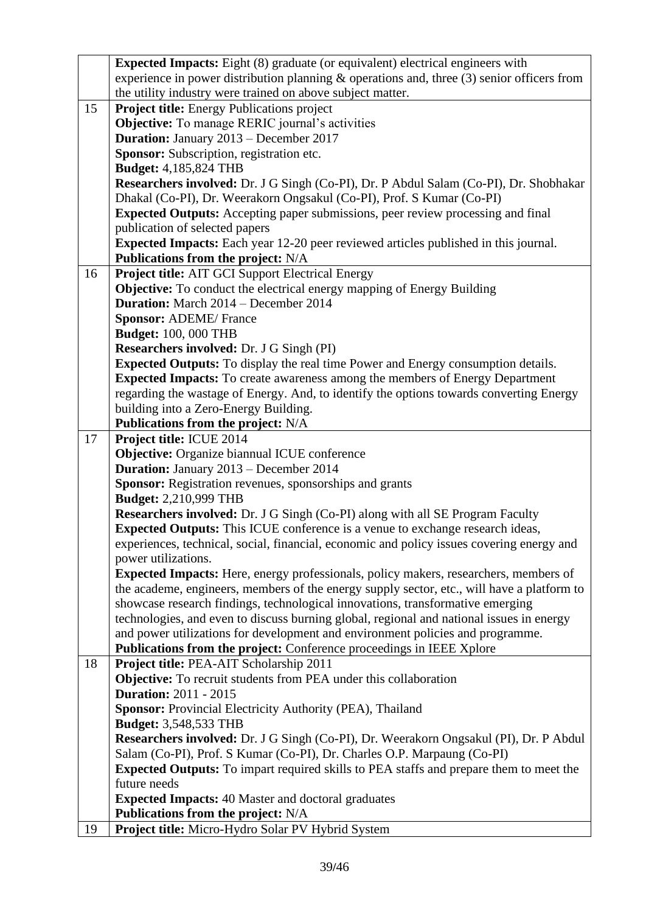|                                | <b>Expected Impacts:</b> Eight (8) graduate (or equivalent) electrical engineers with         |  |  |  |  |
|--------------------------------|-----------------------------------------------------------------------------------------------|--|--|--|--|
|                                | experience in power distribution planning $\&$ operations and, three (3) senior officers from |  |  |  |  |
|                                | the utility industry were trained on above subject matter.                                    |  |  |  |  |
| 15                             | <b>Project title:</b> Energy Publications project                                             |  |  |  |  |
|                                | <b>Objective:</b> To manage RERIC journal's activities                                        |  |  |  |  |
|                                | <b>Duration:</b> January 2013 – December 2017                                                 |  |  |  |  |
|                                | Sponsor: Subscription, registration etc.                                                      |  |  |  |  |
|                                | <b>Budget:</b> 4,185,824 THB                                                                  |  |  |  |  |
|                                | Researchers involved: Dr. J G Singh (Co-PI), Dr. P Abdul Salam (Co-PI), Dr. Shobhakar         |  |  |  |  |
|                                | Dhakal (Co-PI), Dr. Weerakorn Ongsakul (Co-PI), Prof. S Kumar (Co-PI)                         |  |  |  |  |
|                                | <b>Expected Outputs:</b> Accepting paper submissions, peer review processing and final        |  |  |  |  |
| publication of selected papers |                                                                                               |  |  |  |  |
|                                | <b>Expected Impacts:</b> Each year 12-20 peer reviewed articles published in this journal.    |  |  |  |  |
|                                | <b>Publications from the project: N/A</b>                                                     |  |  |  |  |
| 16                             | <b>Project title:</b> AIT GCI Support Electrical Energy                                       |  |  |  |  |
|                                | <b>Objective:</b> To conduct the electrical energy mapping of Energy Building                 |  |  |  |  |
|                                | <b>Duration:</b> March 2014 – December 2014                                                   |  |  |  |  |
|                                | <b>Sponsor: ADEME/ France</b>                                                                 |  |  |  |  |
|                                | <b>Budget: 100, 000 THB</b>                                                                   |  |  |  |  |
|                                | Researchers involved: Dr. J G Singh (PI)                                                      |  |  |  |  |
|                                | <b>Expected Outputs:</b> To display the real time Power and Energy consumption details.       |  |  |  |  |
|                                | <b>Expected Impacts:</b> To create awareness among the members of Energy Department           |  |  |  |  |
|                                | regarding the wastage of Energy. And, to identify the options towards converting Energy       |  |  |  |  |
|                                | building into a Zero-Energy Building.                                                         |  |  |  |  |
|                                | <b>Publications from the project: N/A</b>                                                     |  |  |  |  |
| 17                             | Project title: ICUE 2014                                                                      |  |  |  |  |
|                                | <b>Objective:</b> Organize biannual ICUE conference                                           |  |  |  |  |
|                                | Duration: January 2013 - December 2014                                                        |  |  |  |  |
|                                | <b>Sponsor:</b> Registration revenues, sponsorships and grants                                |  |  |  |  |
|                                | <b>Budget:</b> 2,210,999 THB                                                                  |  |  |  |  |
|                                | <b>Researchers involved:</b> Dr. J G Singh (Co-PI) along with all SE Program Faculty          |  |  |  |  |
|                                | <b>Expected Outputs:</b> This ICUE conference is a venue to exchange research ideas,          |  |  |  |  |
|                                | experiences, technical, social, financial, economic and policy issues covering energy and     |  |  |  |  |
|                                | power utilizations.                                                                           |  |  |  |  |
|                                | <b>Expected Impacts:</b> Here, energy professionals, policy makers, researchers, members of   |  |  |  |  |
|                                | the academe, engineers, members of the energy supply sector, etc., will have a platform to    |  |  |  |  |
|                                | showcase research findings, technological innovations, transformative emerging                |  |  |  |  |
|                                | technologies, and even to discuss burning global, regional and national issues in energy      |  |  |  |  |
|                                | and power utilizations for development and environment policies and programme.                |  |  |  |  |
|                                | Publications from the project: Conference proceedings in IEEE Xplore                          |  |  |  |  |
| 18                             | Project title: PEA-AIT Scholarship 2011                                                       |  |  |  |  |
|                                | <b>Objective:</b> To recruit students from PEA under this collaboration                       |  |  |  |  |
|                                | <b>Duration: 2011 - 2015</b>                                                                  |  |  |  |  |
|                                | <b>Sponsor:</b> Provincial Electricity Authority (PEA), Thailand                              |  |  |  |  |
|                                | <b>Budget:</b> 3,548,533 THB                                                                  |  |  |  |  |
|                                | Researchers involved: Dr. J G Singh (Co-PI), Dr. Weerakorn Ongsakul (PI), Dr. P Abdul         |  |  |  |  |
|                                | Salam (Co-PI), Prof. S Kumar (Co-PI), Dr. Charles O.P. Marpaung (Co-PI)                       |  |  |  |  |
|                                | <b>Expected Outputs:</b> To impart required skills to PEA staffs and prepare them to meet the |  |  |  |  |
|                                | future needs                                                                                  |  |  |  |  |
|                                | <b>Expected Impacts: 40 Master and doctoral graduates</b>                                     |  |  |  |  |
|                                | <b>Publications from the project: N/A</b>                                                     |  |  |  |  |
| 19                             | Project title: Micro-Hydro Solar PV Hybrid System                                             |  |  |  |  |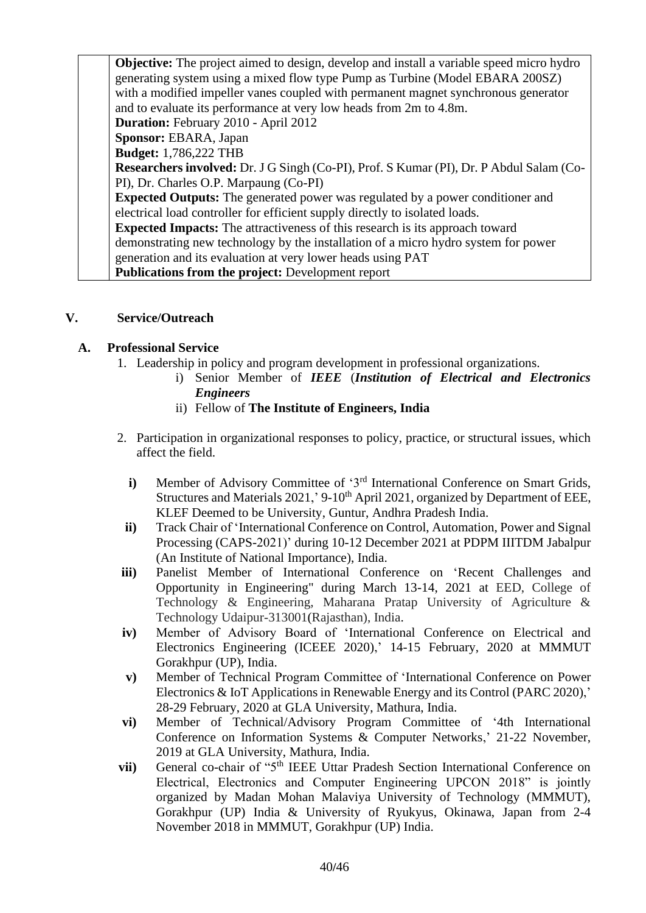**Objective:** The project aimed to design, develop and install a variable speed micro hydro generating system using a mixed flow type Pump as Turbine (Model EBARA 200SZ) with a modified impeller vanes coupled with permanent magnet synchronous generator and to evaluate its performance at very low heads from 2m to 4.8m. **Duration:** February 2010 - April 2012 **Sponsor:** EBARA, Japan **Budget:** 1,786,222 THB **Researchers involved:** Dr. J G Singh (Co-PI), Prof. S Kumar (PI), Dr. P Abdul Salam (Co-PI), Dr. Charles O.P. Marpaung (Co-PI) **Expected Outputs:** The generated power was regulated by a power conditioner and electrical load controller for efficient supply directly to isolated loads. **Expected Impacts:** The attractiveness of this research is its approach toward demonstrating new technology by the installation of a micro hydro system for power generation and its evaluation at very lower heads using PAT **Publications from the project:** Development report

## **V. Service/Outreach**

## **A. Professional Service**

- 1. Leadership in policy and program development in professional organizations.
	- i) Senior Member of *IEEE* (*Institution of Electrical and Electronics Engineers*
	- ii) Fellow of **The Institute of Engineers, India**
- 2. Participation in organizational responses to policy, practice, or structural issues, which affect the field.
	- **i**) Member of Advisory Committee of '3<sup>rd</sup> International Conference on Smart Grids, Structures and Materials 2021,' 9-10<sup>th</sup> April 2021, organized by Department of EEE, KLEF Deemed to be University, Guntur, Andhra Pradesh India.
	- **ii)** Track Chair of 'International Conference on Control, Automation, Power and Signal Processing (CAPS-2021)' during 10-12 December 2021 at PDPM IIITDM Jabalpur (An Institute of National Importance), India.
- **iii)** Panelist Member of International Conference on 'Recent Challenges and Opportunity in Engineering" during March 13-14, 2021 at EED, College of Technology & Engineering, Maharana Pratap University of Agriculture & Technology Udaipur-313001(Rajasthan), India.
- **iv)** Member of Advisory Board of 'International Conference on Electrical and Electronics Engineering (ICEEE 2020),' 14-15 February, 2020 at MMMUT Gorakhpur (UP), India.
- **v)** Member of Technical Program Committee of 'International Conference on Power Electronics & IoT Applications in Renewable Energy and its Control (PARC 2020),' 28-29 February, 2020 at GLA University, Mathura, India.
- **vi)** Member of Technical/Advisory Program Committee of '4th International Conference on Information Systems & Computer Networks,' 21-22 November, 2019 at GLA University, Mathura, India.
- **vii)** General co-chair of "5<sup>th</sup> IEEE Uttar Pradesh Section International Conference on Electrical, Electronics and Computer Engineering UPCON 2018" is jointly organized by Madan Mohan Malaviya University of Technology (MMMUT), Gorakhpur (UP) India & University of Ryukyus, Okinawa, Japan from 2-4 November 2018 in MMMUT, Gorakhpur (UP) India.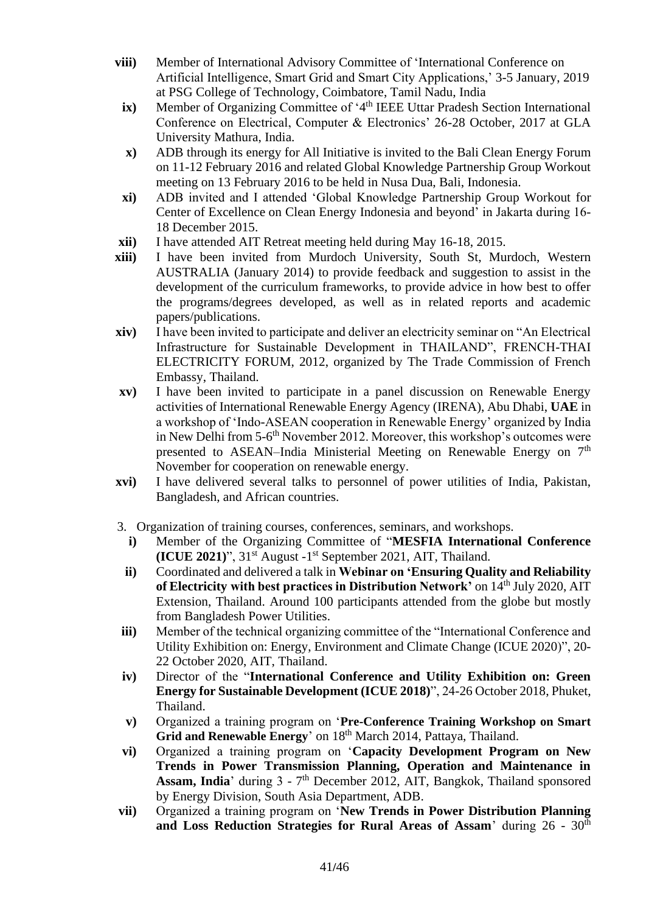- **viii)** Member of International Advisory Committee of 'International Conference on Artificial Intelligence, Smart Grid and Smart City Applications,' 3-5 January, 2019 at PSG College of Technology, Coimbatore, Tamil Nadu, India
	- ix) Member of Organizing Committee of '4<sup>th</sup> IEEE Uttar Pradesh Section International Conference on Electrical, Computer & Electronics' 26-28 October, 2017 at GLA University Mathura, India.
	- **x)** ADB through its energy for All Initiative is invited to the Bali Clean Energy Forum on 11-12 February 2016 and related Global Knowledge Partnership Group Workout meeting on 13 February 2016 to be held in Nusa Dua, Bali, Indonesia.
- **xi)** ADB invited and I attended 'Global Knowledge Partnership Group Workout for Center of Excellence on Clean Energy Indonesia and beyond' in Jakarta during 16- 18 December 2015.
- **xii)** I have attended AIT Retreat meeting held during May 16-18, 2015.
- **xiii)** I have been invited from Murdoch University, South St, Murdoch, Western AUSTRALIA (January 2014) to provide feedback and suggestion to assist in the development of the curriculum frameworks, to provide advice in how best to offer the programs/degrees developed, as well as in related reports and academic papers/publications.
- **xiv)** I have been invited to participate and deliver an electricity seminar on "An Electrical Infrastructure for Sustainable Development in THAILAND", FRENCH-THAI ELECTRICITY FORUM, 2012, organized by The Trade Commission of French Embassy, Thailand.
- **xv)** I have been invited to participate in a panel discussion on Renewable Energy activities of International Renewable Energy Agency (IRENA), Abu Dhabi, **UAE** in a workshop of 'Indo-ASEAN cooperation in Renewable Energy' organized by India in New Delhi from 5-6<sup>th</sup> November 2012. Moreover, this workshop's outcomes were presented to ASEAN–India Ministerial Meeting on Renewable Energy on 7<sup>th</sup> November for cooperation on renewable energy.
- **xvi)** I have delivered several talks to personnel of power utilities of India, Pakistan, Bangladesh, and African countries.
- 3. Organization of training courses, conferences, seminars, and workshops.
	- **i)** Member of the Organizing Committee of "**MESFIA International Conference (ICUE 2021)**", 31st August -1 st September 2021, AIT, Thailand.
	- **ii)** Coordinated and delivered a talk in **Webinar on 'Ensuring Quality and Reliability of Electricity with best practices in Distribution Network'** on  $14<sup>th</sup>$  July 2020, AIT Extension, Thailand. Around 100 participants attended from the globe but mostly from Bangladesh Power Utilities.
- **iii)** Member of the technical organizing committee of the "International Conference and Utility Exhibition on: Energy, Environment and Climate Change (ICUE 2020)", 20- 22 October 2020, AIT, Thailand.
- **iv)** Director of the "**International Conference and Utility Exhibition on: Green Energy for Sustainable Development (ICUE 2018)**", 24-26 October 2018, Phuket, Thailand.
- **v)** Organized a training program on '**Pre-Conference Training Workshop on Smart**  Grid and Renewable Energy' on 18<sup>th</sup> March 2014, Pattaya, Thailand.
- **vi)** Organized a training program on '**Capacity Development Program on New Trends in Power Transmission Planning, Operation and Maintenance in**  Assam, India<sup>'</sup> during 3 - 7<sup>th</sup> December 2012, AIT, Bangkok, Thailand sponsored by Energy Division, South Asia Department, ADB.
- **vii)** Organized a training program on '**New Trends in Power Distribution Planning**  and Loss Reduction Strategies for Rural Areas of Assam' during 26 - 30<sup>th</sup>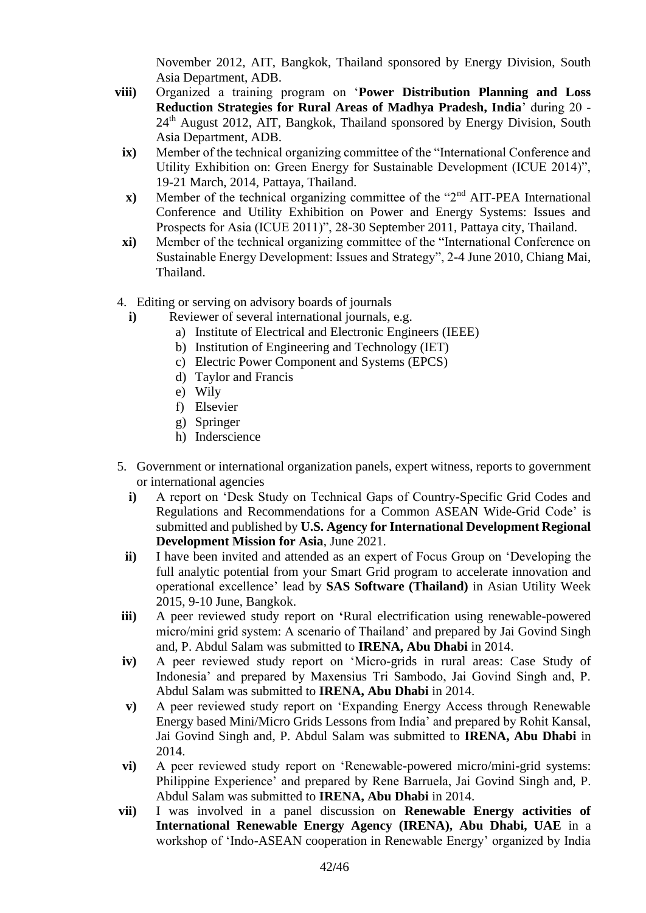November 2012, AIT, Bangkok, Thailand sponsored by Energy Division, South Asia Department, ADB.

- **viii)** Organized a training program on '**Power Distribution Planning and Loss Reduction Strategies for Rural Areas of Madhya Pradesh, India**' during 20 - 24<sup>th</sup> August 2012, AIT, Bangkok, Thailand sponsored by Energy Division, South Asia Department, ADB.
	- **ix)** Member of the technical organizing committee of the "International Conference and Utility Exhibition on: Green Energy for Sustainable Development (ICUE 2014)", 19-21 March, 2014, Pattaya, Thailand.
	- **x**) Member of the technical organizing committee of the "2<sup>nd</sup> AIT-PEA International Conference and Utility Exhibition on Power and Energy Systems: Issues and Prospects for Asia (ICUE 2011)", 28-30 September 2011, Pattaya city, Thailand.
	- **xi)** Member of the technical organizing committee of the "International Conference on Sustainable Energy Development: Issues and Strategy", 2-4 June 2010, Chiang Mai, Thailand.
- 4. Editing or serving on advisory boards of journals
	- **i**) Reviewer of several international journals, e.g.
		- a) Institute of Electrical and Electronic Engineers (IEEE)
		- b) Institution of Engineering and Technology (IET)
		- c) Electric Power Component and Systems (EPCS)
		- d) Taylor and Francis
		- e) Wily
		- f) Elsevier
		- g) Springer
		- h) Inderscience
- 5. Government or international organization panels, expert witness, reports to government or international agencies
	- **i)** A report on 'Desk Study on Technical Gaps of Country-Specific Grid Codes and Regulations and Recommendations for a Common ASEAN Wide-Grid Code' is submitted and published by **U.S. Agency for International Development Regional Development Mission for Asia**, June 2021.
	- **ii)** I have been invited and attended as an expert of Focus Group on 'Developing the full analytic potential from your Smart Grid program to accelerate innovation and operational excellence' lead by **SAS Software (Thailand)** in Asian Utility Week 2015, 9-10 June, Bangkok.
- **iii**) A peer reviewed study report on 'Rural electrification using renewable-powered micro/mini grid system: A scenario of Thailand' and prepared by Jai Govind Singh and, P. Abdul Salam was submitted to **IRENA, Abu Dhabi** in 2014.
- **iv)** A peer reviewed study report on 'Micro-grids in rural areas: Case Study of Indonesia' and prepared by Maxensius Tri Sambodo, Jai Govind Singh and, P. Abdul Salam was submitted to **IRENA, Abu Dhabi** in 2014.
- **v)** A peer reviewed study report on 'Expanding Energy Access through Renewable Energy based Mini/Micro Grids Lessons from India' and prepared by Rohit Kansal, Jai Govind Singh and, P. Abdul Salam was submitted to **IRENA, Abu Dhabi** in 2014.
- **vi)** A peer reviewed study report on 'Renewable-powered micro/mini-grid systems: Philippine Experience' and prepared by Rene Barruela, Jai Govind Singh and, P. Abdul Salam was submitted to **IRENA, Abu Dhabi** in 2014.
- **vii)** I was involved in a panel discussion on **Renewable Energy activities of International Renewable Energy Agency (IRENA), Abu Dhabi, UAE** in a workshop of 'Indo-ASEAN cooperation in Renewable Energy' organized by India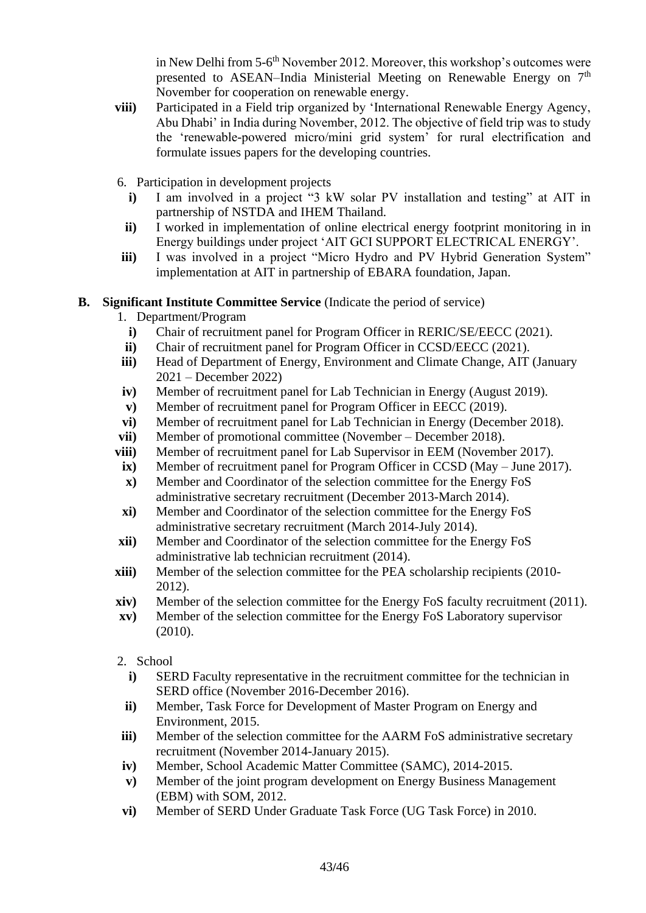in New Delhi from 5-6<sup>th</sup> November 2012. Moreover, this workshop's outcomes were presented to ASEAN–India Ministerial Meeting on Renewable Energy on  $7<sup>th</sup>$ November for cooperation on renewable energy.

- **viii)** Participated in a Field trip organized by 'International Renewable Energy Agency, Abu Dhabi' in India during November, 2012. The objective of field trip was to study the 'renewable-powered micro/mini grid system' for rural electrification and formulate issues papers for the developing countries.
- 6. Participation in development projects
	- **i)** I am involved in a project "3 kW solar PV installation and testing" at AIT in partnership of NSTDA and IHEM Thailand.
	- **ii)** I worked in implementation of online electrical energy footprint monitoring in in Energy buildings under project 'AIT GCI SUPPORT ELECTRICAL ENERGY'.
- **iii**) I was involved in a project "Micro Hydro and PV Hybrid Generation System" implementation at AIT in partnership of EBARA foundation, Japan.

#### **B. Significant Institute Committee Service** (Indicate the period of service)

- 1. Department/Program
- **i**) Chair of recruitment panel for Program Officer in RERIC/SE/EECC (2021).
- **ii**) Chair of recruitment panel for Program Officer in CCSD/EECC (2021).
- **iii)** Head of Department of Energy, Environment and Climate Change, AIT (January 2021 – December 2022)
- **iv)** Member of recruitment panel for Lab Technician in Energy (August 2019).
- **v)** Member of recruitment panel for Program Officer in EECC (2019).
- **vi)** Member of recruitment panel for Lab Technician in Energy (December 2018).
- **vii**) Member of promotional committee (November December 2018).
- **viii)** Member of recruitment panel for Lab Supervisor in EEM (November 2017).
- **ix)** Member of recruitment panel for Program Officer in CCSD (May June 2017).
- **x)** Member and Coordinator of the selection committee for the Energy FoS administrative secretary recruitment (December 2013-March 2014).
- **xi)** Member and Coordinator of the selection committee for the Energy FoS administrative secretary recruitment (March 2014-July 2014).
- **xii)** Member and Coordinator of the selection committee for the Energy FoS administrative lab technician recruitment (2014).
- **xiii)** Member of the selection committee for the PEA scholarship recipients (2010-2012).
- **xiv)** Member of the selection committee for the Energy FoS faculty recruitment (2011).
- **xv)** Member of the selection committee for the Energy FoS Laboratory supervisor (2010).
- 2. School
	- **i)** SERD Faculty representative in the recruitment committee for the technician in SERD office (November 2016-December 2016).
- **ii)** Member, Task Force for Development of Master Program on Energy and Environment, 2015.
- **iii)** Member of the selection committee for the AARM FoS administrative secretary recruitment (November 2014-January 2015).
- **iv)** Member, School Academic Matter Committee (SAMC), 2014-2015.
- **v)** Member of the joint program development on Energy Business Management (EBM) with SOM, 2012.
- **vi)** Member of SERD Under Graduate Task Force (UG Task Force) in 2010.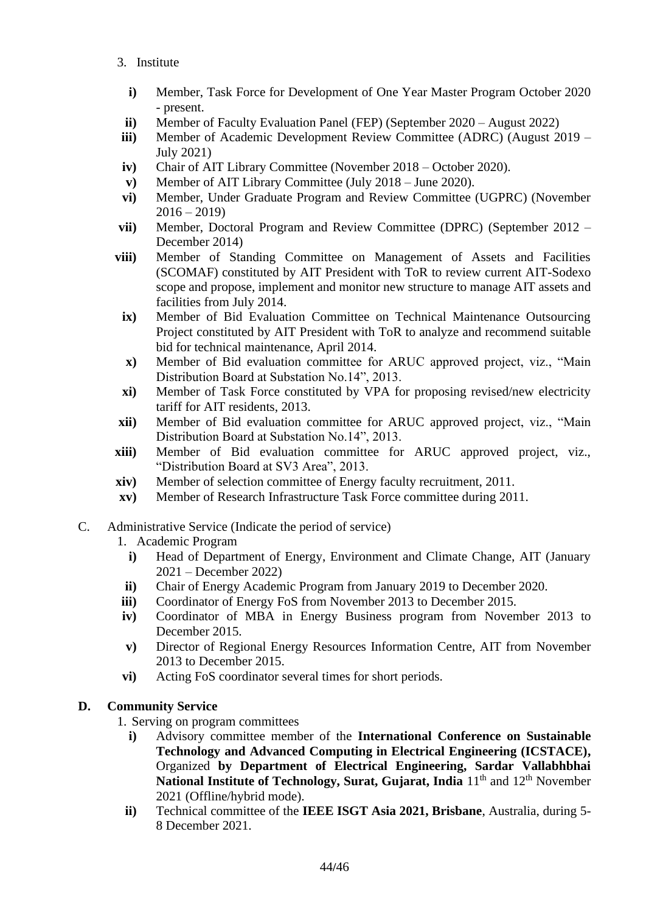- 3. Institute
	- **i)** Member, Task Force for Development of One Year Master Program October 2020 - present.
- **ii)** Member of Faculty Evaluation Panel (FEP) (September 2020 August 2022)
- **iii**) Member of Academic Development Review Committee (ADRC) (August 2019 July 2021)
- **iv)** Chair of AIT Library Committee (November 2018 October 2020).
- **v)** Member of AIT Library Committee (July 2018 June 2020).
- **vi)** Member, Under Graduate Program and Review Committee (UGPRC) (November  $2016 - 2019$
- **vii)** Member, Doctoral Program and Review Committee (DPRC) (September 2012 December 2014)
- **viii)** Member of Standing Committee on Management of Assets and Facilities (SCOMAF) constituted by AIT President with ToR to review current AIT-Sodexo scope and propose, implement and monitor new structure to manage AIT assets and facilities from July 2014.
	- **ix)** Member of Bid Evaluation Committee on Technical Maintenance Outsourcing Project constituted by AIT President with ToR to analyze and recommend suitable bid for technical maintenance, April 2014.
	- **x)** Member of Bid evaluation committee for ARUC approved project, viz., "Main Distribution Board at Substation No.14", 2013.
	- **xi)** Member of Task Force constituted by VPA for proposing revised/new electricity tariff for AIT residents, 2013.
- **xii)** Member of Bid evaluation committee for ARUC approved project, viz., "Main Distribution Board at Substation No.14", 2013.
- **xiii)** Member of Bid evaluation committee for ARUC approved project, viz., "Distribution Board at SV3 Area", 2013.
- **xiv)** Member of selection committee of Energy faculty recruitment, 2011.
- **xv)** Member of Research Infrastructure Task Force committee during 2011.
- C. Administrative Service (Indicate the period of service)
	- 1. Academic Program
		- **i)** Head of Department of Energy, Environment and Climate Change, AIT (January 2021 – December 2022)
	- **ii)** Chair of Energy Academic Program from January 2019 to December 2020.
	- **iii)** Coordinator of Energy FoS from November 2013 to December 2015.
	- **iv)** Coordinator of MBA in Energy Business program from November 2013 to December 2015.
	- **v)** Director of Regional Energy Resources Information Centre, AIT from November 2013 to December 2015.
	- **vi)** Acting FoS coordinator several times for short periods.

## **D. Community Service**

- 1. Serving on program committees
	- **i)** Advisory committee member of the **International Conference on Sustainable Technology and Advanced Computing in Electrical Engineering (ICSTACE),** Organized **by Department of Electrical Engineering, Sardar Vallabhbhai National Institute of Technology, Surat, Gujarat, India** 11<sup>th</sup> and 12<sup>th</sup> November 2021 (Offline/hybrid mode).
	- **ii)** Technical committee of the **IEEE ISGT Asia 2021, Brisbane**, Australia, during 5- 8 December 2021.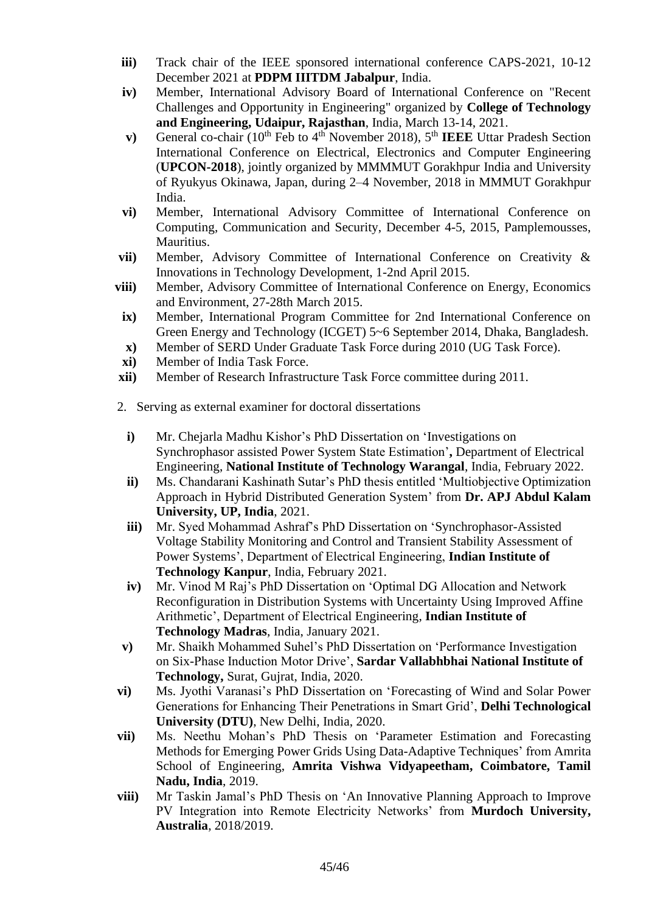- **iii)** Track chair of the IEEE sponsored international conference CAPS-2021, 10-12 December 2021 at **[PDPM IIITDM Jabalpur](https://www.iiitdmj.ac.in/)**, India.
- **iv)** Member, International Advisory Board of International Conference on "Recent Challenges and Opportunity in Engineering" organized by **College of Technology and Engineering, Udaipur, Rajasthan**, India, March 13-14, 2021.
- **v**) General co-chair (10<sup>th</sup> Feb to 4<sup>th</sup> November 2018), 5<sup>th</sup> **IEEE** Uttar Pradesh Section International Conference on Electrical, Electronics and Computer Engineering (**UPCON-2018**), jointly organized by MMMMUT Gorakhpur India and University of Ryukyus Okinawa, Japan, during 2–4 November, 2018 in MMMUT Gorakhpur India.
- **vi)** Member, International Advisory Committee of International Conference on Computing, Communication and Security, December 4-5, 2015, Pamplemousses, Mauritius.
- **vii)** Member, Advisory Committee of International Conference on Creativity & Innovations in Technology Development, 1-2nd April 2015.
- **viii)** Member, Advisory Committee of International Conference on Energy, Economics and Environment, 27-28th March 2015.
- **ix)** Member, International Program Committee for 2nd International Conference on Green Energy and Technology (ICGET) 5~6 September 2014, Dhaka, Bangladesh.
- **x)** Member of SERD Under Graduate Task Force during 2010 (UG Task Force).
- **xi)** Member of India Task Force.
- **xii)** Member of Research Infrastructure Task Force committee during 2011.
- 2. Serving as external examiner for doctoral dissertations
	- **i)** Mr. Chejarla Madhu Kishor's PhD Dissertation on 'Investigations on Synchrophasor assisted Power System State Estimation'**,** Department of Electrical Engineering, **National Institute of Technology Warangal**, India, February 2022.
	- **ii)** Ms. Chandarani Kashinath Sutar's PhD thesis entitled 'Multiobjective Optimization Approach in Hybrid Distributed Generation System' from **Dr. APJ Abdul Kalam University, UP, India**, 2021.
	- **iii)** Mr. Syed Mohammad Ashraf's PhD Dissertation on 'Synchrophasor-Assisted Voltage Stability Monitoring and Control and Transient Stability Assessment of Power Systems', Department of Electrical Engineering, **Indian Institute of Technology Kanpur**, India, February 2021.
	- **iv)** Mr. Vinod M Raj's PhD Dissertation on 'Optimal DG Allocation and Network Reconfiguration in Distribution Systems with Uncertainty Using Improved Affine Arithmetic', Department of Electrical Engineering, **Indian Institute of Technology Madras**, India, January 2021.
- **v)** Mr. Shaikh Mohammed Suhel's PhD Dissertation on 'Performance Investigation on Six-Phase Induction Motor Drive', **Sardar Vallabhbhai National Institute of Technology,** Surat, Gujrat, India, 2020.
- **vi)** Ms. Jyothi Varanasi's PhD Dissertation on 'Forecasting of Wind and Solar Power Generations for Enhancing Their Penetrations in Smart Grid', **Delhi Technological University (DTU)**, New Delhi, India, 2020.
- **vii)** Ms. Neethu Mohan's PhD Thesis on 'Parameter Estimation and Forecasting Methods for Emerging Power Grids Using Data-Adaptive Techniques' from Amrita School of Engineering, **Amrita Vishwa Vidyapeetham, Coimbatore, Tamil Nadu, India**, 2019.
- **viii)** Mr Taskin Jamal's PhD Thesis on 'An Innovative Planning Approach to Improve PV Integration into Remote Electricity Networks' from **Murdoch University, Australia**, 2018/2019.